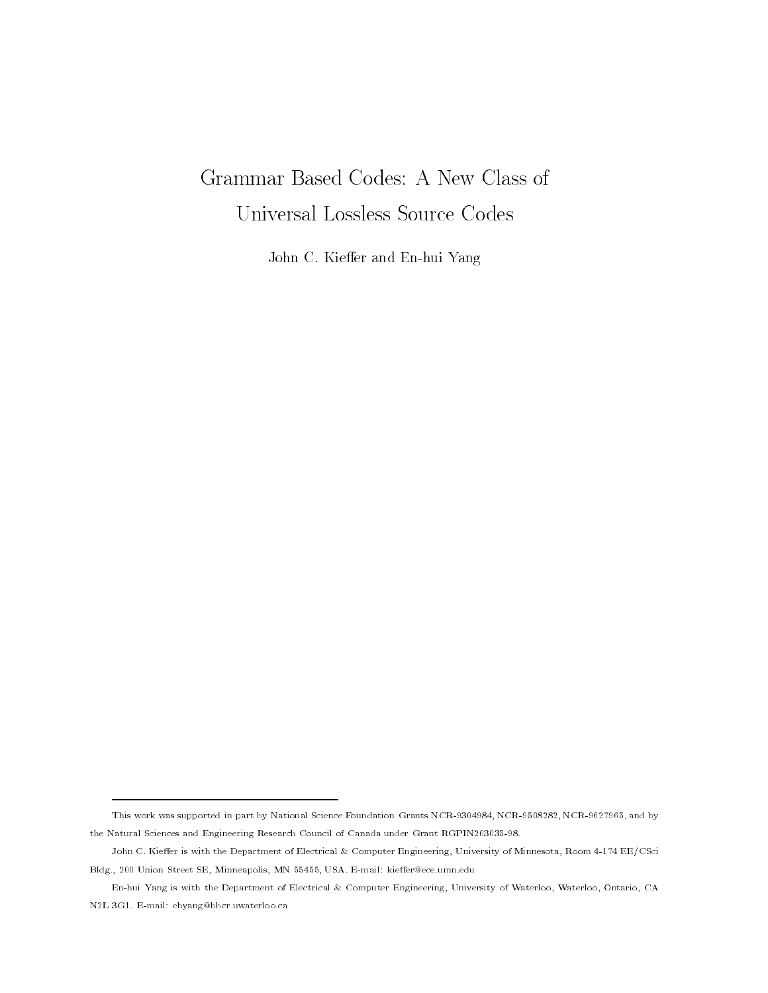# Grammar Based Codes: A New Class of

John C Kie-er and Enhui Yang

This work was supported in part by National Science Foundation Grants NCR-- NCR- NCR- - and by the therm of centre and Engineering theories council of Canada under Grant Research Council of

John C. Kieffer is with the Department of Electrical & Computer Engineering, University of Minnesota, Room 4-174 EE/CSci Bldg., 200 Union Street SE, Minneapolis, MN 55455, USA. E-mail: kieffer@ece.umn.edu

En-hui Yang is with the Department of Electrical & Computer Engineering, University of Waterloo, Waterloo, Ontario, CA N2L 3G1. E-mail: ehyang@bbcr.uwaterloo.ca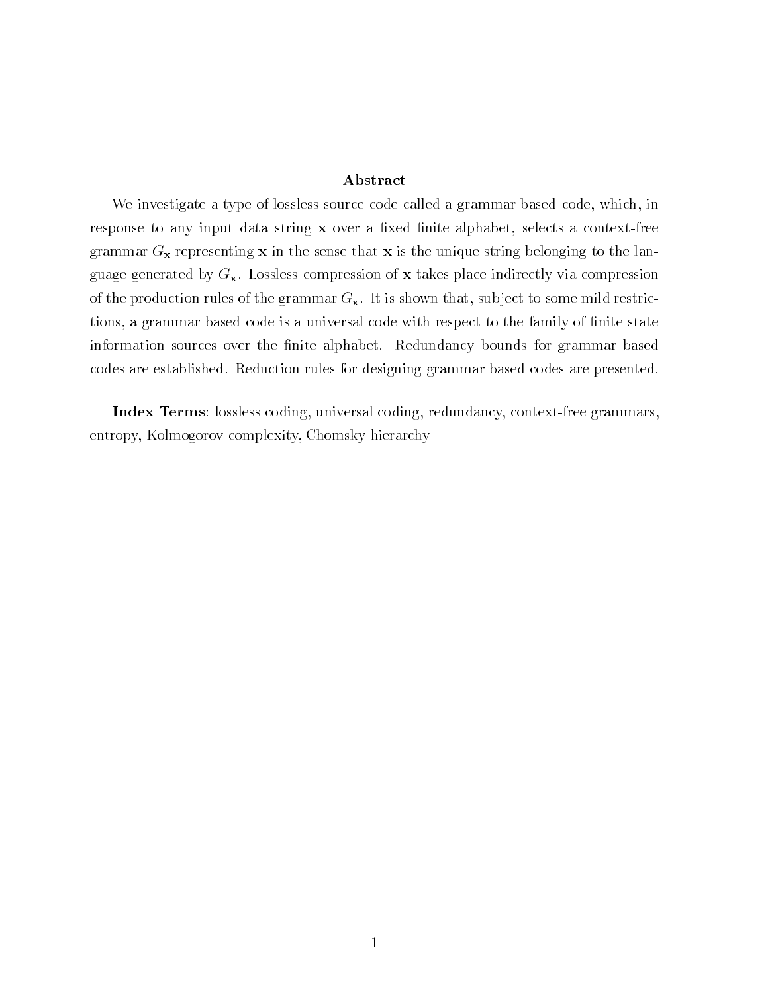## Abstract

We investigate a type of lossless source code called a grammar based code, which, in response to any input data string x over a fixed finite alphabet, selects a context-free grammar  $G_x$  representing x in the sense that x is the unique string belonging to the language generated by  $G_{\mathbf{x}}$ . Lossless compression of x takes place indirectly via compression of the production rules of the grammar  $G_{\mathbf{x}}$ . It is shown that, subject to some mild restrictions, a grammar based code is a universal code with respect to the family of finite state information sources over the finite alphabet. Redundancy bounds for grammar based codes are established. Reduction rules for designing grammar based codes are presented.

Index Terms: lossless coding, universal coding, redundancy, context-free grammars, entropy, Kolmogorov complexity, Chomsky hierarchy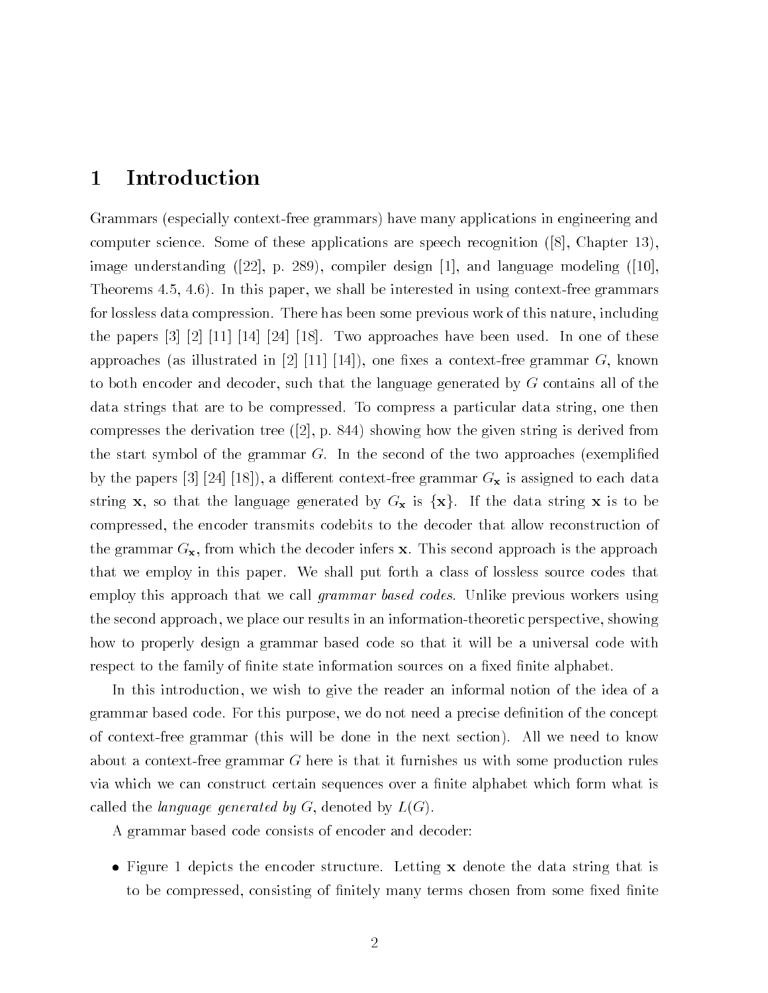# Introduction

Grammars (especially context-free grammars) have many applications in engineering and computer science some of these applications are speech recognition (i.e.) stamping the set image understanding van de design de design de design de language modeling van de design de language modeling Theorems  $4.5, 4.6$ ). In this paper, we shall be interested in using context-free grammars for lossless data compression. There has been some previous work of this nature, including the papers       Two approaches have been used In one of these as in the set and the set and the set of  $\Lambda$  is a context free grammar G  $\Lambda$  . The set of  $\Lambda$ to both encoder and decoder, such that the language generated by  $G$  contains all of the data strings that are to be compressed. To compress a particular data string, one then  $\mathbf{u}$  and derived from the given string is derived from the given string is derived from the given string is derived from the given string is derived from the given string is derived from the given string is derived fr the start symbol of the grammar  $G$ . In the second of the two approaches (exemplified where the papers is the papers of the proposition of the context context  $\alpha$   $\mathbf{v}$  as assigned to each data context. string x, so that the language generated by  $G_x$  is  $\{x\}$ . If the data string x is to be compressed, the encoder transmits codebits to the decoder that allow reconstruction of the grammar  $G_{\mathbf{x}}$ , from which the decoder infers x. This second approach is the approach that we employ in this paper. We shall put forth a class of lossless source codes that employ this approach that we call *grammar based codes*. Unlike previous workers using the second approach, we place our results in an information-theoretic perspective, showing how to properly design a grammar based code so that it will be a universal code with respect to the family of finite state information sources on a fixed finite alphabet.

In this introduction, we wish to give the reader an informal notion of the idea of a grammar based code. For this purpose, we do not need a precise definition of the concept of context-free grammar (this will be done in the next section). All we need to know about a context-free grammar  $G$  here is that it furnishes us with some production rules via which we can construct certain sequences over a finite alphabet which form what is called the language generated by  $G$ , denoted by  $L(G)$ .

A grammar based code consists of encoder and decoder

• Figure 1 depicts the encoder structure. Letting x denote the data string that is to be compressed, consisting of finitely many terms chosen from some fixed finite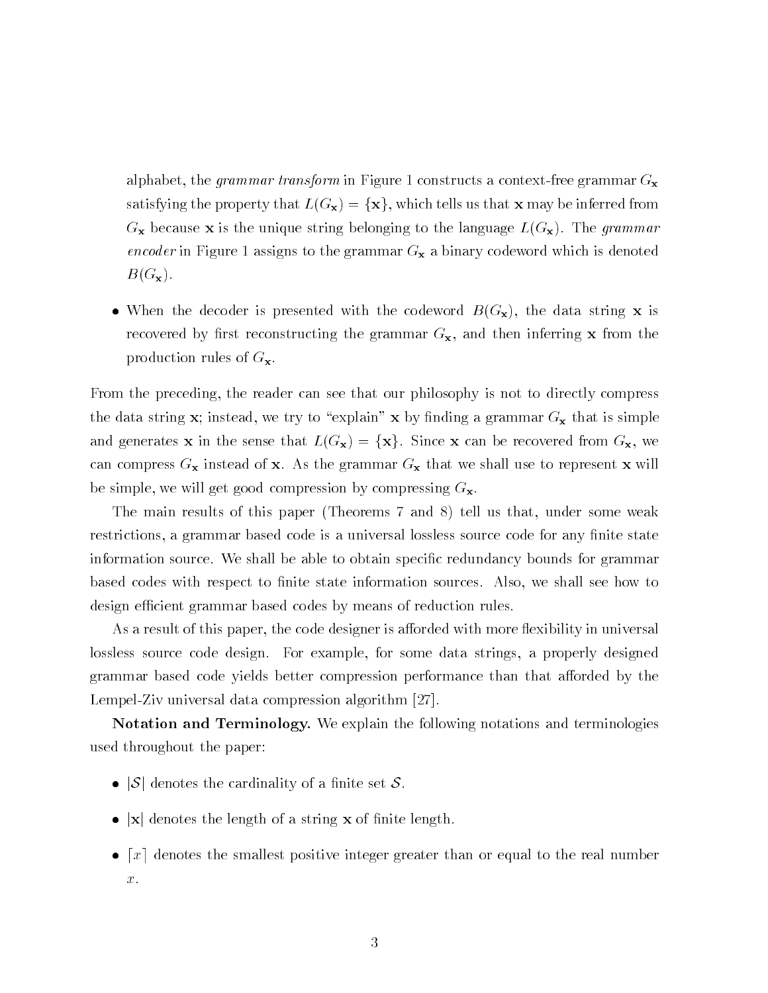alphabet, the grammar transform in Figure 1 constructs a context-free grammar  $G_{\mathbf{x}}$ satisfying the property that  $L(G_{\mathbf{x}}) = {\mathbf{x}}$ , which tells us that **x** may be inferred from  $G_{\mathbf{x}}$  because **x** is the unique string belonging to the language  $L(G_{\mathbf{x}})$ . The grammar encoder in Figure 1 assigns to the grammar  $G_{\mathbf{x}}$  a binary codeword which is denoted  $B(G_{\mathbf{x}}).$ 

• When the decoder is presented with the codeword  $B(G_{\mathbf{x}})$ , the data string x is recovered by first reconstructing the grammar  $G_{\mathbf{x}}$ , and then inferring x from the production rules of  $G_{\mathbf{x}}$ .

From the preceding, the reader can see that our philosophy is not to directly compress the data string x; instead, we try to "explain" x by finding a grammar  $G_x$  that is simple and generates **x** in the sense that  $L(G_{\mathbf{x}}) = {\mathbf{x}}$ . Since **x** can be recovered from  $G_{\mathbf{x}}$ , we can compress  $G_{\mathbf{x}}$  instead of x. As the grammar  $G_{\mathbf{x}}$  that we shall use to represent x will be simple, we will get good compression by compressing  $G_{\mathbf{x}}$ .

The main results of this paper (Theorems 7 and 8) tell us that, under some weak restrictions, a grammar based code is a universal lossless source code for any finite state information source. We shall be able to obtain specific redundancy bounds for grammar based codes with respect to finite state information sources. Also, we shall see how to design efficient grammar based codes by means of reduction rules.

As a result of this paper the code designer is a-orded with more exibility in universal lossless source code design. For example, for some data strings, a properly designed grammar based code yields better compression performance than that a-orded by the LempelZiv universal data compression algorithm 

Notation and Terminology. We explain the following notations and terminologies used throughout the paper

- $|S|$  denotes the cardinality of a finite set S.
- $\bullet$  |x| denotes the length of a string x of finite length.
- $\bullet$  [x] denotes the smallest positive integer greater than or equal to the real number  $x$ .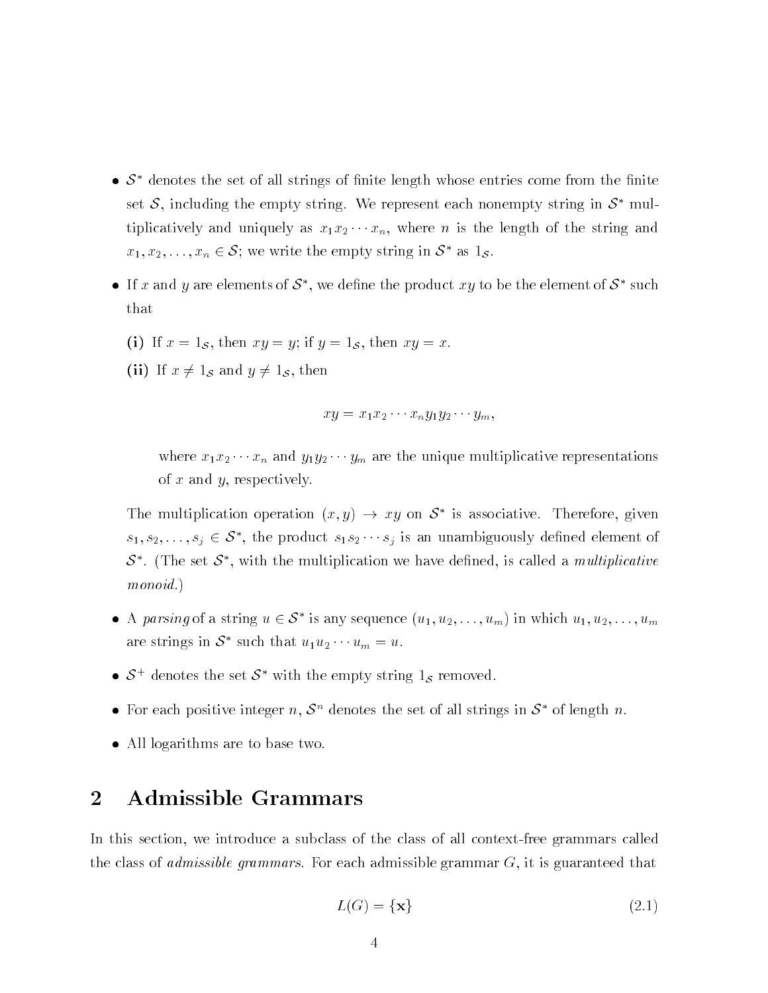- $\bullet$   $S^*$  denotes the set of all strings of finite length whose entries come from the finite set S, including the empty string. We represent each nonempty string in  $S^*$  multiplicative and uniquely as  $\mathbf{r}$  and  $\mathbf{r}$  and  $\mathbf{r}$  and  $\mathbf{r}$  and  $\mathbf{r}$  and  $\mathbf{r}$  and  $\mathbf{r}$  and  $\mathbf{r}$  and  $\mathbf{r}$  and  $\mathbf{r}$  and  $\mathbf{r}$  and  $\mathbf{r}$  and  $\mathbf{r}$  and  $\mathbf{r}$  and  $\mathbf{r}$  an  $x_1, x_2, \ldots, x_n \in \mathcal{S}$ ; we write the empty string in  $\mathcal{S}$  as  $1_{\mathcal{S}}$ .
- $\bullet$  If x and y are elements of  $\delta$  , we define the product  $xy$  to be the element of  $\delta$  -such  $\delta$ that
	- if  $\mathcal{S}$  if  $\mathcal{S}$  if  $\mathcal{S}$  if  $\mathcal{S}$  if  $\mathcal{S}$  if  $\mathcal{S}$  if  $\mathcal{S}$  if  $\mathcal{S}$  if  $\mathcal{S}$  if  $\mathcal{S}$  if  $\mathcal{S}$  if  $\mathcal{S}$  if  $\mathcal{S}$  if  $\mathcal{S}$  if  $\mathcal{S}$  if  $\mathcal{S}$  if  $\mathcal{S}$  if  $\mathcal{S}$  if  $\$
	- $\mathbf{v} = \mathbf{v}$  is an order  $\mathbf{v} = \mathbf{v}$  and  $\mathbf{v} = \mathbf{v}$  is the set of  $\mathbf{v}$

$$
xy = x_1 x_2 \cdots x_n y_1 y_2 \cdots y_m,
$$

where  $\alpha$  is a strict  $\alpha$  and  $\alpha$  and  $\alpha$  and  $\alpha$  are the unit product of  $\alpha$  and  $\alpha$ of  $x$  and  $y$ , respectively.

The multiplication operation  $(x, y) \rightarrow xy$  on  $\delta$  is associative. Therefore, given  $s_1, s_2, \ldots, s_j \in \mathcal{S}$ , the product  $s_1 s_2 \cdots s_j$  is an unambiguously defined element of  $S$  . The set  $S$  , with the multiplication we have defined, is called a *multiplicative* monoid.)

- A parsing of a string  $u \in S$  is any sequence  $(u_1, u_2, \ldots, u_m)$  in which  $u_1, u_2, \ldots, u_m$ are strings in  $S$  such that  $u_1u_2\cdots u_m=u$ .
- $\bullet$   $\circ$  cenotes the set  $\circ$  with the empty string is removed.
- For each positive integer n,  $S<sup>n</sup>$  denotes the set of all strings in  $S<sup>*</sup>$  of length n.
- All logarithms are to base two.

## $\overline{2}$ Admissible Grammars

In this section, we introduce a subclass of the class of all context-free grammars called the class of *admissible grammars*. For each admissible grammar  $G$ , it is guaranteed that

$$
L(G) = \{ \mathbf{x} \} \tag{2.1}
$$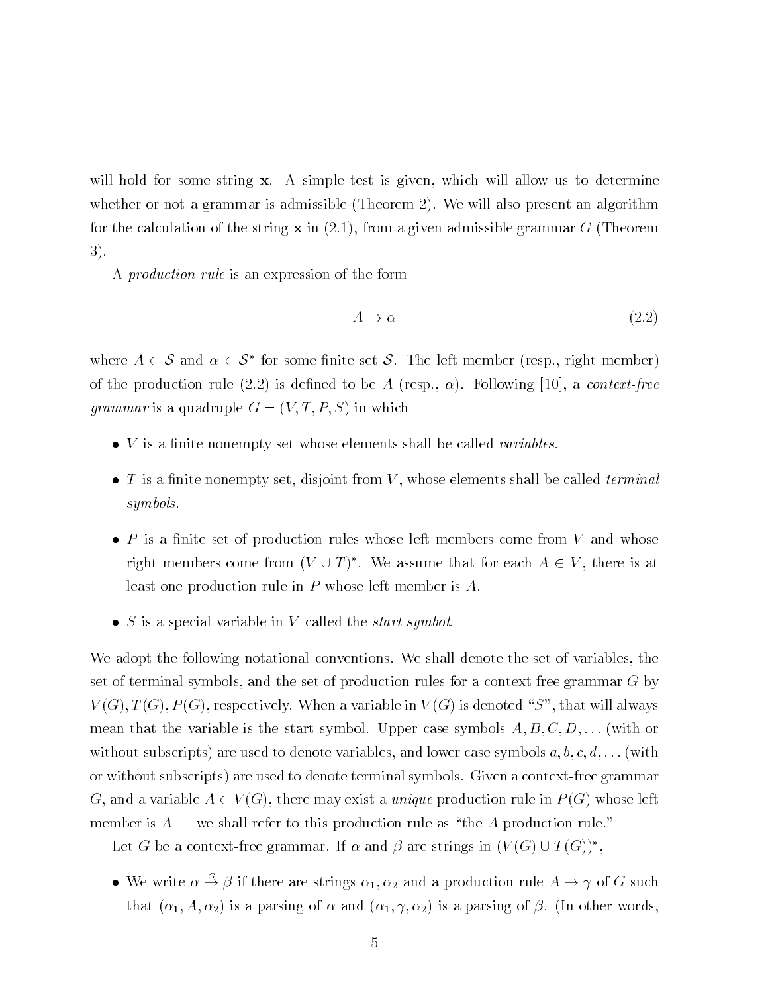will hold for some string  $x$ . A simple test is given, which will allow us to determine whether or not a grammar is admissible (Theorem 2). We will also present an algorithm for the calculation of the string  $x$  in  $(2.1)$ , from a given admissible grammar G (Theorem 3).

A *production rule* is an expression of the form

$$
A \to \alpha \tag{2.2}
$$

where  $A \in \mathcal{S}$  and  $\alpha \in \mathcal{S}$  for some limite set  $\mathcal{S}$ . The left member (resp., right member) of the production rule (= i=) is denoted to be transported to be announced the state of the product *grammar* is a quadruple  $G = (V, T, P, S)$  in which

- $\bullet$  V is a finite nonempty set whose elements shall be called variables.
- $\bullet$  T is a finite nonempty set, disjoint from V, whose elements shall be called *terminal* symbols
- $\bullet$  P is a finite set of production rules whose left members come from V and whose right members come from  $(V \cup I)$  . We assume that for each  $A \in V$ , there is at least one production rule in  $P$  whose left member is  $A$ .
- $\bullet$  S is a special variable in V called the *start symbol*.

We adopt the following notational conventions. We shall denote the set of variables, the set of terminal symbols, and the set of production rules for a context-free grammar  $G$  by  $V(G), T(G), P(G)$ , respectively. When a variable in  $V(G)$  is denoted "S", that will always means that the start symbol is the start symbol C D  $\mu$  per case symbols and capped the symbol symbols are co without subscripts are used to denote variables and lower case symbols a power case symposities and lower case or without subscripts) are used to denote terminal symbols. Given a context-free grammar G, and a variable  $A \in V(G)$ , there may exist a *unique* production rule in  $P(G)$  whose left member is  $A$  — we shall refer to this production rule as "the A production rule."

Let G be a context-free grammar. If  $\alpha$  and  $\rho$  are strings in  $\{V \setminus G\} \cup I \setminus G$   $\}$ ,

• We write  $\alpha \to \beta$  if there are strings  $\alpha_1, \alpha_2$  and a production rule  $A \to \gamma$  of G such that is a particle of the particle of the state in the first of the particle of the compact of the state is a p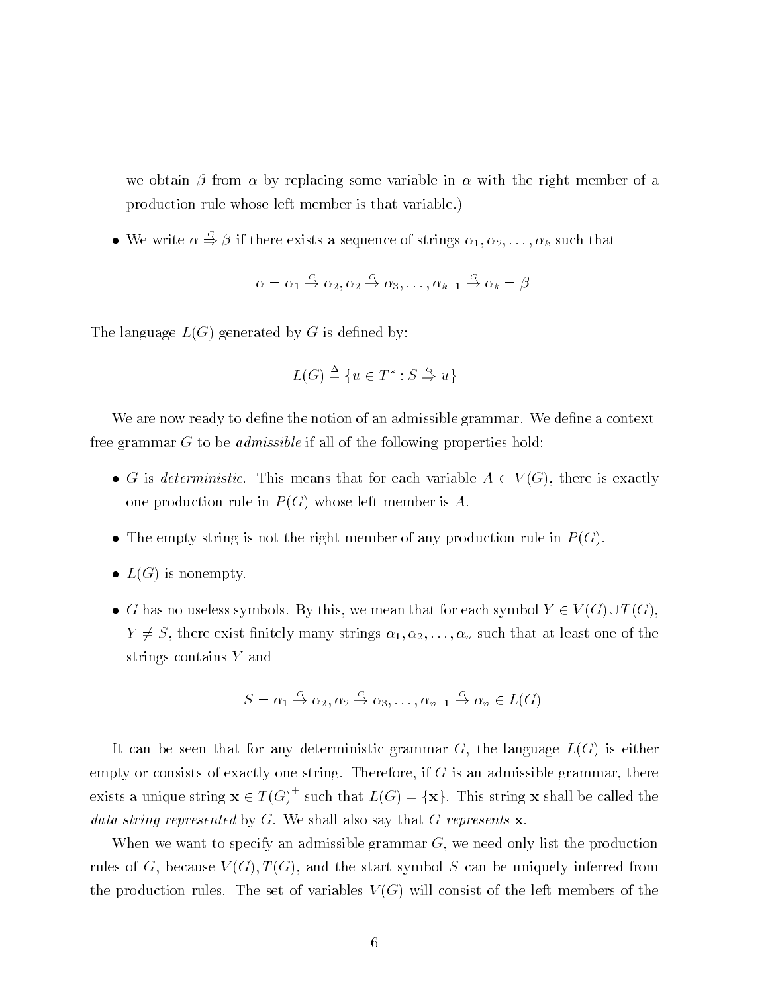we obtain  $\beta$  from  $\alpha$  by replacing some variable in  $\alpha$  with the right member of a production rule whose left member is that variable 

• We write  $\alpha \Rightarrow \beta$  if there exists a sequence of strings  $\alpha_1, \alpha_2, \ldots, \alpha_k$  such that

$$
\alpha = \alpha_1 \stackrel{G}{\rightarrow} \alpha_2, \alpha_2 \stackrel{G}{\rightarrow} \alpha_3, \ldots, \alpha_{k-1} \stackrel{G}{\rightarrow} \alpha_k = \beta
$$

The language  $L(G)$  generated by G is defined by:

$$
L(G) \stackrel{\Delta}{=} \{u \in T^* : S \stackrel{G}{\Rightarrow} u\}
$$

We are now ready to define the notion of an admissible grammar. We define a contextfree grammar  $G$  to be *admissible* if all of the following properties hold:

- G is deterministic. This means that for each variable  $A \in V(G)$ , there is exactly one production rule in  $P(G)$  whose left member is A.
- The empty string is not the right member of any production rule in  $P(G)$ .
- $L(G)$  is nonempty.
- G has no useless symbols. By this, we mean that for each symbol  $Y \in V(G) \cup T(G)$ , Y S there exist nitely many strings ----n such that at least one of the strings contains Y and

$$
S = \alpha_1 \stackrel{G}{\to} \alpha_2, \alpha_2 \stackrel{G}{\to} \alpha_3, \dots, \alpha_{n-1} \stackrel{G}{\to} \alpha_n \in L(G)
$$

It can be seen that for any deterministic grammar G, the language  $L(G)$  is either empty or consists of exactly one string. Therefore, if  $G$  is an admissible grammar, there exists a unique string  $\mathbf{x} \in T(G)$  such that  $L(G) = \{ \mathbf{x} \}$ . This string  $\mathbf{x}$  shall be called the data string represented by  $G$ . We shall also say that  $G$  represents  $\bf{x}$ .

When we want to specify an admissible grammar  $G$ , we need only list the production rules of G, because  $V(G), T(G)$ , and the start symbol S can be uniquely inferred from the production rules. The set of variables  $V(G)$  will consist of the left members of the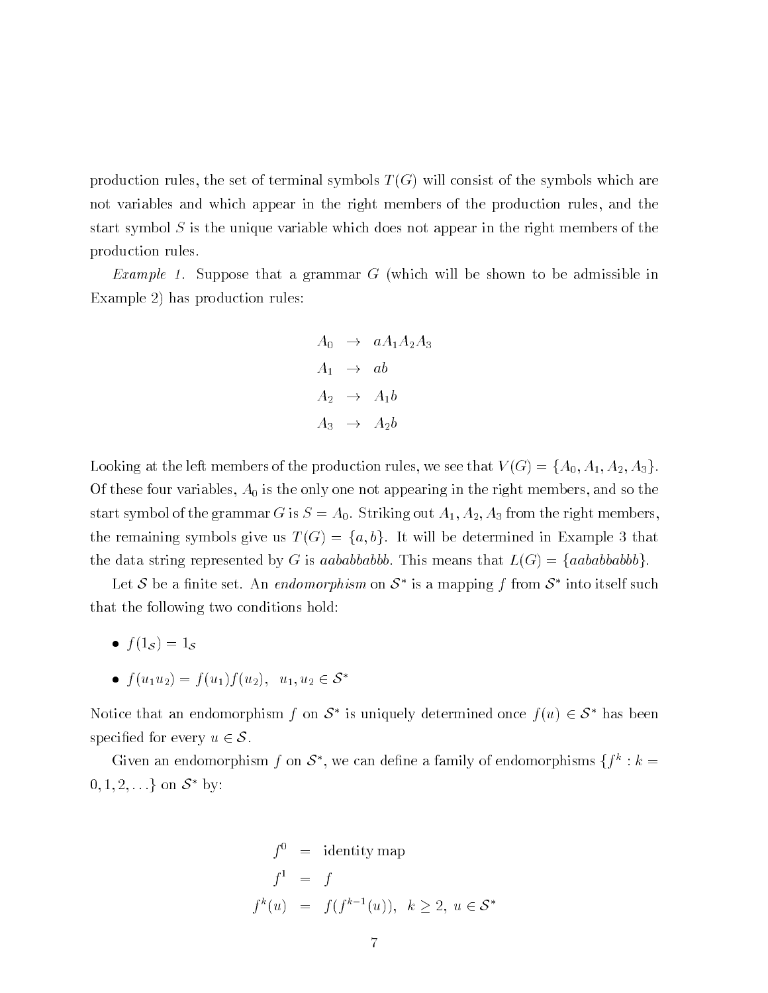production rules, the set of terminal symbols  $T(G)$  will consist of the symbols which are not variables and which appear in the right members of the production rules, and the start symbol  $S$  is the unique variable which does not appear in the right members of the production rules

Example - Suppose that a grammar G which will be shown to be admissible in Example 2) has production rules:

$$
A_0 \rightarrow aA_1A_2A_3
$$
  
\n
$$
A_1 \rightarrow ab
$$
  
\n
$$
A_2 \rightarrow A_1b
$$
  
\n
$$
A_3 \rightarrow A_2b
$$

Looking at the left members of the production rules we see that V G fA A A- Ag Of these four variables,  $A_0$  is the only one not appearing in the right members, and so the start symbol of the grammar G is S A Striking out A A- A from the right members the remaining symbols give us  $T(G) = \{a, b\}$ . It will be determined in Example 3 that the data string represented by G is aababbabbb. This means that  $L(G) = \{aababbbb\}$ .

Let  $S$  be a nnite set. An *endomorphism* on  $S$  is a mapping f from  $S$  -mto itself such that the following two conditions hold

- $f(1_S) = 1_S$
- $\bullet$   $f(u_1u_2) = f(u_1)f(u_2), u_1, u_2 \in \mathcal{O}$

Notice that an endomorphism f on  $\delta$  is uniquely determined once  $f(u) \in \delta$  has been specified for every  $u \in \mathcal{S}$ .

Given an endomorphism from  $\delta$  , we can define a family of endomorphisms  $\{\tau : \kappa =$  $\cup$ ,  $1, 2, \ldots$  on  $\cup$  Dy:

$$
f^{0} = \text{identity map}
$$
  
\n
$$
f^{1} = f
$$
  
\n
$$
f^{k}(u) = f(f^{k-1}(u)), \quad k \ge 2, \ u \in \mathcal{S}^{*}
$$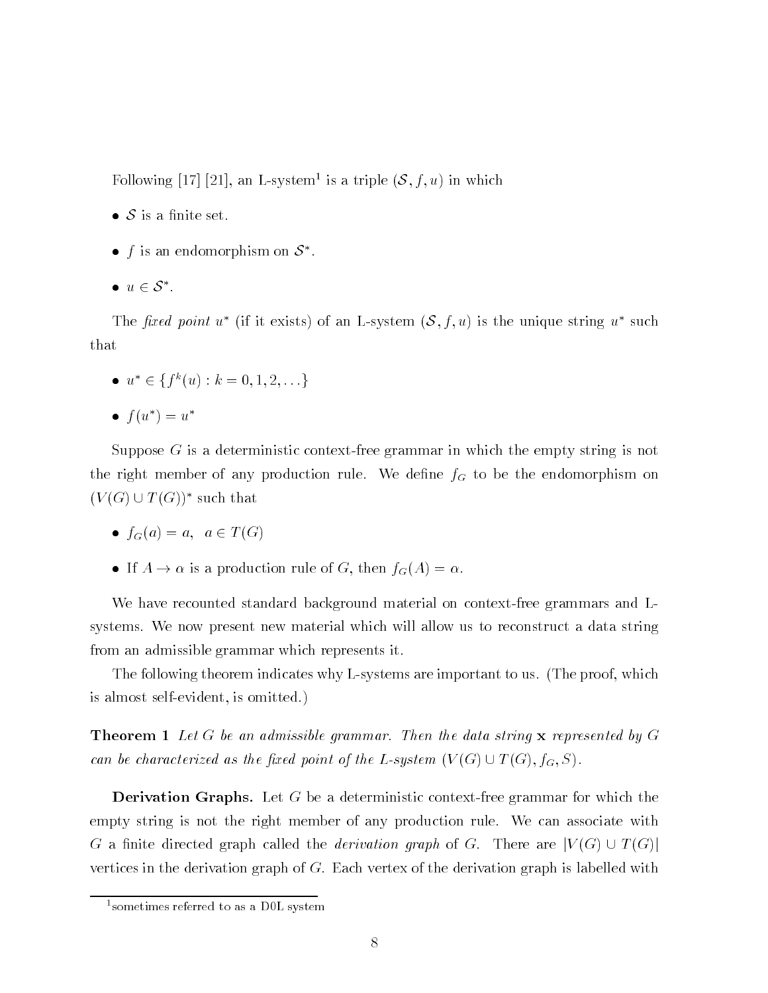Following  $[11]$   $[21]$ , an L-system is a triple  $\{8, 7, u\}$  in which

- $\bullet$  S is a finite set.
- $\bullet$  is an endomorphism on  $\circ$  .
- $u \in \mathcal{S}$  .

The fixed point u<sup>\*</sup> (if it exists) of an L-system  $(S, f, u)$  is the unique string u<sup>\*</sup> such that

 $u_{i} \in \{f \mid u : k = 0, 1, 2, \ldots \}$ and the contract of the contract of the contract of the contract of the contract of

$$
\bullet \ f(u^*) = u^*
$$

Suppose  $G$  is a deterministic context-free grammar in which the empty string is not the right member of any production rule. We define  $f_G$  to be the endomorphism on  $(V(G) \cup T(G))^*$  such that

- $f_G(a) = a, a \in T(G)$
- If  $A \to \alpha$  is a production rule of G, then  $f_G(A) = \alpha$ .

We have recounted standard background material on context-free grammars and Lsystems. We now present new material which will allow us to reconstruct a data string from an admissible grammar which represents it

The following theorem indicates why L-systems are important to us. (The proof, which is almost self-evident, is omitted.)

**Theorem 1** Let G be an admissible grammar. Then the data string  $x$  represented by G can be characterized as the fixed point of the L-system  $(V(G) \cup T(G), f_G, S)$ .

**Derivation Graphs.** Let G be a deterministic context-free grammar for which the empty string is not the right member of any production rule. We can associate with G a finite directed graph called the *derivation graph* of G. There are  $|V(G) \cup T(G)|$ vertices in the derivation graph of  $G$ . Each vertex of the derivation graph is labelled with

sometimes referred to as a DUL system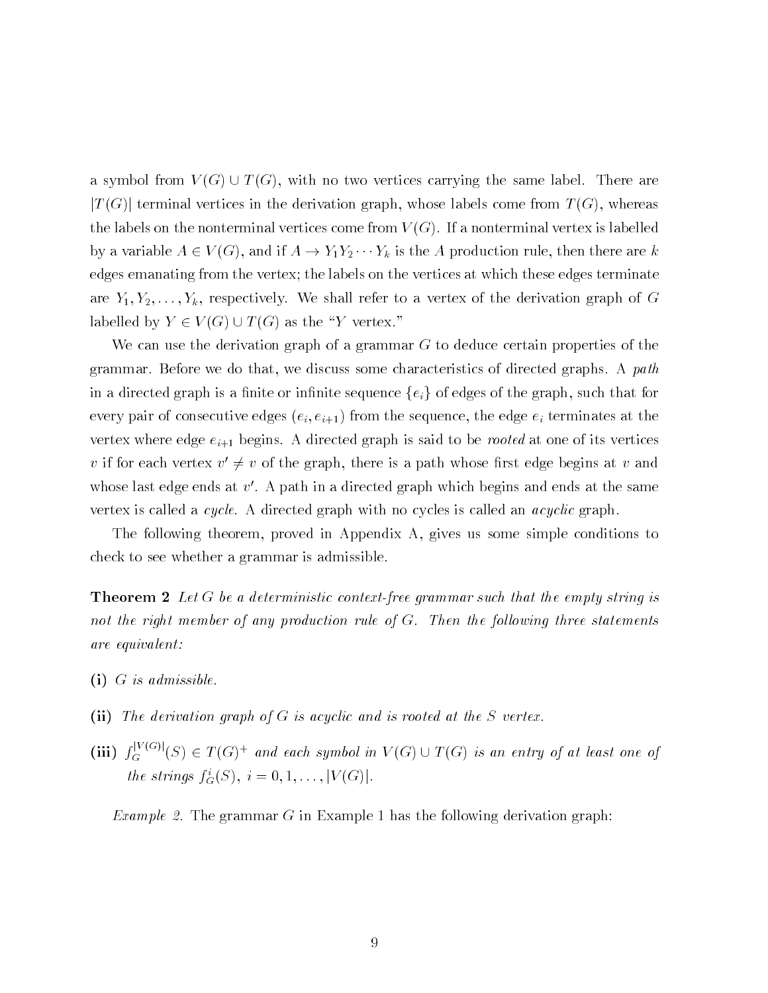a symbol from  $V(G) \cup T(G)$ , with no two vertices carrying the same label. There are  $|T(G)|$  terminal vertices in the derivation graph, whose labels come from  $T(G)$ , whereas the labels on the nonterminal vertices come from  $V(G)$ . If a nonterminal vertex is labelled by a set  $A = \{y \mid y \in A \}$  is the A production rule then the A  $y$ edges emanating from the vertex; the labels on the vertices at which these edges terminate are Y Y----Yk respectively We shall refer to a vertex of the derivation graph of <sup>G</sup> labelled by  $Y \in V(G) \cup T(G)$  as the "Y vertex."

We can use the derivation graph of a grammar  $G$  to deduce certain properties of the grammar. Before we do that, we discuss some characteristics of directed graphs. A path in a directed graph is a finite or infinite sequence  $\{e_i\}$  of edges of the graph, such that for every pair of consecutive edges  $(e_i, e_{i+1})$  from the sequence, the edge  $e_i$  terminates at the vertex where edge  $e_{i+1}$  begins. A directed graph is said to be *rooted* at one of its vertices v if for each vertex  $v' \neq v$  of the graph, there is a path whose first edge begins at v and whose last edge ends at  $v'$ . A path in a directed graph which begins and ends at the same vertex is called a *cycle*. A directed graph with no cycles is called an *acyclic* graph.

The following theorem, proved in Appendix A, gives us some simple conditions to check to see whether a grammar is admissible

**Theorem 2** Let G be a deterministic context-free grammar such that the empty string is not the right member of any production rule of  $G$ . Then the following three statements are equivalent

- -i G is admissible
- -ii The derivation graph of G is acyclic and is rooted at the S vertex
- (iii)  $f_G^{(N^{(n)})}(S) \in T(G)^+$  and each symbol in  $V(G) \cup T(G)$  is an entry of at least one of the strings  $j_{\tilde{G}}(S)$ ,  $i = 0, 1, \ldots, |V(G)|$ .

Example 2. The grammar G in Example 1 has the following derivation graph: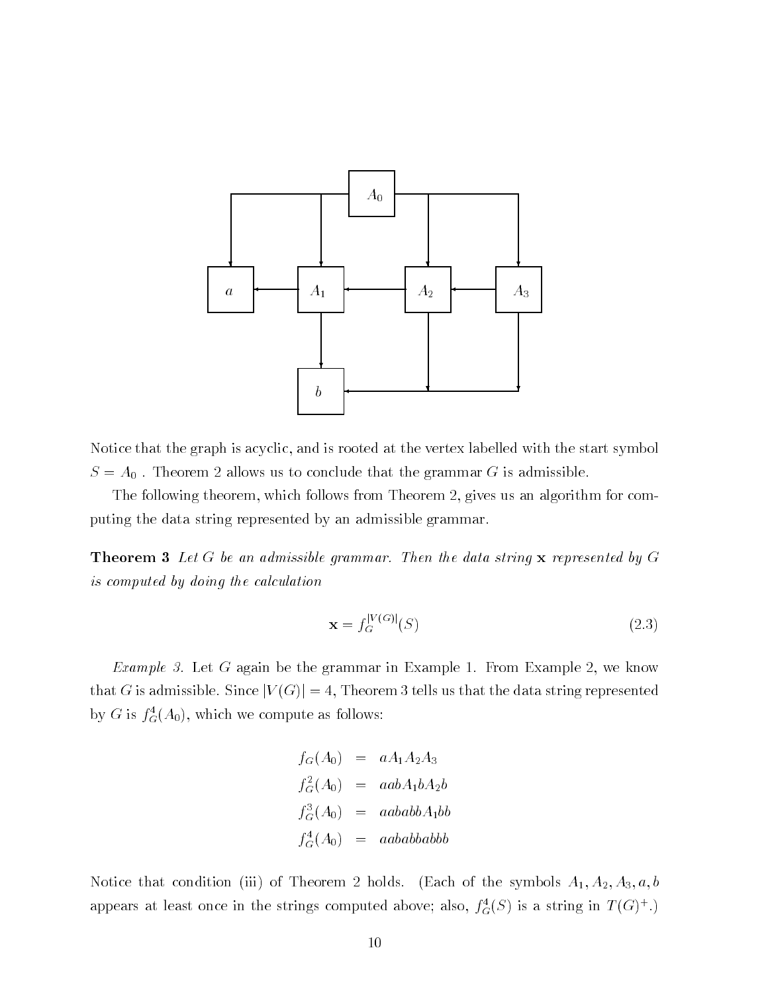

Notice that the graph is acyclic, and is rooted at the vertex labelled with the start symbol  $S = A_0$ . Theorem 2 allows us to conclude that the grammar G is admissible.

The following theorem, which follows from Theorem 2, gives us an algorithm for computing the data string represented by an admissible grammar

**Theorem 3** Let G be an admissible grammar. Then the data string  $x$  represented by G is computed by doing the calculation

$$
\mathbf{x} = f_G^{|V(G)|}(S) \tag{2.3}
$$

*Example 3.* Let G again be the grammar in Example 1. From Example 2, we know that G is admissible. Since  $|V(G)| = 4$ , Theorem 3 tells us that the data string represented by G is  $j_{\tilde{G}}(A_0)$ , which we compute as follows:

$$
f_G(A_0) = aA_1A_2A_3
$$
  
\n
$$
f_G^2(A_0) = aabA_1bA_2b
$$
  
\n
$$
f_G^3(A_0) = aababbA_1bb
$$
  
\n
$$
f_G^4(A_0) = aababbabb
$$

Notice that condition iii of Theorem holds Each of the symbols A A- A a b appears at least once in the strings computed above; also,  $J_{G}(S)$  is a string in  $I(G)^{+}$ .)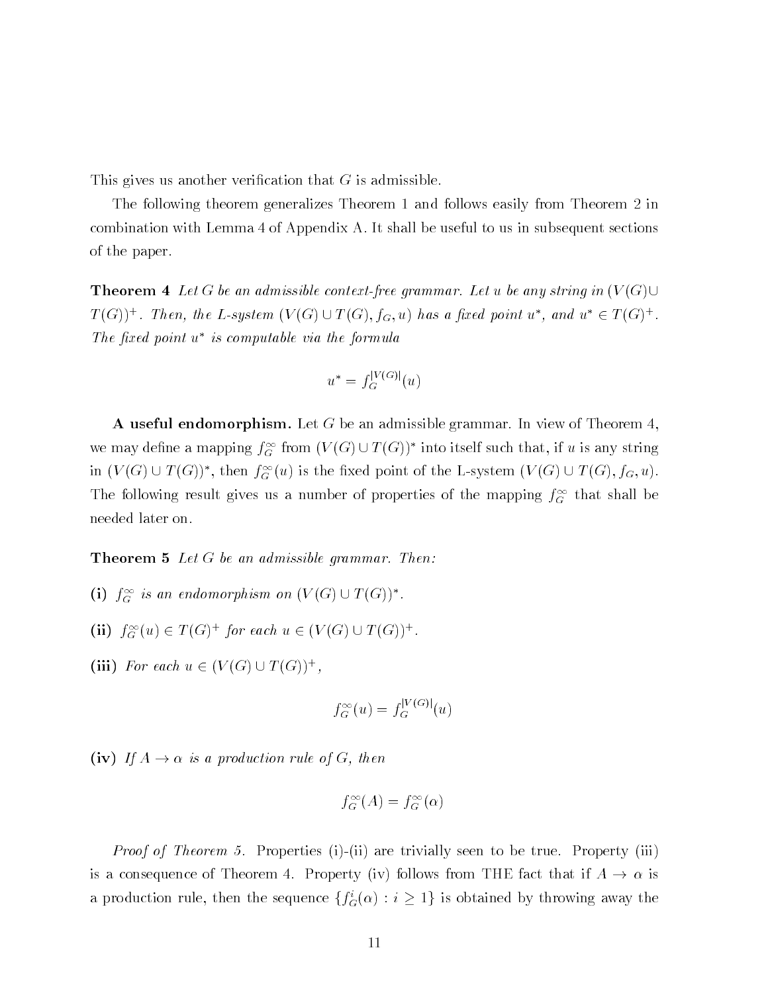This gives us another verification that  $G$  is admissible.

The following theorem generalizes Theorem 1 and follows easily from Theorem 2 in combination with Lemma 4 of Appendix A. It shall be useful to us in subsequent sections of the paper

**Theorem 4** Let G be an admissible context-free grammar. Let u be any string in  $(V(G) \cup$  $T(G)$ )'. Then, the L-system  $(V(G) \cup T(G), f_G, u)$  has a jixed point  $u$  , and  $u \in T(G)$ '. Ine jixea point a is computable via the formula

$$
u^* = f_G^{|V(G)|}(u)
$$

**A** useful endomorphism. Let G be an admissible grammar. In view of Theorem 4. we may define a mapping  $f_{G}^{-}$  from  $(V(G) \cup I(G))$  -mio itself such that, if u is any string in  $V(G) \cup I(G)$ , then  $J_G(u)$  is the fixed point of the L-system  $V(G) \cup I(G), J_G(u)$ . The following result gives us a number of properties of the mapping  $f_G$  that shall be needed later on

**Theorem 5** Let  $G$  be an admissible grammar. Then:

- (1)  $J_G$  is an endomorphism on  $(V(G) \cup I(G))$ .
- $\text{(II)}$   $J_G^{\alpha}(u) \in I(G)$  for each  $u \in (V(G) \cup I(G))$ .
- (III) For each  $u \in (V(G) \cup I(G))$ ,

$$
f_G^{\infty}(u) = f_G^{|V(G)|}(u)
$$

 $i$  is a production rule of  $i$  and  $i$  and  $i$  and  $i$  and  $i$  and  $i$  and  $i$  and  $i$  and  $i$  and  $i$  and  $i$  and  $i$  and  $i$  and  $i$  and  $i$  and  $i$  and  $i$  and  $i$  and  $i$  and  $i$  and  $i$  and  $i$  and  $i$  and  $i$  and

$$
f_G^{\infty}(A) = f_G^{\infty}(\alpha)
$$

*Proof of Theorem 5.* Properties (i)-(ii) are trivially seen to be true. Property (iii) is a consequence of Theorem 4. Property (iv) follows from THE fact that if  $A \to \alpha$  is a production rule, then the sequence  $\{f_G(\alpha): i\geq 1\}$  is obtained by throwing away the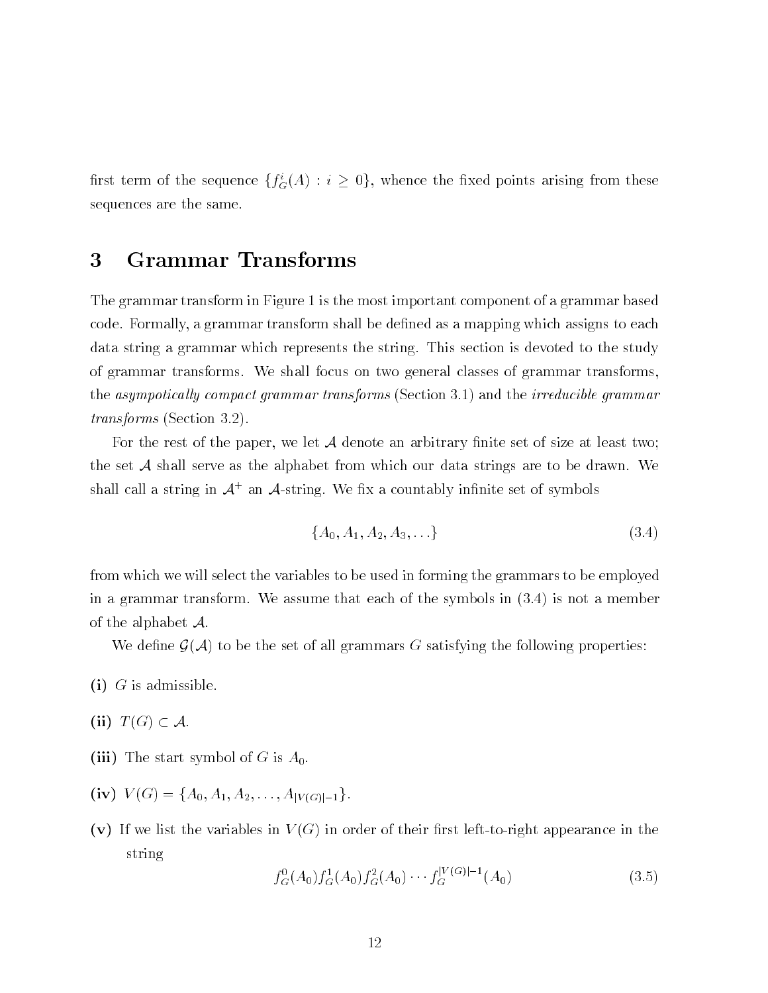first term of the sequence  $\{f_G(A) : i \geq 0\}$ , whence the fixed points arising from these sequences are the same

## Grammar Transforms 3

The grammar transform in Figure 1 is the most important component of a grammar based code. Formally, a grammar transform shall be defined as a mapping which assigns to each data string a grammar which represents the string. This section is devoted to the study of grammar transforms. We shall focus on two general classes of grammar transforms, the asympotically compact grammar transforms (Section 3.1) and the *irreducible grammar*  $transforms (Section 3.2).$ 

For the rest of the paper, we let  $A$  denote an arbitrary finite set of size at least two; the set  $A$  shall serve as the alphabet from which our data strings are to be drawn. We shall call a string in  $\mathcal{A}^+$  an  $\mathcal{A}$ -string. We fix a countably infinite set of symbols

$$
\{A_0, A_1, A_2, A_3, \ldots\} \tag{3.4}
$$

from which we will select the variables to be used in forming the grammars to be employed in a grammar transform. We assume that each of the symbols in  $(3.4)$  is not a member of the alphabet  $\mathcal{A}$ .

We define  $\mathcal{G}(\mathcal{A})$  to be the set of all grammars G satisfying the following properties:

- $\blacksquare$ i G $\blacksquare$ i G $\blacksquare$
- -ii T G A
- ii The start symbol of G is A start symbol of  $\mathcal{L}$
- -iv V G fA A A----AjV Gj-g
- -v If we list the variables in V G in order of their rst lefttoright appearance in the string

$$
f_G^0(A_0) f_G^1(A_0) f_G^2(A_0) \cdots f_G^{|V(G)|-1}(A_0)
$$
\n(3.5)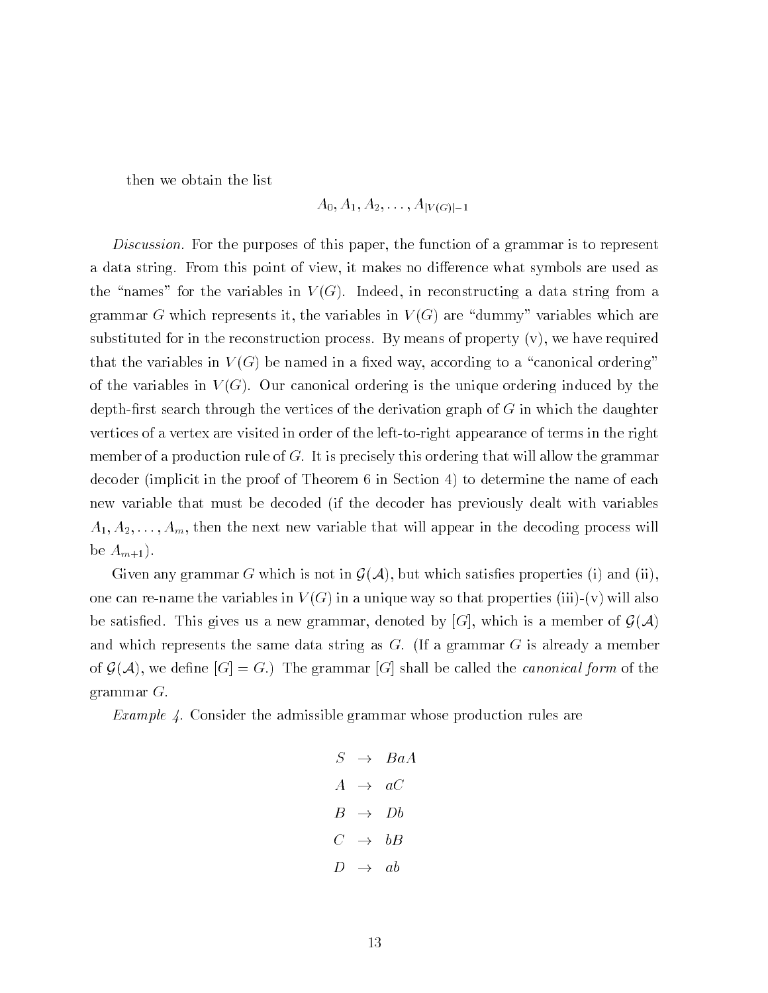then we obtain the list

$$
A_0,A_1,A_2,\ldots,A_{|V(G)|-1}
$$

Discussion. For the purposes of this paper, the function of a grammar is to represent a data string From this point of view it makes no dithe "names" for the variables in  $V(G)$ . Indeed, in reconstructing a data string from a grammar G which represents it, the variables in  $V(G)$  are "dummy" variables which are substituted for in the reconstruction process. By means of property  $(v)$ , we have required that the variables in  $V(G)$  be named in a fixed way, according to a "canonical ordering" of the variables in  $V(G)$ . Our canonical ordering is the unique ordering induced by the depth-first search through the vertices of the derivation graph of  $G$  in which the daughter vertices of a vertex are visited in order of the left-to-right appearance of terms in the right member of a production rule of  $G$ . It is precisely this ordering that will allow the grammar decoder (implicit in the proof of Theorem  $6$  in Section  $4$ ) to determine the name of each new variable that must be decoded (if the decoder has previously dealt with variables A A----Am then the next new variable that will appear in the decoding process will be  $A_{m+1}$ ).

Given any grammar G which is not in  $\mathcal{G}(\mathcal{A})$ , but which satisfies properties (i) and (ii), one can re-name the variables in  $V(G)$  in a unique way so that properties (iii)-(v) will also  $\mathcal{L}$  satisfactor  $\mathcal{L}$  and  $\mathcal{L}$  are member of GAC which is a member of GAC which is a member of GAC which is a member of GAC which is a member of GAC which is a member of GAC which is a member of GAC which is a and which represents the same data string as  $G$ . (If a grammar  $G$  is already a member of Galaxie we denote the grammar  $\mathcal{A}$  and called the called the canonical form of the canonical form of the canonical form of the canonical form of the canonical form of the canonical form of the canonical form of the grammar  $G$ .

 $\mathcal{L}$  . The admissible the admissible grammatic vector  $\mathcal{L}$  , and  $\mathcal{L}$  are  $\mathcal{L}$  . The admissible same  $\mathcal{L}$ 

$$
S \rightarrow BaA
$$
  

$$
A \rightarrow aC
$$
  

$$
B \rightarrow Db
$$
  

$$
C \rightarrow bB
$$
  

$$
D \rightarrow ab
$$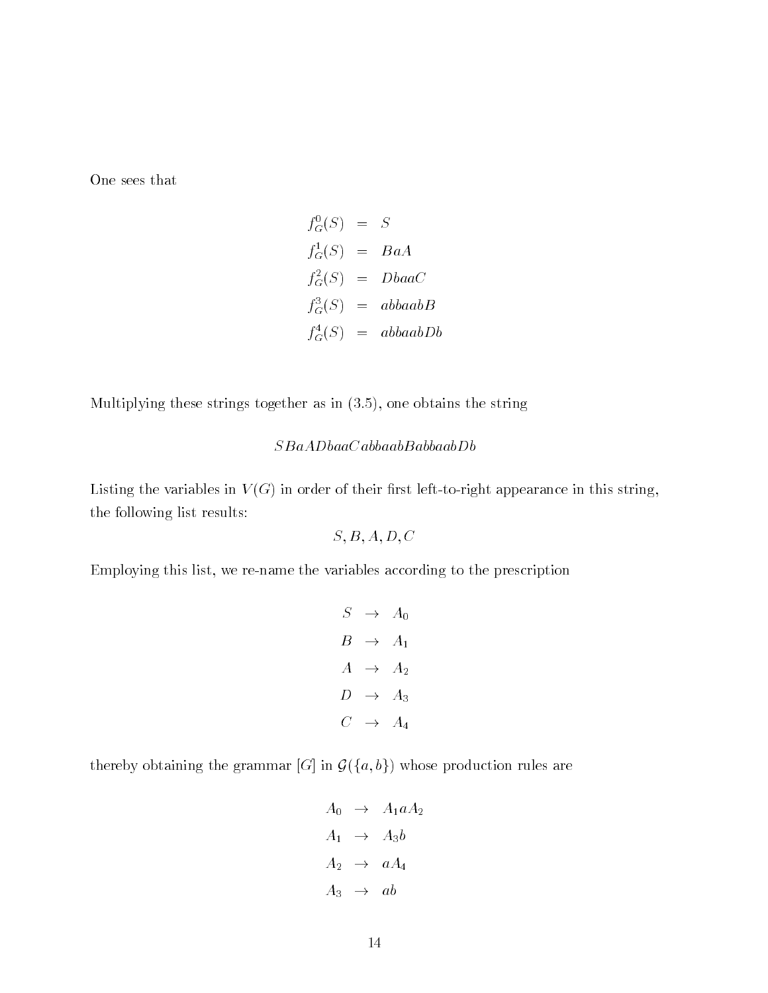One sees that

$$
f_G^0(S) = S
$$
  
\n
$$
f_G^1(S) = BaA
$$
  
\n
$$
f_G^2(S) = DbaaC
$$
  
\n
$$
f_G^3(S) = abbaabB
$$
  
\n
$$
f_G^4(S) = abbaabDb
$$

Multiplying these strings together as in  $(3.5)$ , one obtains the string

## $SBaADbaaCabbaabBabbaabDb$

Listing the variables in  $V(G)$  in order of their first left-to-right appearance in this string, the following list results

$$
S,B,A,D,C
$$

Employing this list, we re-name the variables according to the prescription

$$
S \rightarrow A_0
$$
  
\n
$$
B \rightarrow A_1
$$
  
\n
$$
A \rightarrow A_2
$$
  
\n
$$
D \rightarrow A_3
$$
  
\n
$$
C \rightarrow A_4
$$

 $\mathcal{G}$  is a construction of grammatic production  $\mathcal{G}$  , in  $\mathcal{G}$  ,  $\mathcal{G}$  , are production rules are  $\mathcal{G}$ 

$$
A_0 \rightarrow A_1 a A_2
$$
  
\n
$$
A_1 \rightarrow A_3 b
$$
  
\n
$$
A_2 \rightarrow a A_4
$$
  
\n
$$
A_3 \rightarrow ab
$$

A about the contract of the contract of the contract of the contract of the contract of the contract of the contract of the contract of the contract of the contract of the contract of the contract of the contract of the co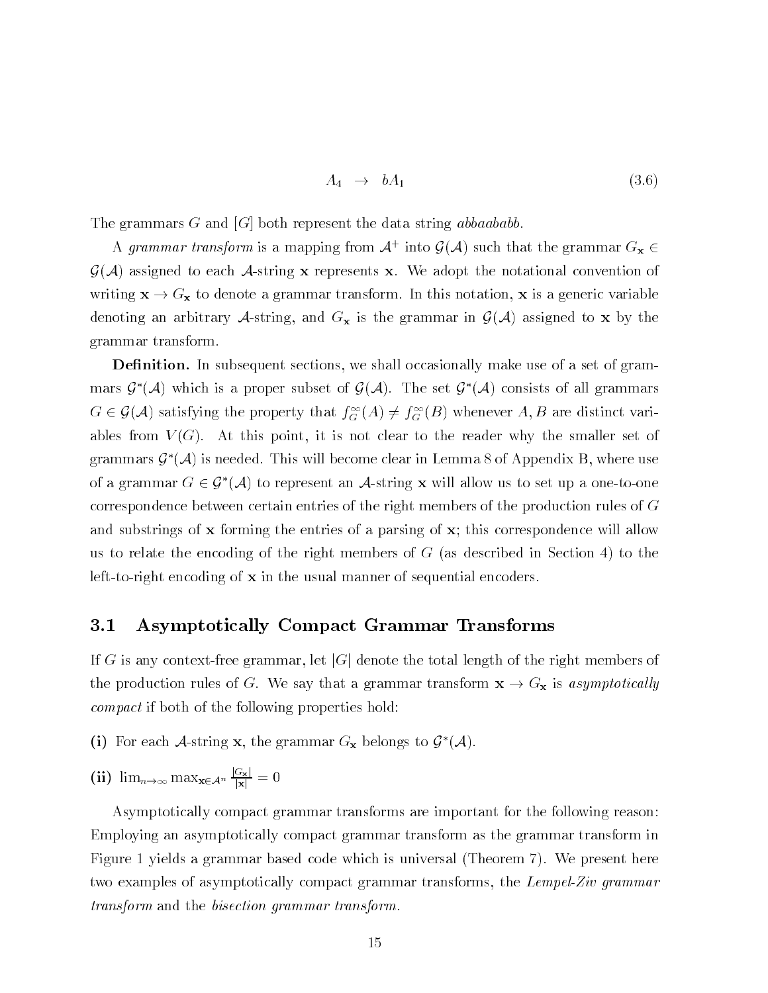$$
A_4 \rightarrow bA_1 \tag{3.6}
$$

The grammars G and G and G and G and G and G and G and G and G and G and G and G and G and G and G and G and G and G and G and G and G and G and G and G and G and G and G and G and G and G and G and G and G and G and G an

A grammar transform is a mapping from  $A^+$  into  $\mathcal{G}(A)$  such that the grammar  $\mathrm{G}_{\mathbf{X}}\in$  $G(\mathcal{A})$  assigned to each  $\mathcal{A}$ -string x represents x. We adopt the notational convention of writing  $\mathbf{x} \to G_{\mathbf{x}}$  to denote a grammar transform. In this notation,  $\mathbf{x}$  is a generic variable denoting an arbitrary A-string, and  $G_x$  is the grammar in  $\mathcal{G}(\mathcal{A})$  assigned to x by the grammar transform

**Definition.** In subsequent sections, we shall occasionally make use of a set of grammars  $\mathcal{G}^*(\mathcal{A})$  which is a proper subset of  $\mathcal{G}(\mathcal{A})$ . The set  $\mathcal{G}^*(\mathcal{A})$  consists of all grammars  $G \in \mathcal{G}(\mathcal{A})$  satisfying the property that  $f_G(A) \neq f_G(D)$  whenever  $A, D$  are distinct variables from  $V(G)$ . At this point, it is not clear to the reader why the smaller set of grammars  $\mathcal{G}^*(\mathcal{A})$  is needed. This will become clear in Lemma 8 of Appendix B, where use of a grammar  $G \in \mathcal{G}^*(\mathcal{A})$  to represent an A-string **x** will allow us to set up a one-to-one correspondence between certain entries of the right members of the production rules of G and substrings of  $x$  forming the entries of a parsing of  $x$ ; this correspondence will allow us to relate the encoding of the right members of  $G$  (as described in Section 4) to the left-to-right encoding of  $x$  in the usual manner of sequential encoders.

#### $3.1$ Asymptotically Compact Grammar Transforms

If G is any context-free grammar, let  $|G|$  denote the total length of the right members of the production rules of G. We say that a grammar transform  $\mathbf{x} \to G_{\mathbf{x}}$  is asymptotically compact if both of the following properties hold:

- (1) For each  $A$ -string x, the grammar  $G_X$  belongs to  $\mathcal G$  (A).
- (ii)  $\lim_{n\to\infty} \max_{\mathbf{x}\in\mathcal{A}^n} \frac{\mathbf{z}}{|\mathbf{x}|} = 0$

Asymptotically compact grammar transforms are important for the following reason Employing an asymptotically compact grammar transform as the grammar transform in Figure 1 yields a grammar based code which is universal (Theorem 7). We present here two examples of asymptotically compact grammar transforms, the Lempel-Ziv grammar transform and the bisection grammar transform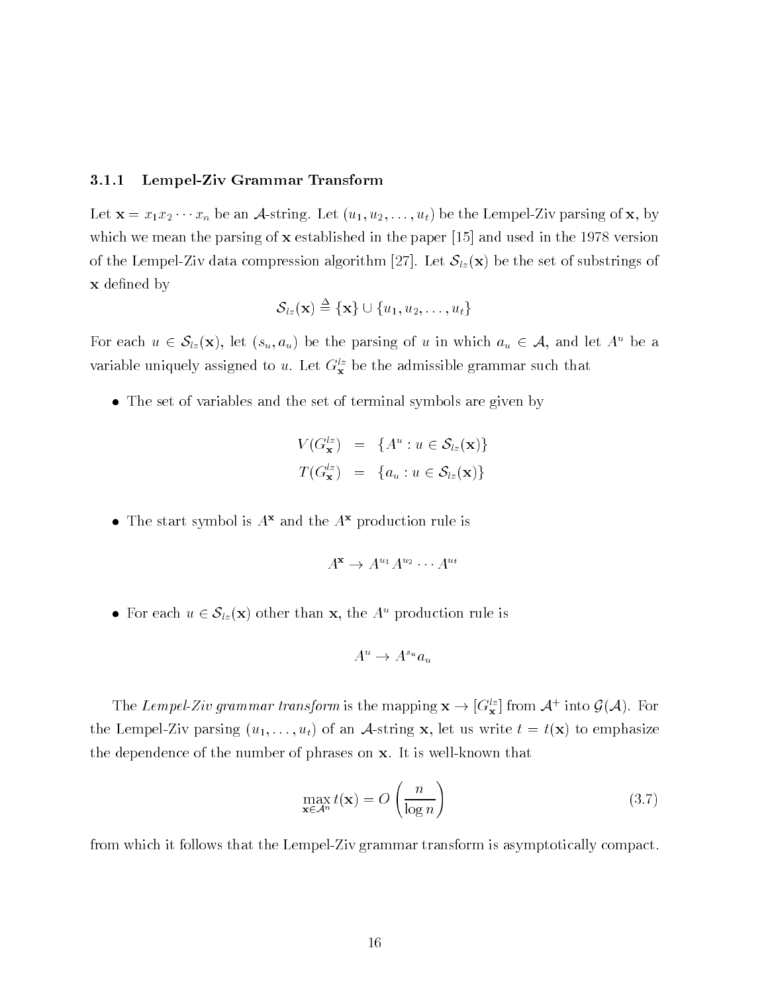## Lempel Ziv Grammar Transform

ال والمستخدم المستخدم المستخدمات المستخدم المستخدمات المستخدمات المستخدمات المستخدمات المستخدمات المستخدمات الم which we mean the parsing it is communicated in the paper of paper in the second in the contract of the Lempel of the state compression algorithm (Let  $\mathsf{L}$  algorithm algorithm of substrate compression of **x** defined by

$$
\mathcal{S}_{lz}(\mathbf{x}) \stackrel{\Delta}{=} \{\mathbf{x}\} \cup \{u_1, u_2, \ldots, u_t\}
$$

For each  $u \in \mathcal{S}_{z}(\mathbf{x})$ , let  $(s_u, a_u)$  be the parsing of u in which  $a_u \in \mathcal{A}$ , and let  $A^u$  be a variable uniquely assigned to u. Let  $G_{\mathbf{x}}^{lz}$  be the admissible grammar such that

The set of variables and the set of terminal symbols are given by

$$
V(G_{\mathbf{x}}^{lz}) = \{A^u : u \in \mathcal{S}_{lz}(\mathbf{x})\}
$$
  

$$
T(G_{\mathbf{x}}^{lz}) = \{a_u : u \in \mathcal{S}_{lz}(\mathbf{x})\}
$$

• The start symbol is  $A^x$  and the  $A^x$  production rule is

$$
A^{\mathbf{x}} \to A^{u_1} A^{u_2} \cdots A^{u_t}
$$

• For each  $u \in \mathcal{S}_{l}(\mathbf{x})$  other than **x**, the  $A^u$  production rule is

$$
A^u \to A^{s_u} a_u
$$

The Lempel-Zw grammar transform is the mapping  ${\bf x} \to [\sigma_{\bf x}^-]$  from A  $\pm$  mto  ${\bf y}(A)$ . For the LempelZiv parsing u---ut of an Astring x let us write t tx to emphasize the dependence of the number of phrases on  $x$ . It is well-known that

$$
\max_{\mathbf{x} \in \mathcal{A}^n} t(\mathbf{x}) = O\left(\frac{n}{\log n}\right) \tag{3.7}
$$

from which it follows that the Lempel-Ziv grammar transform is asymptotically compact.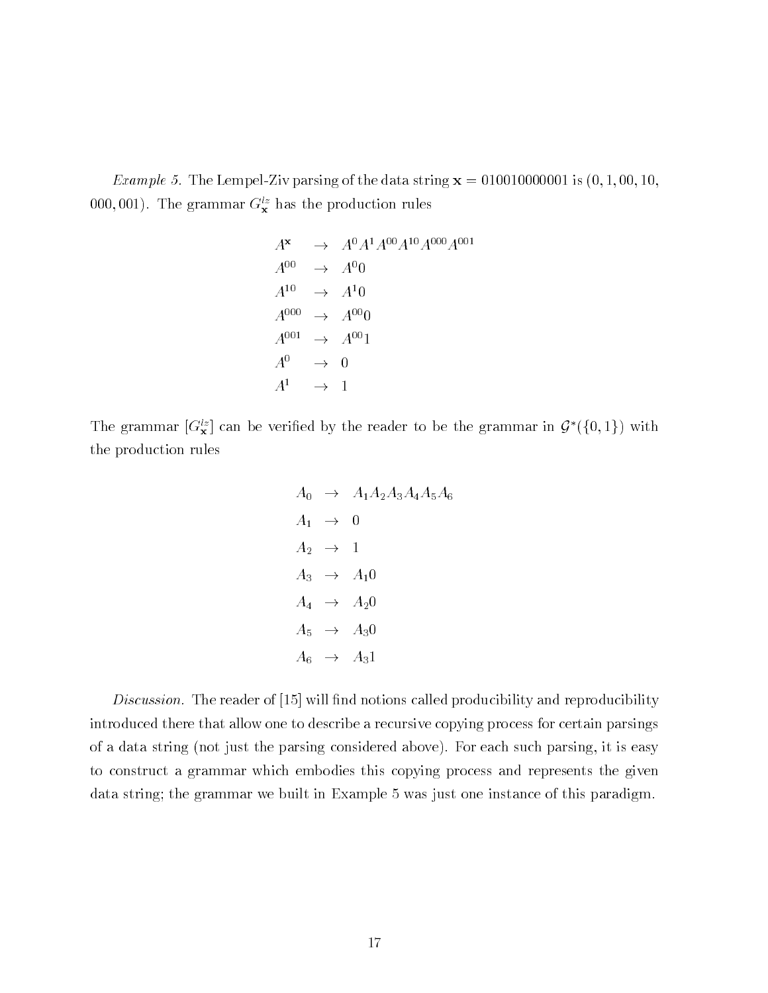*Example 5.* The Lempel-Ziv parsing of the data string  $\mathbf{x} = 010010000001$  is  $(0, 1, 00, 10, 1)$ 000,001). The grammar  $G_{\mathbf{x}}^{lz}$  has the production rules

$$
A^{\mathbf{x}} \rightarrow A^0 A^1 A^{00} A^{10} A^{000} A^{001}
$$
  
\n
$$
A^{00} \rightarrow A^0 0
$$
  
\n
$$
A^{10} \rightarrow A^1 0
$$
  
\n
$$
A^{000} \rightarrow A^{00} 0
$$
  
\n
$$
A^{001} \rightarrow A^{00} 1
$$
  
\n
$$
A^0 \rightarrow 0
$$
  
\n
$$
A^1 \rightarrow 1
$$

The grammar  $[\sigma_x]$  can be verified by the reader to be the grammar in  $\mathcal{G}(\{0,1\})$  with the production rules

$$
A_0 \rightarrow A_1 A_2 A_3 A_4 A_5 A_6
$$
  
\n
$$
A_1 \rightarrow 0
$$
  
\n
$$
A_2 \rightarrow 1
$$
  
\n
$$
A_3 \rightarrow A_1 0
$$
  
\n
$$
A_4 \rightarrow A_2 0
$$
  
\n
$$
A_5 \rightarrow A_3 0
$$
  
\n
$$
A_6 \rightarrow A_3 1
$$

 $\blacksquare$  . The reader of notions called producibility and reproducibility and reproducibility and reproducibility and reproducibility and reproducibility and reproducibility and reproducibility and reproducibility and repro introduced there that allow one to describe a recursive copying process for certain parsings of a data string (not just the parsing considered above). For each such parsing, it is easy to construct a grammar which embodies this copying process and represents the given data string; the grammar we built in Example 5 was just one instance of this paradigm.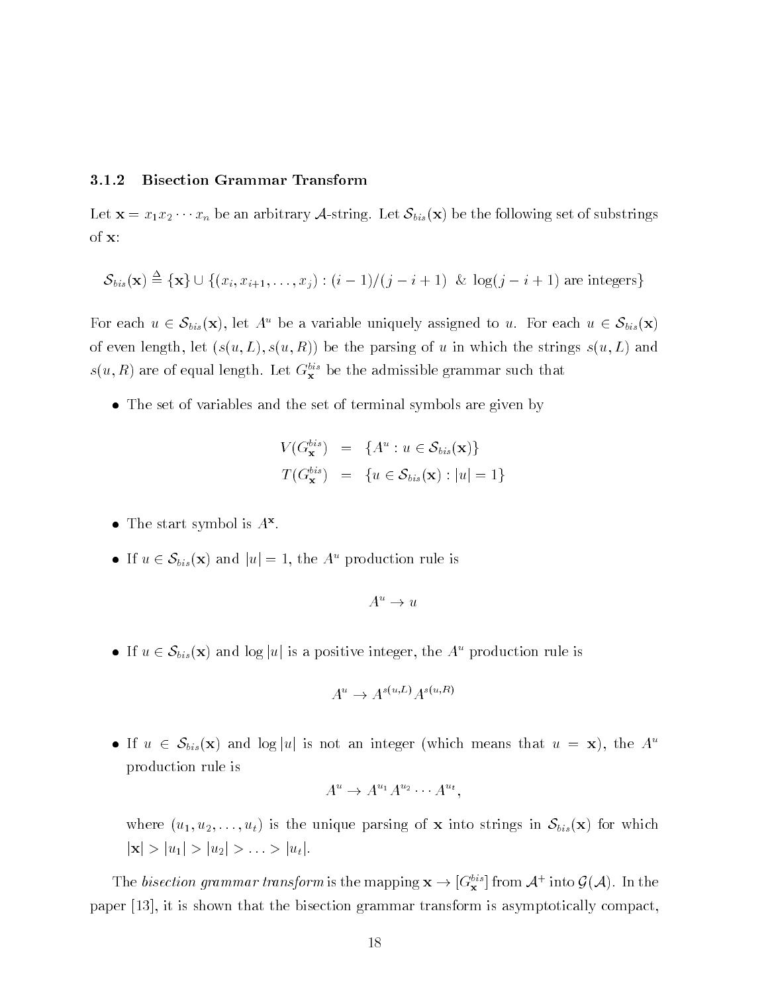## 3.1.2 Bisection Grammar Transform

the contract of the state of the following set of the following set of substrate  $\mu$  and the following set of  $\mu$ of x

$$
\mathcal{S}_{bis}(\mathbf{x}) \triangleq \{\mathbf{x}\} \cup \{(x_i, x_{i+1}, \ldots, x_j): (i-1)/(j-i+1) \And \log(j-i+1) \text{ are integers}\}
$$

For each  $u \in \mathcal{S}_{bis}(\mathbf{x})$ , let  $A^u$  be a variable uniquely assigned to u. For each  $u \in \mathcal{S}_{bis}(\mathbf{x})$ of even length, let  $(s(u, L), s(u, R))$  be the parsing of u in which the strings  $s(u, L)$  and  $s(u, n)$  are of equal length. Let  $G^{\perp}_{\mathbf{x}}$  be the admissible grammar such that

The set of variables and the set of terminal symbols are given by

$$
V(G_{\mathbf{x}}^{bis}) = \{A^u : u \in \mathcal{S}_{bis}(\mathbf{x})\}
$$
  

$$
T(G_{\mathbf{x}}^{bis}) = \{u \in \mathcal{S}_{bis}(\mathbf{x}) : |u| = 1\}
$$

- $\bullet$  The start symbol is  $A^{\mathsf{w}}$ .
- If  $u \in \mathcal{S}_{bis}(\mathbf{x})$  and  $|u|=1$ , the  $A^u$  production rule is

$$
A^u \to u
$$

If  $u \in \mathcal{S}_{bis}(\mathbf{x})$  and  $\log |u|$  is a positive integer, the  $A^u$  production rule is

$$
A^u \to A^{s(u,L)} A^{s(u,R)}
$$

If  $u \in S_{bis}(\mathbf{x})$  and  $\log |u|$  is not an integer (which means that  $u = \mathbf{x}$ ), the  $A^u$ production rule is

$$
A^u \to A^{u_1} A^{u_2} \cdots A^{u_t},
$$

where  $\{v_1\}$  is the unit matrix into string of the string into  $\{v_0\}$  in Sbis $\{v_1\}$  in Sbisson je julij 1998. u junij 1999. u stoletju i provinci u judiju i u julij 1999. u julij 1999. u judi 1999. u stole

The *bisection grammar transform* is the mapping  $x \to [\sigma_x^*]$  from  $A^+$  into  $\mathcal{G}(A)$ . In the paper is the compact that the bisection grammar transform is assessed to the processed compact the compact of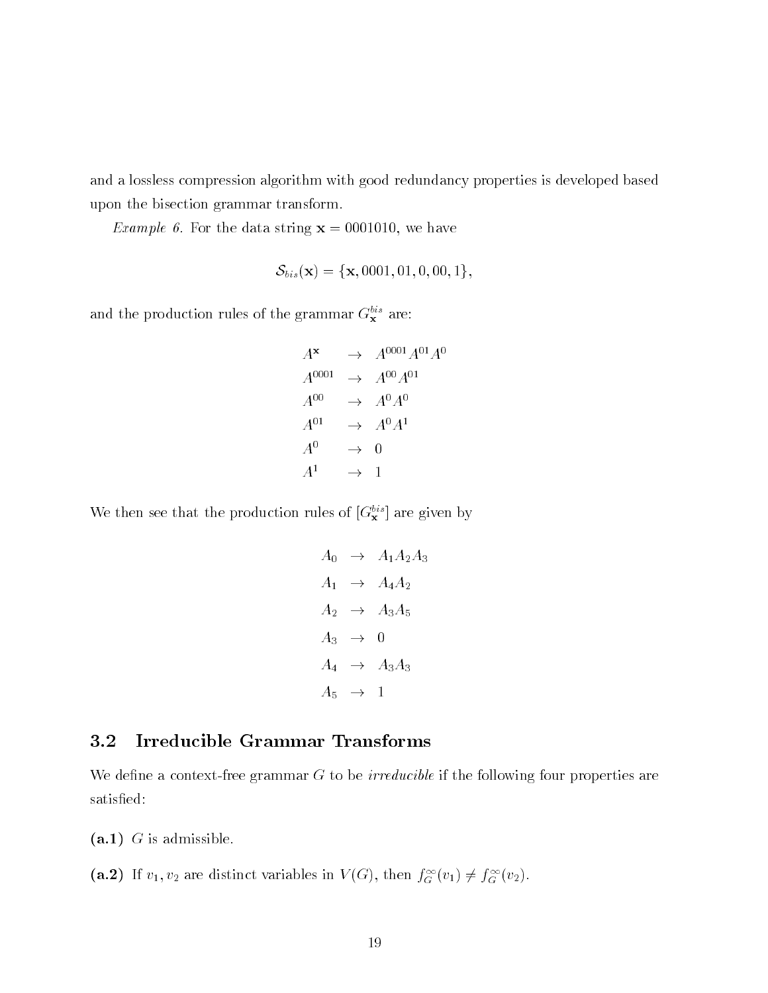and a lossless compression algorithm with good redundancy properties is developed based upon the bisection grammar transform

*Example 6.* For the data string  $x = 0001010$ , we have

$$
\mathcal{S}_{bis}(\mathbf{x}) = \{\mathbf{x}, 0001, 01, 0, 00, 1\},\
$$

and the production rules of the grammar  $G_{\mathbf{x}}$  are:

 $A^{\mathbf{x}} \rightarrow A^{0001}A^{01}A^0$  $A^{0001} \rightarrow A^{00}A^{01}$  $A^{00} \rightarrow A^0 A^0$  $A^{01} \rightarrow A^0 A^1$  $A^0 \rightarrow 0$  $A^1 \rightarrow 1$ 

We then see that the production rules of  $[\mathbf{G}_{\mathbf{x}}^{\dagger}]$  are given by

$$
A_0 \rightarrow A_1 A_2 A_3
$$
  
\n
$$
A_1 \rightarrow A_4 A_2
$$
  
\n
$$
A_2 \rightarrow A_3 A_5
$$
  
\n
$$
A_3 \rightarrow 0
$$
  
\n
$$
A_4 \rightarrow A_3 A_3
$$
  
\n
$$
A_5 \rightarrow 1
$$

## 3.2 Irreducible Grammar Transforms

We define a context-free grammar  $G$  to be *irreducible* if the following four properties are satisfied:

-a G is admissible

(a. 2) If  $v_1, v_2$  are distinct variables in  $V(G)$ , then  $J_G(v_1) \neq J_G(v_2)$ .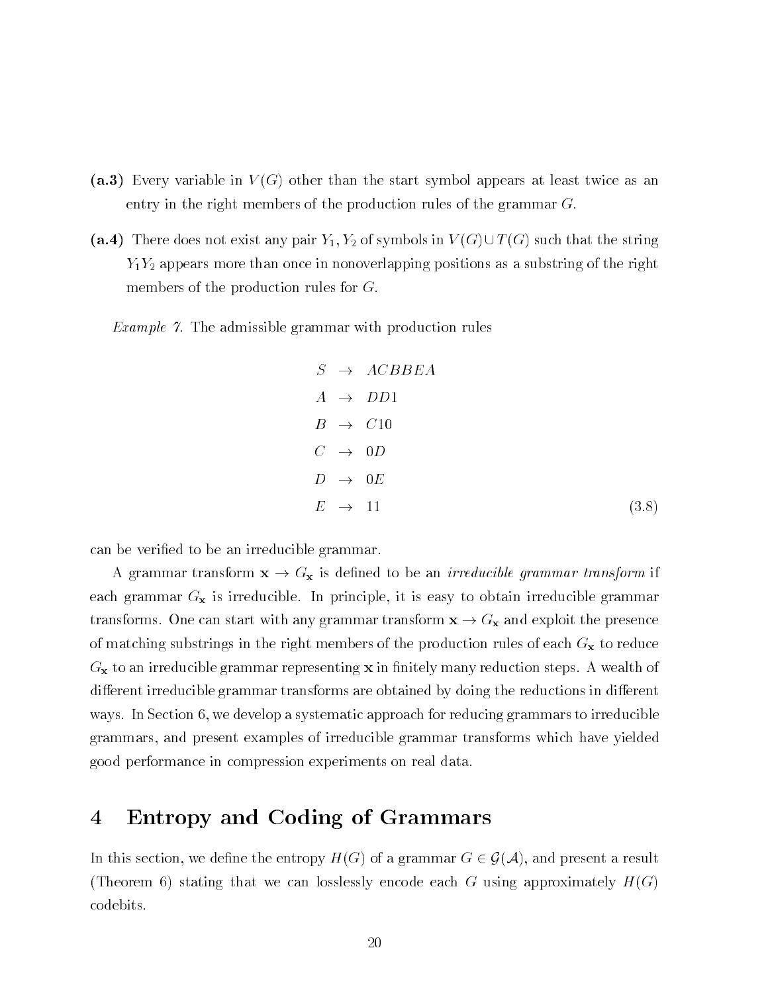- , and a Every variable in V G other than the start symbol appears at least twice and the start twice entry in the right members of the production rules of the grammar  $G$ .
- $\blacksquare$  and the symbols in  $\blacksquare$  of symbols in  $\blacksquare$  such that the string in  $\blacksquare$  $\Box$  and  $\Box$  and  $\Box$  are the right positions as a substring position of the right positions as a substring of the right position  $\Box$ members of the production rules for  $G$ .

*Example 7.* The admissible grammar with production rules

$$
S \rightarrow ACBBEA
$$
  
\n
$$
A \rightarrow DD1
$$
  
\n
$$
B \rightarrow C10
$$
  
\n
$$
C \rightarrow 0D
$$
  
\n
$$
D \rightarrow 0E
$$
  
\n
$$
E \rightarrow 11
$$
 (3.8)

can be verified to be an irreducible grammar.

A grammar transform  $\mathbf{x} \to G_{\mathbf{x}}$  is defined to be an *irreducible grammar transform* if each grammar  $G_x$  is irreducible. In principle, it is easy to obtain irreducible grammar transforms. One can start with any grammar transform  $x \to G_x$  and exploit the presence of matching substrings in the right members of the production rules of each  $G_x$  to reduce  $G_{\mathbf{x}}$  to an irreducible grammar representing  $\mathbf{x}$  in finitely many reduction steps. A wealth of di-erent irreducible grammar transforms are obtained by doing the reductions in di-erent ways. In Section 6, we develop a systematic approach for reducing grammars to irreducible grammars and present examples of irreducible grammar transforms which have yielded good performance in compression experiments on real data

# Entropy and Coding of Grammars

In this section, we define the entropy  $H(G)$  of a grammar  $G \in \mathcal{G}(\mathcal{A})$ , and present a result (Theorem 6) stating that we can losslessly encode each G using approximately  $H(G)$ codebits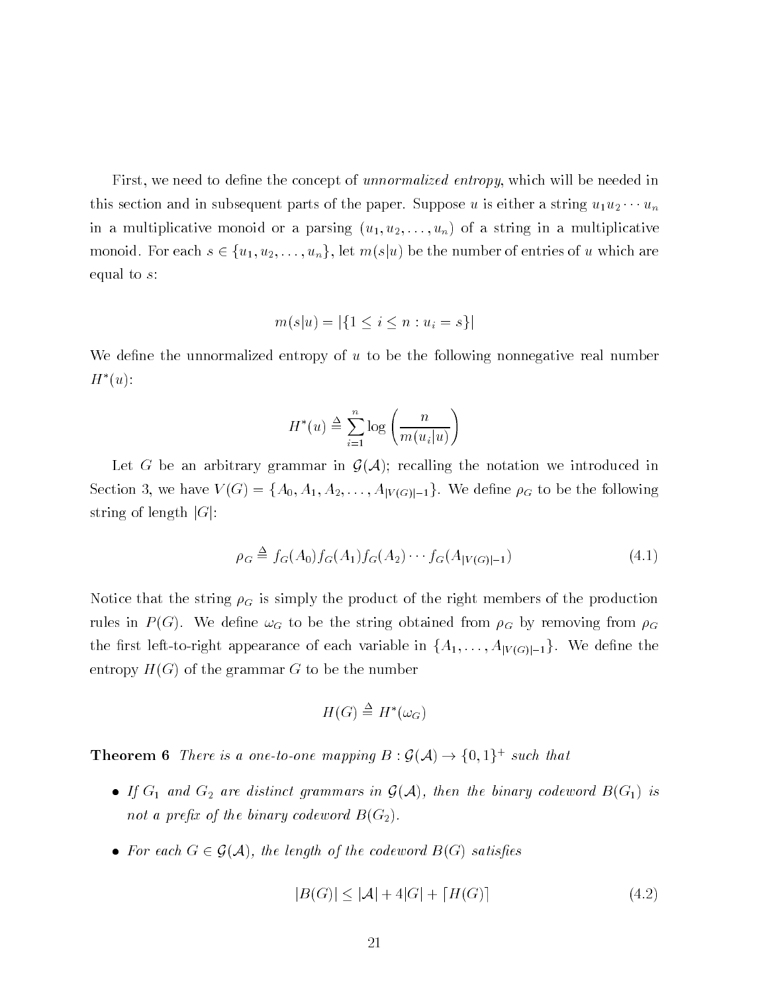First, we need to define the concept of unnormalized entropy, which will be needed in this section and in subsequent parts of the paper Suppose u is either a string uu- --- un in a multiplicative monoid or a parsing u u----un of a string in a multiplicative  $-$  1  $\pm$  1  $\pm$  1  $\pm$  1  $\pm$  10  $\pm$  1  $\pm$  1  $\pm$  1  $\pm$  1  $\pm$  1  $\pm$  1  $\pm$  1  $\pm$  1  $\pm$  1  $\pm$  1  $\pm$  1  $\pm$  1  $\pm$  1  $\pm$  1  $\pm$  1  $\pm$  1  $\pm$  1  $\pm$  1  $\pm$  1  $\pm$  1  $\pm$  1  $\pm$  1  $\pm$  1  $\pm$  1  $\pm$  1  $\pm$  1  $\pm$ equal to s

$$
m(s|u) = |\{1 \le i \le n : u_i = s\}|
$$

We define the unnormalized entropy of  $u$  to be the following nonnegative real number  $H^*(u)$ :

$$
H^*(u) \stackrel{\Delta}{=} \sum_{i=1}^n \log \left( \frac{n}{m(u_i|u)} \right)
$$

Let G be an arbitrary grammar in  $\mathcal{G}(\mathcal{A})$ ; recalling the notation we introduced in e si ster ivital al internetti and for the following the following the following the following the following the following the following the following the following the following the following the following the following t string of length  $|G|$ :

$$
\rho_G \triangleq f_G(A_0) f_G(A_1) f_G(A_2) \cdots f_G(A_{|V(G)|-1}) \tag{4.1}
$$

Notice that the string  $\rho_G$  is simply the product of the right members of the production rules in  $P(G)$ . We define  $\omega_G$  to be the string obtained from  $\rho_G$  by removing from  $\rho_G$ the rest left to region appearance of each variable in fA-1) ((() called M-1). We denote the entropy  $H(G)$  of the grammar G to be the number

$$
H(G) \stackrel{\Delta}{=} H^*(\omega_G)
$$

**Theorem o** There is a one-to-one mapping  $D: \mathcal{G}(\mathcal{A}) \to \{0, 1\}^+$  such that

- If G and G-distinct grammars in G-distinct  $\mathcal{G}$  (1999) in Galaxy codewords  $\mathcal{G}$  is a second by  $\mathcal{G}$ not a prex of the binary codeword being been a presented by the binary codeword by the binary codeword BG-
- For each  $G \in \mathcal{G}(\mathcal{A})$ , the length of the codeword  $B(G)$  satisfies

$$
|B(G)| \le |\mathcal{A}| + 4|G| + [H(G)] \tag{4.2}
$$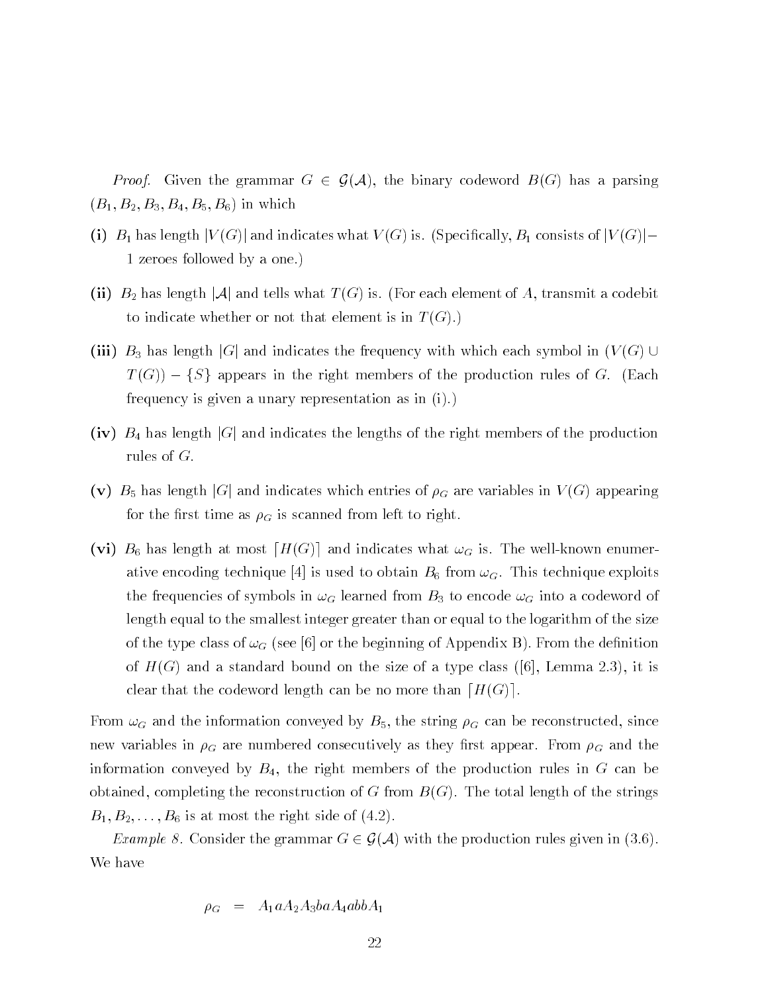*Proof.* Given the grammar  $G \in \mathcal{G}(\mathcal{A})$ , the binary codeword  $B(G)$  has a parsing  $\mathbf{B}$  by the state  $\mathbf{B}$  and  $\mathbf{B}$  and  $\mathbf{B}$ 

- in B has length j v G j and indicates what V G is Specially B constructed in the species of j v G j j 1 zeroes followed by a one.)
- in a length in B-and is formed to the second in the form of the transmitted of a code the second of a codebit o to indicate whether or not that element is in  $T(G)$ .
- -iii B has length jGj and indicates the frequency with which each symbol in V G The right members in the right members of the production rules of the production rules of  $\mathcal{A}$ frequency is given a unary representation as in  $(i)$ .
- is length indicates that is length in an order that indicates the lengths of the right members of the production  $\alpha$ rules of  $G$ .
- -v B has length jGj and indicates which entries of G are variables in <sup>V</sup> G appearing for the first time as  $\rho_G$  is scanned from left to right.
- via b at most distribution at most distribution in most distribution who were well as an and well are computed ative the coding technique for the model to obtain  $\alpha$  from  $\alpha$   $\alpha$  the obtain from  $\alpha$  from  $\alpha$ the frequencies of symbols in  $\omega_G$  learned from  $B_3$  to encode  $\omega_G$  into a codeword of length equal to the smallest integer greater than or equal to the logarithm of the size of the type class of the beginning of Appendix Box 1.1 and the denition of Appendix Box 1.1 and the denition o  $\mathcal{L} = \mathcal{L}$ clear that the codeword length can be no more than  $[H(G)]$ .

 $\mathbf u$  and the information convex by B can be reconstructed by B can be reconstructed since  $\mathbf u$ new variables in  $\rho_G$  are numbered consecutively as they first appear. From  $\rho_G$  and the information conveyed by  $B_4$ , the right members of the production rules in G can be obtained, completing the reconstruction of G from  $B(G)$ . The total length of the strings  $\mathbf{B} = \mathbf{B}$  is at  $\mathbf{B} = \mathbf{B}$  is at most the right side of  $\mathbf{B}$  is at  $\mathbf{B}$ 

*Example 8.* Consider the grammar  $G \in \mathcal{G}(\mathcal{A})$  with the production rules given in (3.6). We have

$$
\rho_G = A_1 a A_2 A_3 ba A_4 ab b A_1
$$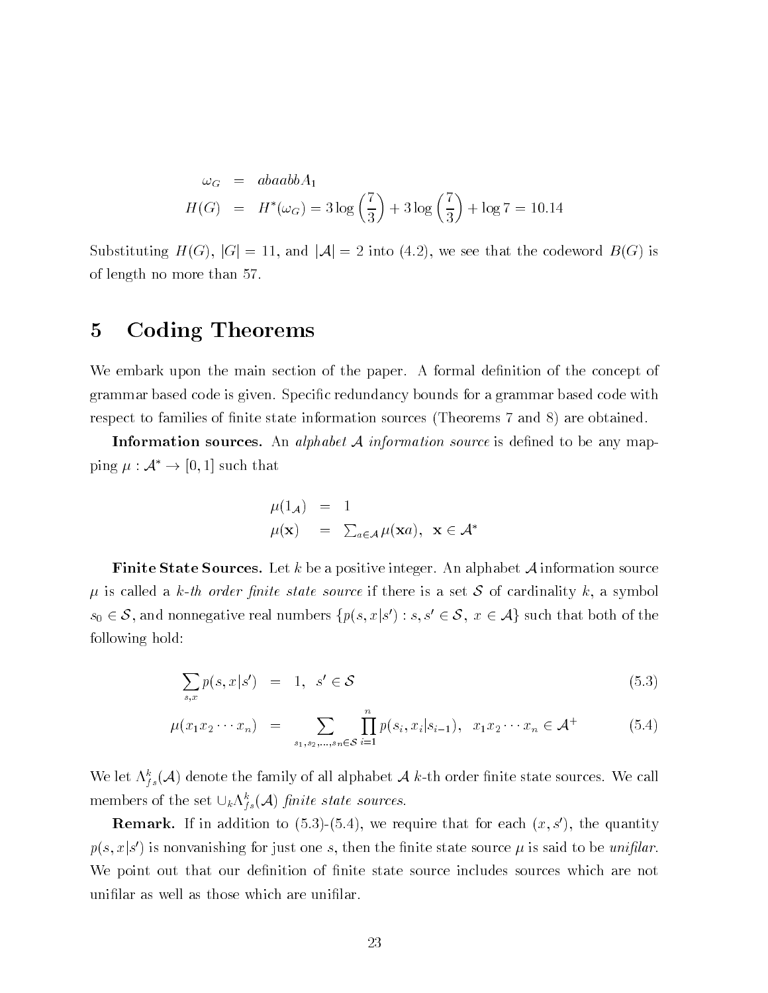$$
\omega_G = abaabbA_1
$$
  

$$
H(G) = H^*(\omega_G) = 3\log\left(\frac{7}{3}\right) + 3\log\left(\frac{7}{3}\right) + \log 7 = 10.14
$$

Substituting  $H(G)$ ,  $|G| = 11$ , and  $|A| = 2$  into (4.2), we see that the codeword  $B(G)$  is of length no more than

# Coding Theorems

We embark upon the main section of the paper. A formal definition of the concept of grammar based code is given. Specific redundancy bounds for a grammar based code with respect to families of finite state information sources (Theorems 7 and 8) are obtained.

**Information sources.** An alphabet  $A$  information source is defined to be any map- $\lim g \mu : \mathcal{A} \rightarrow 0, 1$  such that

$$
\mu(1_{\mathcal{A}}) = 1 \n\mu(\mathbf{x}) = \sum_{a \in \mathcal{A}} \mu(\mathbf{x}a), \ \mathbf{x} \in \mathcal{A}^*
$$

**Finite State Sources.** Let k be a positive integer. An alphabet  $\mathcal A$  information source is called a kth order nite state source if there is a set <sup>S</sup> of cardinality k a symbol  $s_0 \in \mathcal{S}$ , and nonnegative real numbers  $\{p(s, x | s \mid s, s \in \mathcal{S}, \ x \in \mathcal{A}\}$  such that both of the following hold

$$
\sum_{s,x} p(s,x|s') = 1, \quad s' \in \mathcal{S} \tag{5.3}
$$

$$
\mu(x_1 x_2 \cdots x_n) = \sum_{s_1, s_2, \dots, s_n \in \mathcal{S}} \prod_{i=1}^n p(s_i, x_i | s_{i-1}), \quad x_1 x_2 \cdots x_n \in \mathcal{A}^+ \tag{5.4}
$$

We let  $\Lambda_{fs}^*(\mathcal{A})$  denote the family of all alphabet  $\mathcal{A}$  k-th order linite state sources. We call members of the set  $\cup_k \Lambda_{fs}^*(\mathcal{A})$  *finite state sources.* 

**Remark.** If in addition to  $(5.3)$ - $(5.4)$ , we require that for each  $(x, s')$ , the quantity  $p(s, x | s$  ) is nonvanishing for just one s, then the finite state source  $\mu$  is said to be unifiar. We point out that our definition of finite state source includes sources which are not unifilar as well as those which are unifilar.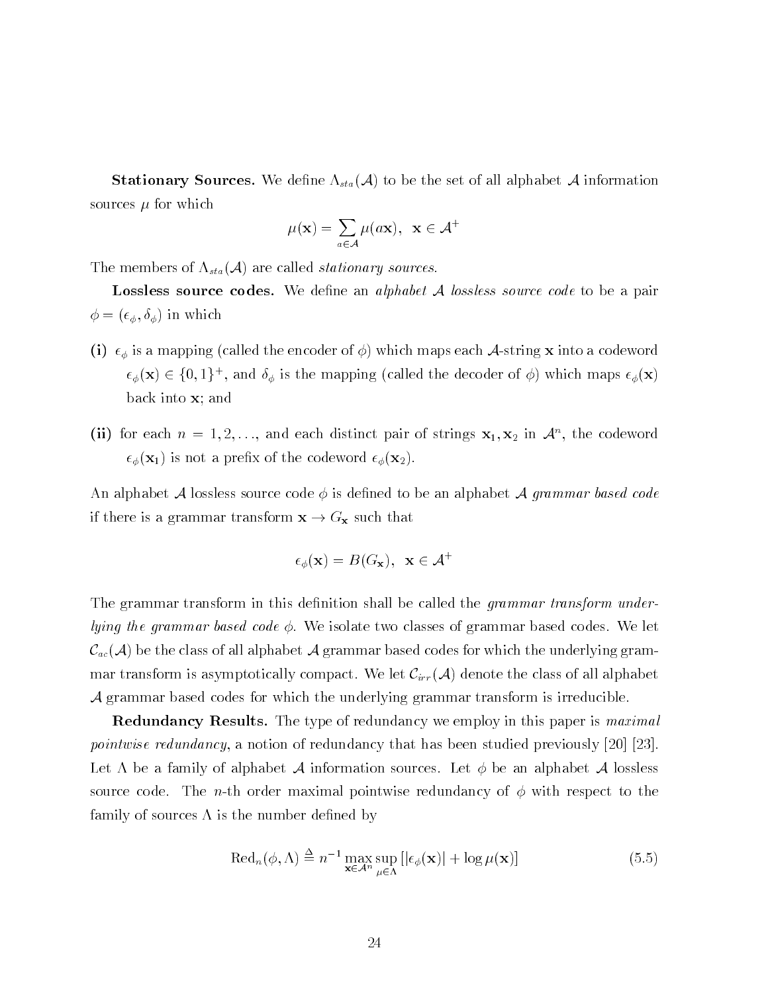**Stationary Sources.** We define  $\Lambda_{sta}(\mathcal{A})$  to be the set of all alphabet  $\mathcal{A}$  information sources and the which is a strong of the which is a strong of the which is a strong of the which is a strong of the which is a strong of the which is a strong of the which is a strong of the which is a strong of the which

$$
\mu(\mathbf{x}) = \sum_{a \in \mathcal{A}} \mu(a\mathbf{x}), \ \mathbf{x} \in \mathcal{A}^+
$$

The members of  $\Lambda_{sta}(\mathcal{A})$  are called *stationary sources* 

**Lossless source codes.** We define an *alphabet A lossless source code* to be a pair  $\phi = (\epsilon_{\phi}, \delta_{\phi})$  in which

- is a mapping called the encoder of  $\alpha$  which mapping is into a codeword  $\alpha$  in the encoder of  $\alpha$  $\epsilon_{\phi}(\mathbf{x}) \in \{0,1\}^{\perp}$ , and  $\sigma_{\phi}$  is the mapping (called the decoder of  $\phi$ ) which maps  $\epsilon_{\phi}(\mathbf{x})$ back into  $x$ ; and
- (ii) for each  $n = 1, 2, \ldots$ , and each distinct pair of strings  $\mathbf{x}_1, \mathbf{x}_2$  in  $\mathcal{A}^{\sim}$ , the codeword  $\mathbb{R}^n$  is not a present the codeword  $\mathbb{R}^n$  . The codeword  $\mathbb{R}^n$

An alphabet  ${\cal A}$  lossless source code  $\phi$  is defined to be an alphabet  ${\cal A}$  grammar based code if there is a grammar transform  $\mathbf{x} \to G_{\mathbf{x}}$  such that

$$
\epsilon_{\phi}(\mathbf{x}) = B(G_{\mathbf{x}}), \ \ \mathbf{x} \in \mathcal{A}^+
$$

The grammar transform in this definition shall be called the *grammar transform under*lying the grammar based code  $\phi$ . We isolate two classes of grammar based codes. We let  $\mathcal{C}_{ac}(\mathcal{A})$  be the class of all alphabet  $\mathcal{A}$  grammar based codes for which the underlying grammar transform is asymptotically compact. We let  $\mathcal{C}_{irr}(\mathcal{A})$  denote the class of all alphabet  $\mathcal A$  grammar based codes for which the underlying grammar transform is irreducible.

**Redundancy Results.** The type of redundancy we employ in this paper is  $\textit{maximal}$ pointwise redundancy a notion of redundancy that has been studied previously   Let  $\Lambda$  be a family of alphabet  $\mathcal A$  information sources. Let  $\phi$  be an alphabet  $\mathcal A$  lossless source code. The *n*-th order maximal pointwise redundancy of  $\phi$  with respect to the family of sources  $\Lambda$  is the number defined by

$$
\text{Red}_n(\phi,\Lambda) \stackrel{\Delta}{=} n^{-1} \max_{\mathbf{x} \in \mathcal{A}^n} \sup_{\mu \in \Lambda} \left[ |\epsilon_{\phi}(\mathbf{x})| + \log \mu(\mathbf{x}) \right] \tag{5.5}
$$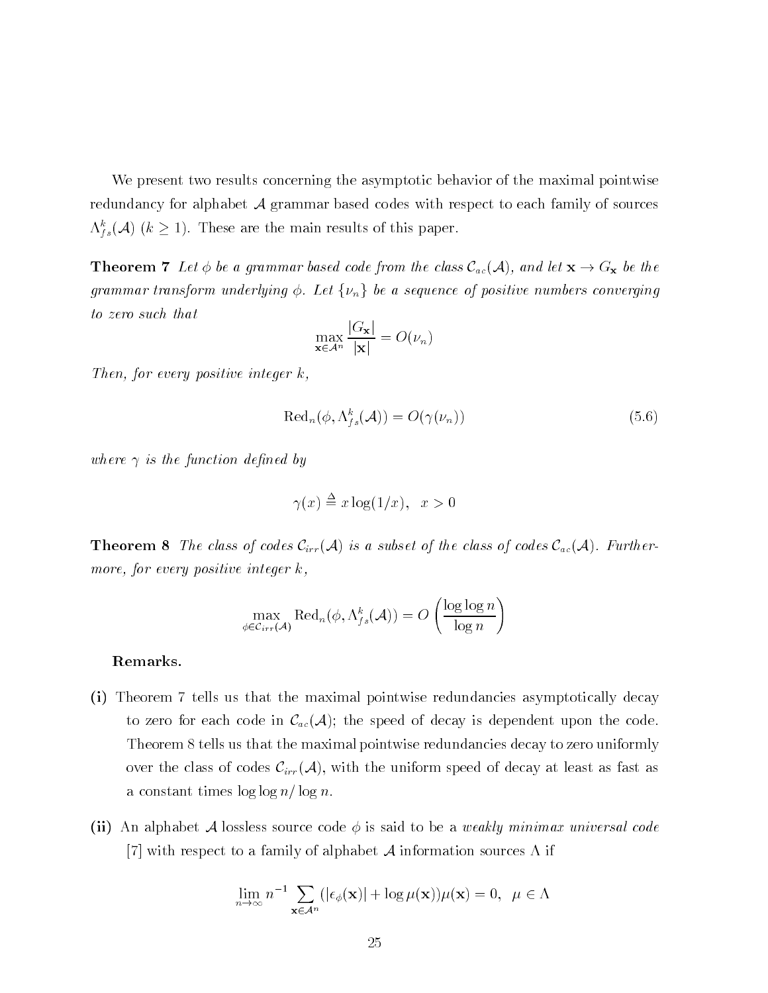We present two results concerning the asymptotic behavior of the maximal pointwise redundancy for alphabet <sup>A</sup> grammar based codes with respect to each family of sources  $\Lambda_{fs}^*(\mathcal{A})$  ( $\kappa \geq 1$ ). These are the main results of this paper.

**Theorem 7** Let  $\phi$  be a grammar based code from the class  $\mathcal{C}_{ac}(\mathcal{A})$ , and let  $\mathbf{x} \to G_{\mathbf{x}}$  be the grammar transform underlying  $\phi$ . Let  $\{\nu_n\}$  be a sequence of positive numbers converging to zero such that

$$
\max_{\mathbf{x} \in \mathcal{A}^n} \frac{|G_{\mathbf{x}}|}{|\mathbf{x}|} = O(\nu_n)
$$

Then, for every positive integer  $k$ .

$$
\text{Red}_n(\phi, \Lambda_{fs}^k(\mathcal{A})) = O(\gamma(\nu_n))\tag{5.6}
$$

where  $\gamma$  is the function defined by

$$
\gamma(x) \stackrel{\Delta}{=} x \log(1/x), \ \ x > 0
$$

**Theorem 8** The class of codes  $C_{irr}(\mathcal{A})$  is a subset of the class of codes  $C_{ac}(\mathcal{A})$ . Further more, for every positive integer  $k$ ,

$$
\max_{\phi \in \mathcal{C}_{irr}(\mathcal{A})} \text{Red}_n(\phi, \Lambda_{fs}^k(\mathcal{A})) = O\left(\frac{\log \log n}{\log n}\right)
$$

## Remarks

- -i Theorem tells us that the maximal pointwise redundancies asymptotically decay to zero for each code in  $\mathcal{C}_{ac}(\mathcal{A})$ ; the speed of decay is dependent upon the code. Theorem 8 tells us that the maximal pointwise redundancies decay to zero uniformly over the class of codes  $\mathcal{C}_{irr}(\mathcal{A})$ , with the uniform speed of decay at least as fast as a constant times  $\log \log n / \log n$ .
- -ii An alphabet <sup>A</sup> lossless source code is said to be a weakly minimax universal code  $\mathcal{W}$  respect to a family of alphabet A information sources in a information sources in  $\mathcal{W}$

$$
\lim_{n \to \infty} n^{-1} \sum_{\mathbf{x} \in \mathcal{A}^n} (|\epsilon_{\phi}(\mathbf{x})| + \log \mu(\mathbf{x})) \mu(\mathbf{x}) = 0, \ \ \mu \in \Lambda
$$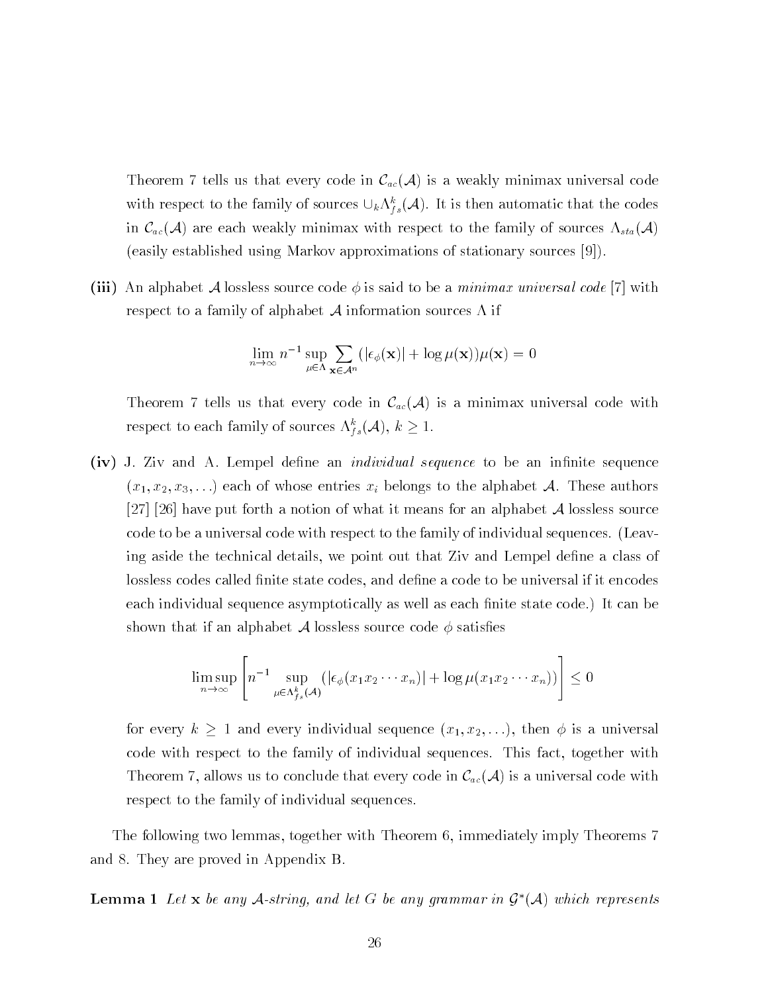Theorem 7 tells us that every code in  $\mathcal{C}_{ac}(\mathcal{A})$  is a weakly minimax universal code with respect to the family of sources  $\cup_k \Lambda_{fs}(\mathcal{A})$ . It is then automatic that the codes in  $\mathcal{C}_{ac}(\mathcal{A})$  are each weakly minimax with respect to the family of sources  $\Lambda_{sta}(\mathcal{A})$ easily established using Markov approximations of stationary sources  

issaid a second component and allowed a loss source to be a minimax universal contract and a minimax universal respect to a family of alphabet  $A$  information sources  $\Lambda$  if

$$
\lim_{n \to \infty} n^{-1} \sup_{\mu \in \Lambda} \sum_{\mathbf{x} \in \mathcal{A}^n} (|\epsilon_{\phi}(\mathbf{x})| + \log \mu(\mathbf{x})) \mu(\mathbf{x}) = 0
$$

Theorem 7 tells us that every code in  $\mathcal{C}_{ac}(\mathcal{A})$  is a minimax universal code with respect to each family of sources  $\Lambda_{fs}(\mathcal{A}),\ \kappa\geq 1.$ 

-iv J Ziv and A Lempel dene an individual sequence to be an innite sequence  $\lambda$  if an official  $\lambda$  belongs to the alphabet A Theorem and  $\lambda$    have put forth a notion of what it means for an alphabet <sup>A</sup> lossless source code to be a universal code with respect to the family of individual sequences. (Leaving aside the technical details, we point out that Ziv and Lempel define a class of lossless codes called finite state codes, and define a code to be universal if it encodes each individual sequence asymptotically as well as each finite state code.) It can be shown that if an alphabet A lossless source code  $\phi$  satisfies

$$
\limsup_{n \to \infty} \left[ n^{-1} \sup_{\mu \in \Lambda_{f_s}^k(\mathcal{A})} (|\epsilon_{\phi}(x_1 x_2 \cdots x_n)| + \log \mu(x_1 x_2 \cdots x_n)) \right] \le 0
$$

for every k and every individual sequence x x---- then is a universal code with respect to the family of individual sequences. This fact, together with Theorem 7, allows us to conclude that every code in  $\mathcal{C}_{ac}(\mathcal{A})$  is a universal code with respect to the family of individual sequences

The following two lemmas, together with Theorem 6, immediately imply Theorems 7 and 8. They are proved in Appendix B.

**Lemma 1** Let **x** be any A-string, and let G be any grammar in  $\mathcal{G}^*(\mathcal{A})$  which represents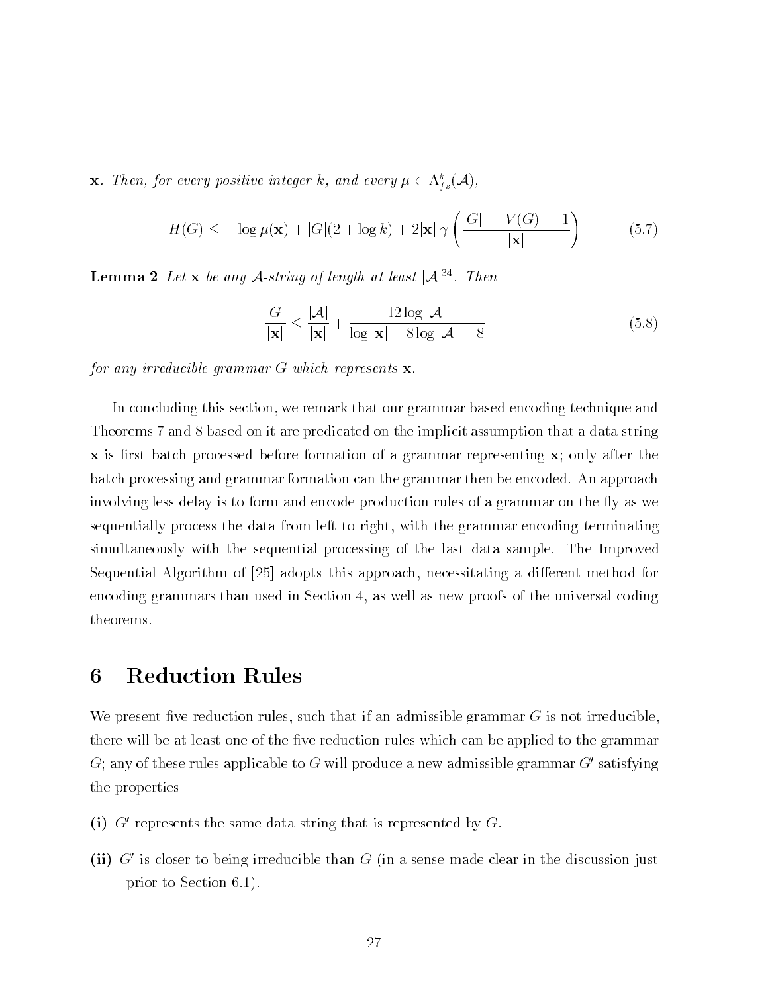**x**. Then, for every positive integer  $\kappa$ , and every  $\mu \in \Lambda_{fs}(\mathcal{A}),$ 

$$
H(G) \le -\log \mu(\mathbf{x}) + |G|(2 + \log k) + 2|\mathbf{x}| \gamma\left(\frac{|G| - |V(G)| + 1}{|\mathbf{x}|}\right)
$$
(5.7)

**Lemma 2** Let **x** be any A-string of length at least  $|A|^{34}$ . Then

$$
\frac{|G|}{|\mathbf{x}|} \le \frac{|\mathcal{A}|}{|\mathbf{x}|} + \frac{12\log|\mathcal{A}|}{\log|\mathbf{x}| - 8\log|\mathcal{A}| - 8} \tag{5.8}
$$

for any irreducible grammar  $G$  which represents  $\mathbf{x}$ .

In concluding this section, we remark that our grammar based encoding technique and Theorems 7 and 8 based on it are predicated on the implicit assumption that a data string x is first batch processed before formation of a grammar representing x; only after the batch processing and grammar formation can the grammar then be encoded. An approach involving less delay is to form and encode production rules of a grammar on the fly as we sequentially process the data from left to right, with the grammar encoding terminating simultaneously with the sequential processing of the last data sample. The Improved Sequential Algorithm of  adopts this approach necessitating a di-erent method for encoding grammars than used in Section  $4$ , as well as new proofs of the universal coding theorems

## Reduction Rules 6

We present five reduction rules, such that if an admissible grammar  $G$  is not irreducible there will be at least one of the five reduction rules which can be applied to the grammar  $G$ ; any of these rules applicable to G will produce a new admissible grammar  $G'$  satisfying the properties

- $\rm \mu$  G represents the same data string that is represented by  $\rm G$ .
- -ii G is closer to being irreducible than G in a sense made clear in the discussion just prior to Section 6.1).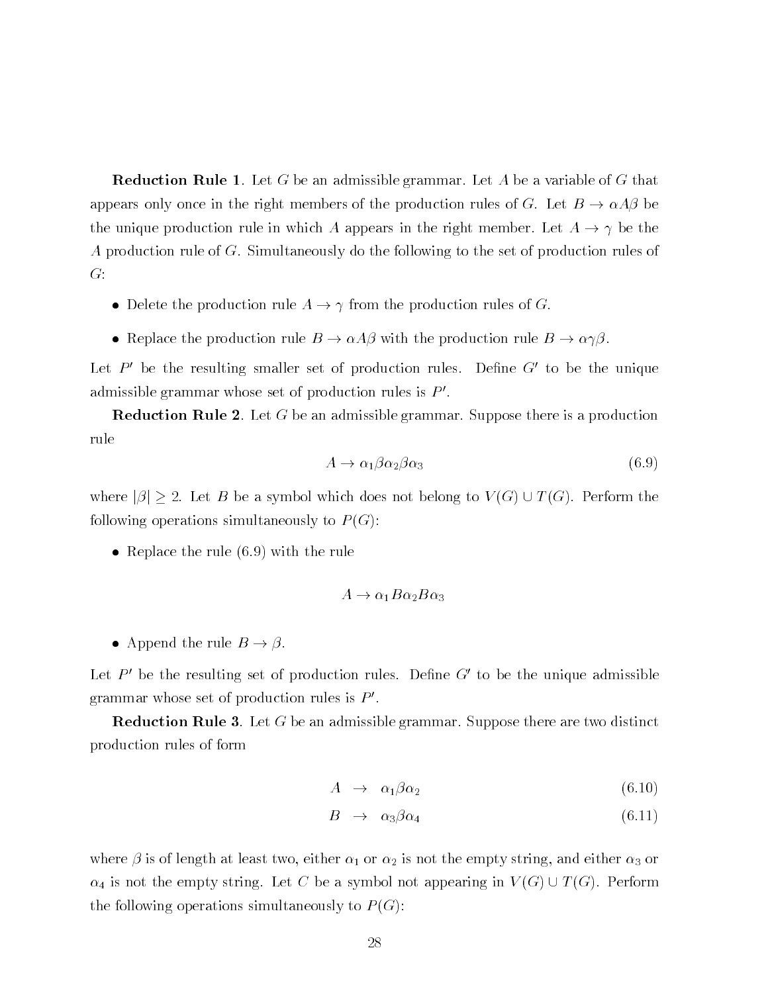**Reduction Rule 1**. Let G be an admissible grammar. Let A be a variable of G that appears only once in the right members of the production rules of G. Let  $B \to \alpha A \beta$  be the unique production rule in which A appears in the right member. Let  $A \rightarrow \gamma$  be the A production rule of  $G$ . Simultaneously do the following to the set of production rules of  $G$ :

- Delete the production rule  $A \to \gamma$  from the production rules of G.
- Replace the production rule  $B \to \alpha A \beta$  with the production rule  $B \to \alpha \gamma \beta$ .

Let  $P'$  be the resulting smaller set of production rules. Define  $G'$  to be the unique admissible grammar whose set of production rules is  $P'$ .

**Reduction Rule 2**. Let G be an admissible grammar. Suppose there is a production rule

$$
A \to \alpha_1 \beta \alpha_2 \beta \alpha_3 \tag{6.9}
$$

where  $|\beta| \geq 2$ . Let B be a symbol which does not belong to  $V(G) \cup T(G)$ . Perform the following operations simultaneously to  $P(G)$ :

• Replace the rule  $(6.9)$  with the rule

$$
A \to \alpha_1 B \alpha_2 B \alpha_3
$$

• Append the rule  $B \to \beta$ .

Let  $P'$  be the resulting set of production rules. Define  $G'$  to be the unique admissible grammar whose set of production rules is  $P'$ .

**Reduction Rule 3**. Let  $G$  be an admissible grammar. Suppose there are two distinct production rules of form

$$
A \rightarrow \alpha_1 \beta \alpha_2 \tag{6.10}
$$

$$
B \rightarrow \alpha_3 \beta \alpha_4 \tag{6.11}
$$

where is of length at least two either is not the empty string and either  $\alpha$  $\alpha_4$  is not the empty string. Let C be a symbol not appearing in  $V(G) \cup T(G)$ . Perform the following operations simultaneously to  $P(G)$ :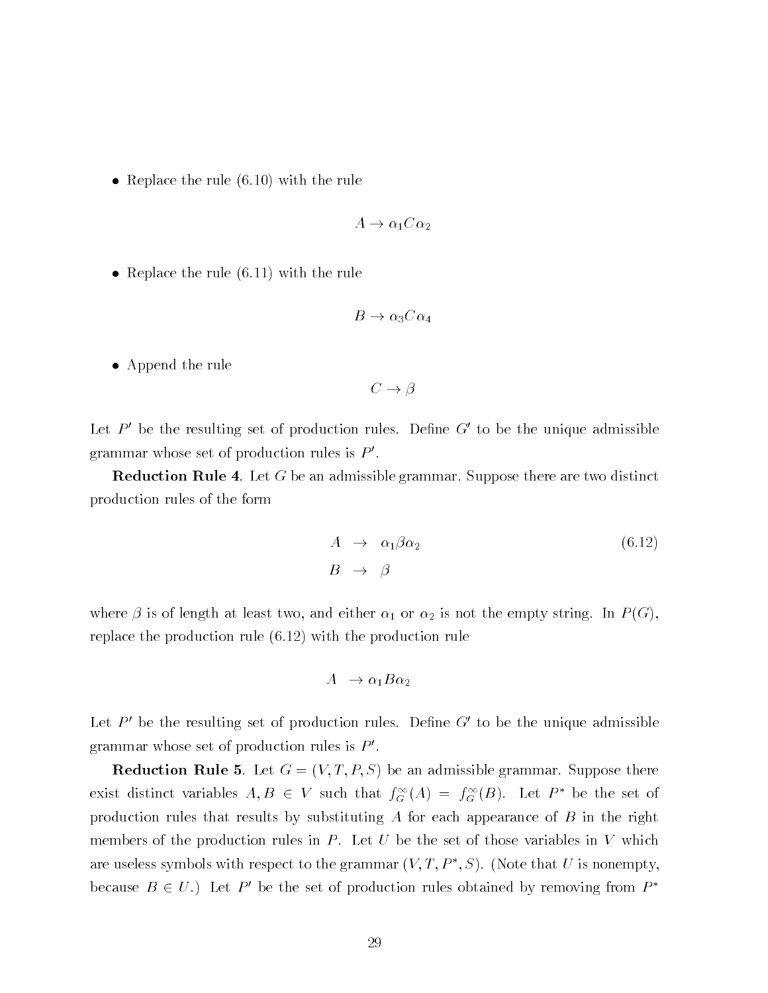• Replace the rule  $(6.10)$  with the rule

$$
A \to \alpha_1 C \alpha_2
$$

• Replace the rule  $(6.11)$  with the rule

$$
B \to \alpha_3 C \alpha_4
$$

Append the rule

$$
C \to \beta
$$

Let  $P'$  be the resulting set of production rules. Define  $G'$  to be the unique admissible grammar whose set of production rules is  $P'$ .

**Reduction Rule 4.** Let G be an admissible grammar. Suppose there are two distinct production rules of the form

$$
A \rightarrow \alpha_1 \beta \alpha_2 \tag{6.12}
$$
  

$$
B \rightarrow \beta
$$

where is of length at least two and either is not the empty string in  $\mathbb{R}^n$  and  $\mathbb{R}^n$  (1 and  $\mathbb{R}^n$  (1 and  $\mathbb{R}^n$  (1 and  $\mathbb{R}^n$  (1 and  $\mathbb{R}^n$  (1 and  $\mathbb{R}^n$  (1 and  $\mathbb{R}^n$  (1 and  $\mathbb{R}^n$ replace the production rule  $(6.12)$  with the production rule

$$
A \rightarrow \alpha_1 B \alpha_2
$$

Let  $P'$  be the resulting set of production rules. Define  $G'$  to be the unique admissible grammar whose set of production rules is  $P'$ .

**Reduction Rule 5.** Let  $G = (V, T, P, S)$  be an admissible grammar. Suppose there exist distinct variables  $A, D \in V$  such that  $f_{\tilde{G}}(A) = f_{\tilde{G}}(D)$ . Let  $P$  be the set of production rules that results by substituting  $A$  for each appearance of  $B$  in the right members of the production rules in  $P$ . Let  $U$  be the set of those variables in  $V$  which are useless symbols with respect to the grammar  $(V, I, P_-, S)$ . (Note that  $U$  is nonempty, because  $B \in U$ .) Let P' be the set of production rules obtained by removing from  $P^*$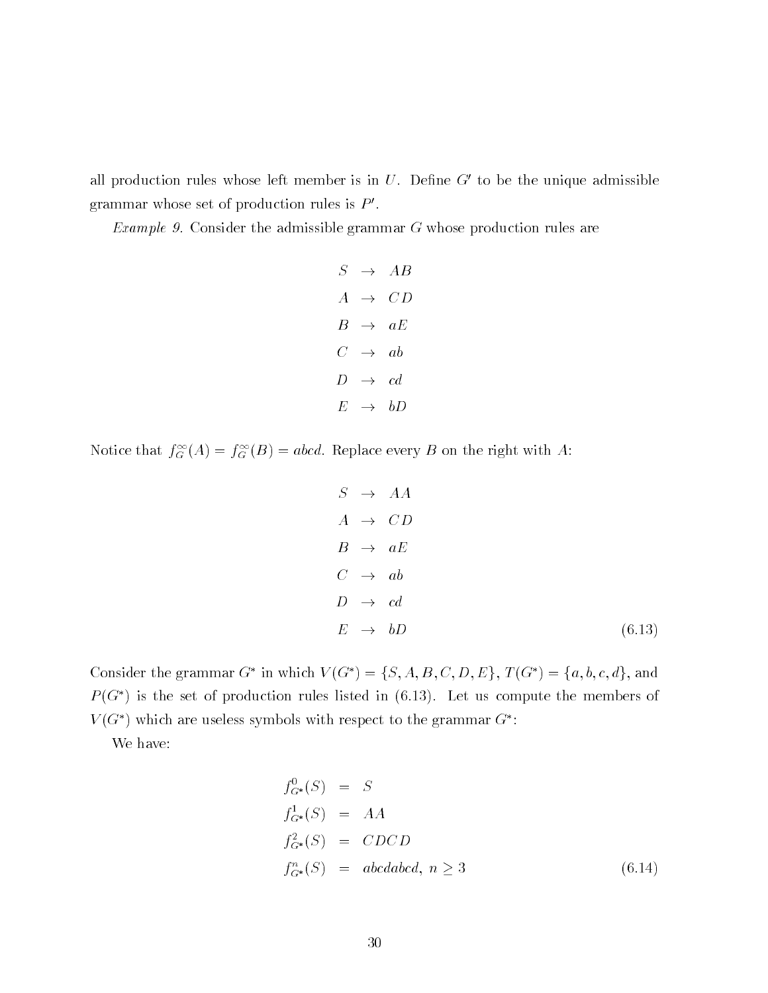all production rules whose left member is in  $U$ . Define  $G'$  to be the unique admissible grammar whose set of production rules is  $P'$ .

Example 9. Consider the admissible grammar  $G$  whose production rules are

$$
S \rightarrow AB
$$
  
\n
$$
A \rightarrow CD
$$
  
\n
$$
B \rightarrow aE
$$
  
\n
$$
C \rightarrow ab
$$
  
\n
$$
D \rightarrow cd
$$
  
\n
$$
E \rightarrow bD
$$

Notice that  $f_G^-(A) = f_G^-(B) = a b c a$ . Replace every B on the right with A:

$$
S \rightarrow AA
$$
\n
$$
A \rightarrow CD
$$
\n
$$
B \rightarrow aE
$$
\n
$$
C \rightarrow ab
$$
\n
$$
D \rightarrow cd
$$
\n
$$
E \rightarrow bD
$$
\n(6.13)

Consider the grammar G in which  $V(G) = \{S, A, D, C, D, E\}$ ,  $I(G) = \{a, 0, c, a\}$ , and  $P(G^*)$  is the set of production rules listed in (6.13). Let us compute the members of  $V$  (G ) which are useless symbols with respect to the grammar G  $\,$  :  $\,$ 

We have

$$
f_{G^*}^0(S) = S
$$
  
\n
$$
f_{G^*}^1(S) = AA
$$
  
\n
$$
f_{G^*}^2(S) = CDCD
$$
  
\n
$$
f_{G^*}^n(S) = abcdabcd, n \ge 3
$$
\n(6.14)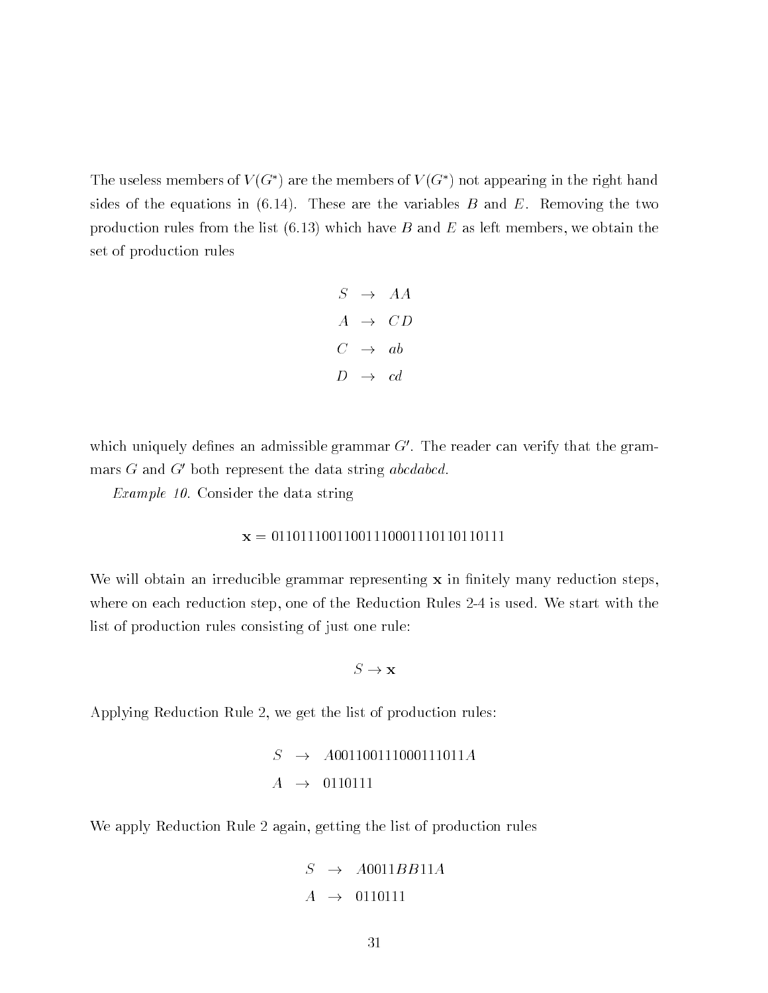The useless members of  $V(G^*)$  are the members of  $V(G^*)$  not appearing in the right hand sides of the equations in  $(6.14)$ . These are the variables B and E. Removing the two production rules from the list  $(6.13)$  which have B and E as left members, we obtain the set of production rules

$$
S \rightarrow AA
$$
  

$$
A \rightarrow CD
$$
  

$$
C \rightarrow ab
$$
  

$$
D \rightarrow cd
$$

which uniquely defines an admissible grammar  $G'$ . The reader can verify that the grammars  $G$  and  $G'$  both represent the data string abcdabcd.

Example - Consider the data string

$$
\mathbf{x} = 011011100110011100011101101101111
$$

We will obtain an irreducible grammar representing  $x$  in finitely many reduction steps. where on each reduction step, one of the Reduction Rules  $2-4$  is used. We start with the list of production rules consisting of just one rule

 $S \to \mathbf{x}$ 

Applying Reduction Rule 2, we get the list of production rules:

$$
S \rightarrow A001100111000111011A
$$
  

$$
A \rightarrow 0110111
$$

We apply Reduction Rule 2 again, getting the list of production rules

$$
S \rightarrow A0011BB11
$$
  

$$
A \rightarrow 0110111
$$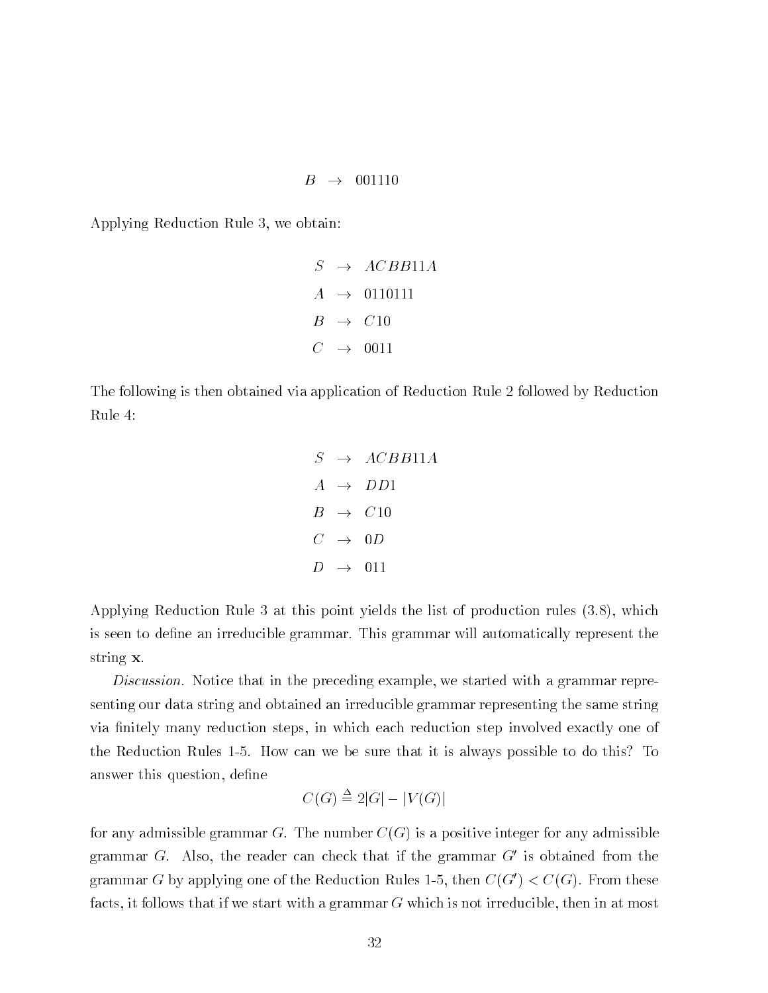$$
B \rightarrow 001110
$$

Applying Reduction Rule 3, we obtain:

$$
S \rightarrow ACBB11A
$$
  

$$
A \rightarrow 0110111
$$
  

$$
B \rightarrow C10
$$
  

$$
C \rightarrow 0011
$$

The following is then obtained via application of Reduction Rule 2 followed by Reduction Rule

$$
S \rightarrow ACBB11A
$$
  
\n
$$
A \rightarrow DD1
$$
  
\n
$$
B \rightarrow C10
$$
  
\n
$$
C \rightarrow 0D
$$
  
\n
$$
D \rightarrow 011
$$

Applying Reduction Rule 3 at this point yields the list of production rules  $(3.8)$ , which is seen to define an irreducible grammar. This grammar will automatically represent the string **x**.

Discussion. Notice that in the preceding example, we started with a grammar representing our data string and obtained an irreducible grammar representing the same string via finitely many reduction steps, in which each reduction step involved exactly one of the Reduction Rules 1-5. How can we be sure that it is always possible to do this? To answer this question, define

$$
C(G) \stackrel{\Delta}{=} 2|G| - |V(G)|
$$

for any admissible grammar G. The number  $C(G)$  is a positive integer for any admissible grammar G. Also, the reader can check that if the grammar  $G'$  is obtained from the grammar G by applying one of the Reduction Rules 1-5, then  $C(G') < C(G)$ . From these facts, it follows that if we start with a grammar  $G$  which is not irreducible, then in at most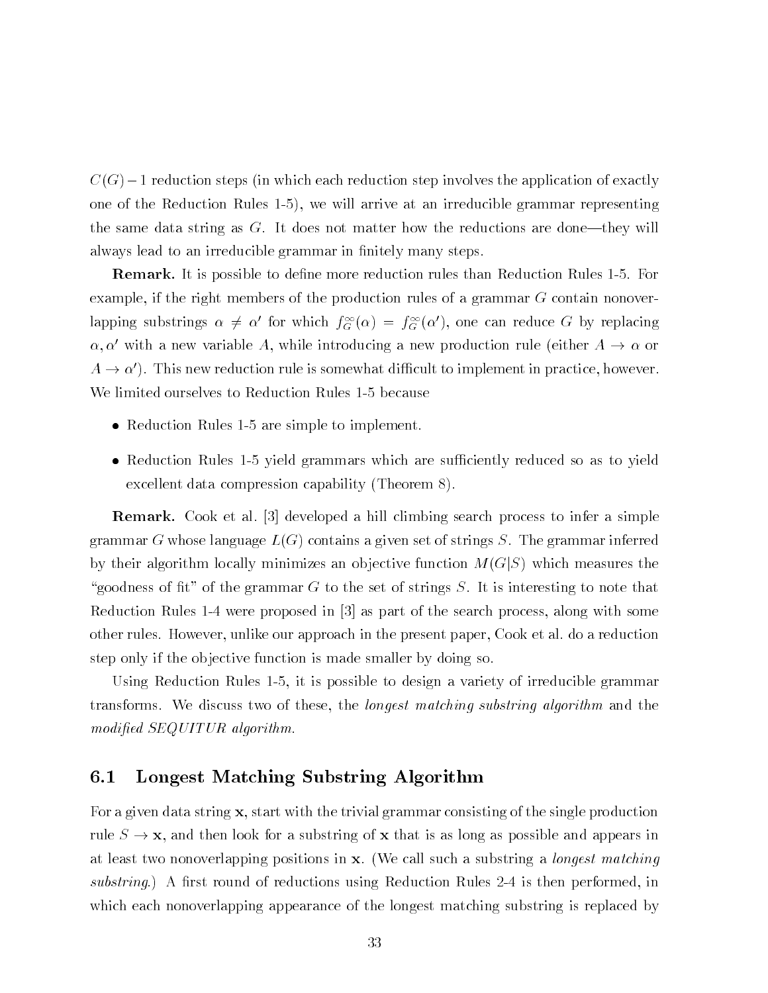Castle in the steps in which reduction step in the application step involves the problem of exactly the application of  $\alpha$ one of the Reduction Rules 1-5), we will arrive at an irreducible grammar representing the same data string as  $G$ . It does not matter how the reductions are done-they will always lead to an irreducible grammar in finitely many steps.

**Remark.** It is possible to define more reduction rules than Reduction Rules 1-5. For example, if the right members of the production rules of a grammar  $G$  contain nonoverlapping substrings  $\alpha \neq \alpha$  for which  $J_G(\alpha) = J_G(\alpha)$ , one can reduce G by replacing  $\alpha, \alpha'$  with a new variable A, while introducing a new production rule (either  $A \to \alpha$  or  $A \to \alpha'$ ). This new reduction rule is somewhat difficult to implement in practice, however. We limited ourselves to Reduction Rules 1-5 because

- Reduction Rules  $1-5$  are simple to implement.
- Reduction Rules 1-5 yield grammars which are sufficiently reduced so as to yield excellent data compression capability (Theorem 8).

Remark Cook et al  developed a hill climbing search process to infer a simple grammar G whose language  $L(G)$  contains a given set of strings S. The grammar inferred by their algorithm locally minimizes an objective function  $M(G|S)$  which measures the "goodness of fit" of the grammar G to the set of strings S. It is interesting to note that Reduction Rules were proposed in  as part of the search process along with some other rules. However, unlike our approach in the present paper, Cook et al. do a reduction step only if the objective function is made smaller by doing so.

Using Reduction Rules 1-5, it is possible to design a variety of irreducible grammar transforms. We discuss two of these, the *longest matching substring algorithm* and the modified SEQUITUR algorithm.

#### $6.1$ Longest Matching Substring Algorithm

For a given data string  $x$ , start with the trivial grammar consisting of the single production rule  $S \to \mathbf{x}$ , and then look for a substring of x that is as long as possible and appears in at least two nonoverlapping positions in  $x$ . (We call such a substring a *longest matching* substring.) A first round of reductions using Reduction Rules 2-4 is then performed, in which each nonoverlapping appearance of the longest matching substring is replaced by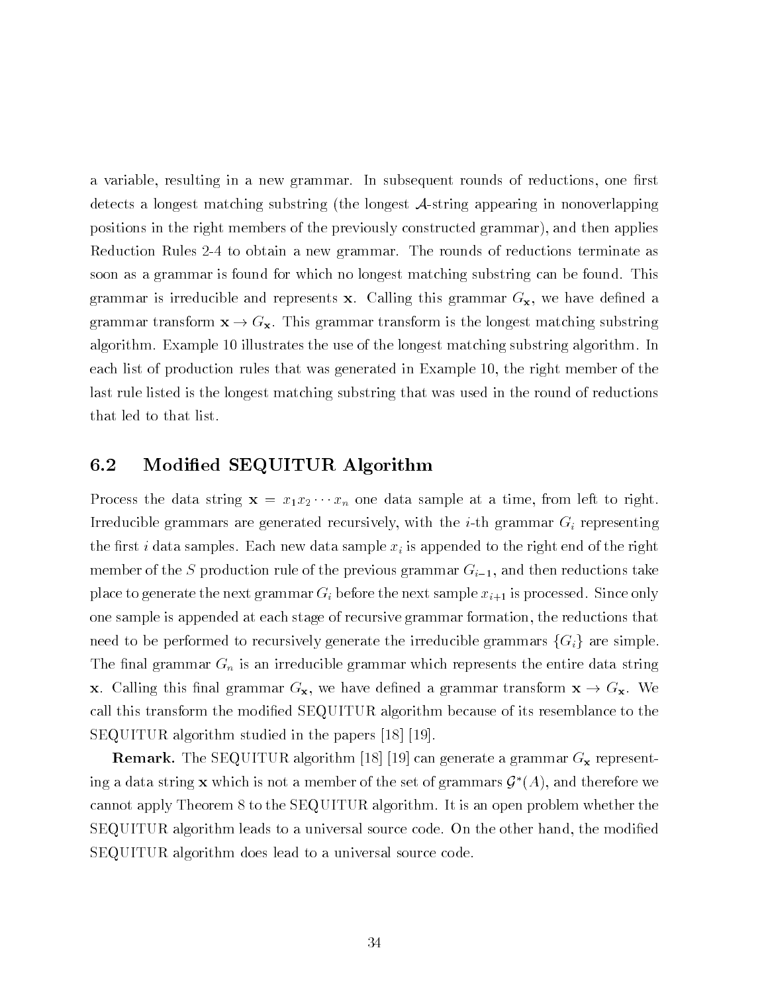a variable, resulting in a new grammar. In subsequent rounds of reductions, one first detects a longest matching substring (the longest  $A$ -string appearing in nonoverlapping positions in the right members of the previously constructed grammar), and then applies Reduction Rules 2-4 to obtain a new grammar. The rounds of reductions terminate as soon as a grammar is found for which no longest matching substring can be found. This grammar is irreducible and represents x. Calling this grammar  $G_{\mathbf{x}}$ , we have defined a grammar transform  $\mathbf{x} \to G_{\mathbf{x}}$ . This grammar transform is the longest matching substring algorithm. Example 10 illustrates the use of the longest matching substring algorithm. In each list of production rules that was generated in Example 10, the right member of the last rule listed is the longest matching substring that was used in the round of reductions that led to that list

#### 6.2 Modied SEQUITUR Algorithm

 $\begin{array}{ccc} \text{()} & \text{1} & \text{2} & \text{10} & \text{1} & \text{11} & \text{12} & \text{13} & \text{14} & \text{15} & \text{16} & \text{17} & \text{18} & \text{19} & \text{19} & \text{19} & \text{19} & \text{19} & \text{19} & \text{19} & \text{19} & \text{19} & \text{19} & \text{19} & \text{19} & \text{19} & \text{19} & \text{19} & \text{19} & \text{19} & \text{19} & \$ Irreducible grammars are generated recursively, with the *i*-th grammar  $G_i$  representing the first i data samples. Each new data sample  $x_i$  is appended to the right end of the right member of the S production rule of the previous  $\cup$  and  $\cup$   $\cup$   $\cup$   $\cup$  then then reductions takes place to generate the next grammar  $G_i$  before the next sample  $x_{i+1}$  is processed. Since only one sample is appended at each stage of recursive grammar formation the reductions that need to be performed to recursively generate the irreducible grammars  ${G_i}$  are simple. The final grammar  $G_n$  is an irreducible grammar which represents the entire data string **x**. Calling this final grammar  $G_{\mathbf{x}}$ , we have defined a grammar transform  $\mathbf{x} \to G_{\mathbf{x}}$ . We call this transform the modified SEQUITUR algorithm because of its resemblance to the SEQUITUR algorithm studied in the papers  

 $\mathbf{r}$  is a grammar Gaussian algorithm and  $\mathbf{r}$  and  $\mathbf{r}$  is a grammar Gaussian and  $\mathbf{r}$ ing a data string **x** which is not a member of the set of grammars  $\mathcal{G}^*(A)$ , and therefore we cannot apply Theorem 8 to the SEQUITUR algorithm. It is an open problem whether the SEQUITUR algorithm leads to a universal source code. On the other hand, the modified SEQUITUR algorithm does lead to a universal source code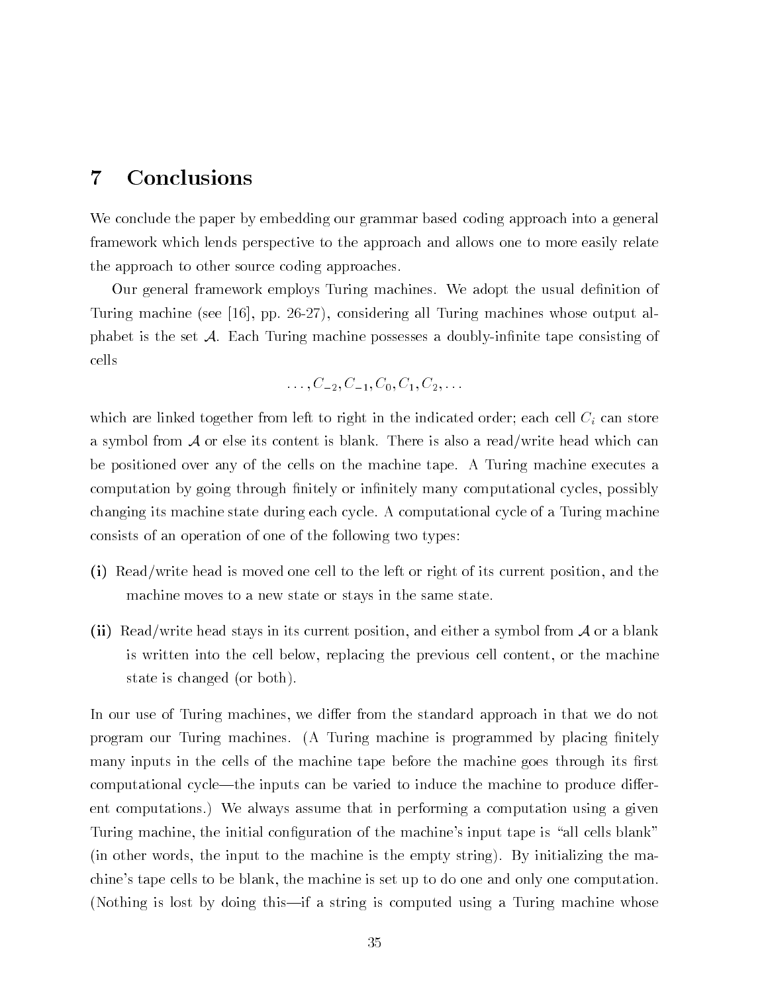# Conclusions

We conclude the paper by embedding our grammar based coding approach into a general framework which lends perspective to the approach and allows one to more easily relate the approach to other source coding approaches

Our general framework employs Turing machines. We adopt the usual definition of  $\mathcal{F}$  and  $\mathcal{F}$  are the set of the set of the set of the set output all  $\mathcal{F}$  and  $\mathcal{F}$  are the set of the set of the set of the set of the set of the set of the set of the set of the set of the set of the set phabet is the set  $A$ . Each Turing machine possesses a doubly-infinite tape consisting of cells

$$
\ldots, C_{-2}, C_{-1}, C_0, C_1, C_2, \ldots
$$

which are linked together from left to right in the indicated order; each cell  $C_i$  can store a symbol from  $A$  or else its content is blank. There is also a read/write head which can be positioned over any of the cells on the machine tape A Turing machine executes a computation by going through finitely or infinitely many computational cycles, possibly changing its machine state during each cycle A computational cycle of a Turing machine consists of an operation of one of the following two types

- -i Read write head is moved one cell to the left or right of its current position and the machine moves to a new state or stays in the same state
- -ii Read write head stays in its current position and either a symbol from <sup>A</sup> or a blank is written into the cell below, replacing the previous cell content, or the machine state is changed (or both).

In our use of Turing machines we di-er from the standard approach in that we do not program our Turing machines. (A Turing machine is programmed by placing finitely many inputs in the cells of the machine tape before the machine goes through its first computational cyclethe inputs can be varied to induce the machine to produce di-er ent computations.) We always assume that in performing a computation using a given Turing machine, the initial configuration of the machine's input tape is "all cells blank"  $\pi$  in other words, the input to the machine is the empty string. By initializing the machine's tape cells to be blank, the machine is set up to do one and only one computation. (Nothing is lost by doing this—if a string is computed using a Turing machine whose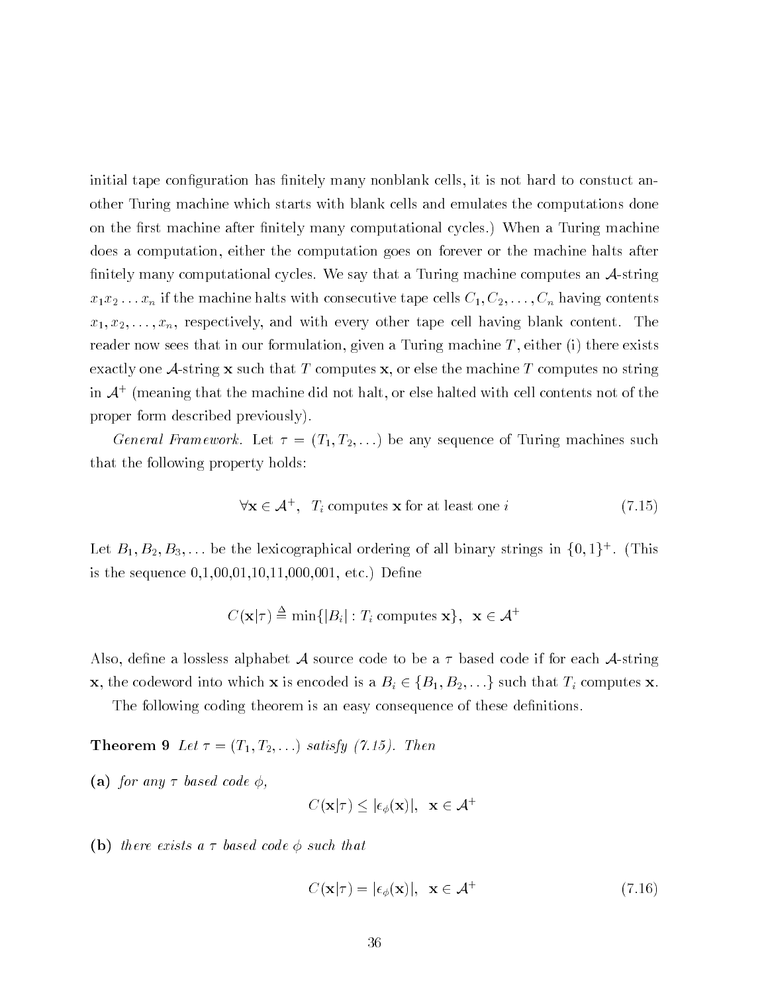initial tape configuration has finitely many nonblank cells, it is not hard to constuct another Turing machine which starts with blank cells and emulates the computations done on the first machine after finitely many computational cycles.) When a Turing machine does a computation either the computation goes on forever or the machine halts after finitely many computational cycles. We say that a Turing machine computes an  $A$ -string  $\cdot$  if the machine tape consecutive tape contents contents contents  $\cdot$  if  $\cdot$  if  $\cdot$  if  $\cdot$  if  $\cdot$ x x----xn respectively and with every other tape cell having blank content The reader now sees that in our formulation, given a Turing machine  $T$ , either (i) there exists exactly one A-string  $x$  such that T computes  $x$ , or else the machine T computes no string in  $\mathcal{A}^+$  (meaning that the machine did not halt, or else halted with cell contents not of the  $$ proper form described previously 

of the contract contract the contract of the contract of Turing machines such any sequence of Turing machines such as that the following property holds

$$
\forall \mathbf{x} \in \mathcal{A}^+, T_i \text{ computes } \mathbf{x} \text{ for at least one } i \tag{7.15}
$$

Let  $B_1, B_2, B_3, \ldots$  be the lexicographical ordering of all binary strings in  $\{0, 1\}^*$  . (This is the sequence  $0,1,00,01,10,11,000,001$ , etc.) Define

$$
C(\mathbf{x}|\tau) \stackrel{\Delta}{=} \min\{|B_i| : T_i \text{ computes } \mathbf{x}\}, \ \ \mathbf{x} \in \mathcal{A}^+
$$

Also, define a lossless alphabet  $\cal A$  source code to be a  $\tau$  based code if for each  $\cal A$ -string -does the codeword into which is encoded into which is encoded is a Bi is encoded in the such that Ti computes  $\ell$ 

The following coding theorem is an easy consequence of these definitions.

 $\mathcal{L} = \mathcal{L} = \mathcal{L} = \mathcal{L} = \mathcal{L} = \mathcal{L} = \mathcal{L} = \mathcal{L} = \mathcal{L} = \mathcal{L} = \mathcal{L} = \mathcal{L} = \mathcal{L} = \mathcal{L} = \mathcal{L} = \mathcal{L} = \mathcal{L} = \mathcal{L} = \mathcal{L} = \mathcal{L} = \mathcal{L} = \mathcal{L} = \mathcal{L} = \mathcal{L} = \mathcal{L} = \mathcal{L} = \mathcal{L} = \mathcal{L} = \mathcal{L} = \mathcal{L} = \mathcal{L} = \mathcal$ 

-a for any based code

$$
C(\mathbf{x}|\tau) \leq |\epsilon_{\phi}(\mathbf{x})|, \ \ \mathbf{x} \in \mathcal{A}^{+}
$$

-b there exists a based code such that

$$
C(\mathbf{x}|\tau) = |\epsilon_{\phi}(\mathbf{x})|, \ \mathbf{x} \in \mathcal{A}^+ \tag{7.16}
$$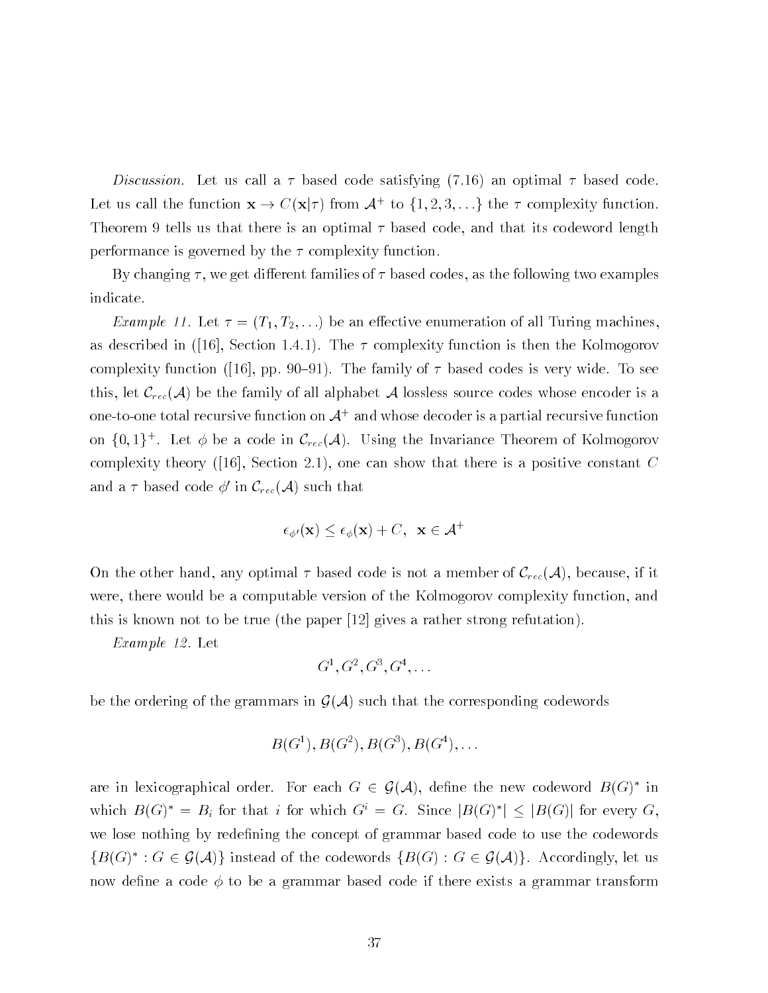Discussion. Let us call a  $\tau$  based code satisfying (7.16) an optimal  $\tau$  based code. Let us can the function  $\mathbf{X} \to \mathbb{C}(\mathbf{X} | \mathcal{T})$  from  $\mathcal{A}^+$  to  $\{1, 2, 3, \ldots\}$  the  $\mathcal{T}$  complexity function. Theorem 9 tells us that there is an optimal  $\tau$  based code, and that its codeword length performance is governed by the  $\tau$  complexity function.

By changing we get di-erent families of based codes as the following two examples indicate

Example -- Let T T---- be an e-ective enumeration of all Turing machines as described in the section in  $\mathcal{S}$  . The Section is the Kolmogorov is the Kolmogorov is the Kolmogorov is the Kolmogorov is the Kolmogorov is the Kolmogorov is the Kolmogorov is the Kolmogorov is the Kolmogorov is th  $\blacksquare$  function  $\blacksquare$  and  $\blacksquare$  the family of  $\blacksquare$ this, let  $\mathcal{C}_{rec}(\mathcal{A})$  be the family of all alphabet A lossless source codes whose encoder is a one-to-one total recursive function on  $\mathcal A^+$  and whose decoder is a partial recursive function on  $\{0,1\}$ . Let  $\phi$  be a code in  $C_{rec}(\mathcal{A})$ . Using the Invariance Theorem of Kolmogorov complexity theory (projection and is a positive constant that there is a positive constant C and a  $\tau$  based code  $\phi'$  in  $\mathcal{C}_{rec}(\mathcal{A})$  such that

$$
\epsilon_{\phi'}(\mathbf{x}) \le \epsilon_{\phi}(\mathbf{x}) + C, \ \ \mathbf{x} \in \mathcal{A}^+
$$

On the other hand, any optimal  $\tau$  based code is not a member of  $\mathcal{C}_{rec}(\mathcal{A})$ , because, if it were, there would be a computable version of the Kolmogorov complexity function, and  $t \hbox{ }$  is known not to be true the paper strong refutation  $t \hbox{ }$ 

Example - Let

$$
G^1, G^2, G^3, G^4, \ldots
$$

be the ordering of the grammars in  $\mathcal{G}(\mathcal{A})$  such that the corresponding codewords

$$
B(G^1), B(G^2), B(G^3), B(G^4),...
$$

are in lexicographical order. For each  $G \in \mathcal{G}(\mathcal{A})$ , define the new codeword  $D(G)$  in which  $B(G) = B_i$  for that i for which  $G = G$ . Since  $|B(G)| \leq |B(G)|$  for every  $G$ , we lose nothing by redefining the concept of grammar based code to use the codewords  $\{B(\mathbf{G})\ : \ \mathbf{G} \in \mathcal{G}(\mathcal{A})\}$  instead of the codewords  $\{B(\mathbf{G}) : \mathbf{G} \in \mathcal{G}(\mathcal{A})\}$ . Accordingly, let us now define a code  $\phi$  to be a grammar based code if there exists a grammar transform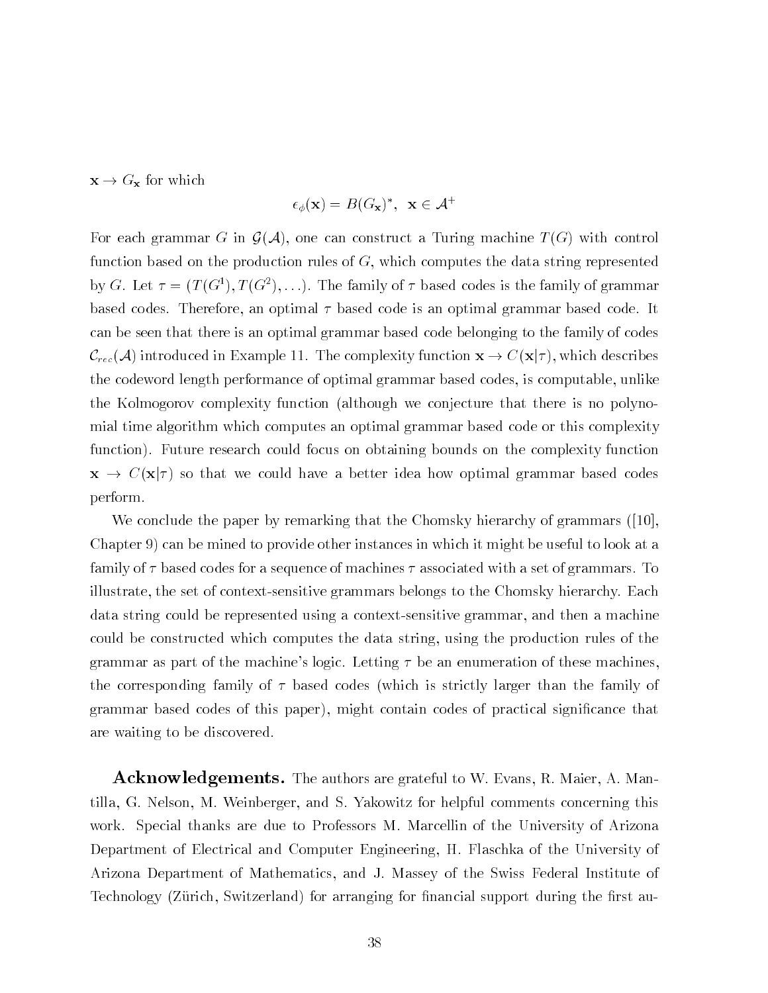$\mathbf{x} \to G_{\mathbf{x}}$  for which

$$
\epsilon_{\phi}(\mathbf{x}) = B(G_{\mathbf{x}})^*, \ \ \mathbf{x} \in \mathcal{A}^+
$$

For each grammar G in  $\mathcal{G}(\mathcal{A})$ , one can construct a Turing machine  $T(G)$  with control function based on the production rules of  $G$ , which computes the data string represented by G. Let  $\tau = (I \cup \tau^*), I \cup \tau^*), \ldots$  I ne family of  $\tau$  based codes is the family of grammar based codes. Therefore, an optimal  $\tau$  based code is an optimal grammar based code. It can be seen that there is an optimal grammar based code belonging to the family of codes  $C_{rec}(\mathcal{A})$  introduced in Example 11. The complexity function  $\mathbf{x} \to C(\mathbf{x}|\tau)$ , which describes the codeword length performance of optimal grammar based codes, is computable, unlike the Kolmogorov complexity function (although we conjecture that there is no polynomial time algorithm which computes an optimal grammar based code or this complexity function). Future research could focus on obtaining bounds on the complexity function  $x \to C(x|\tau)$  so that we could have a better idea how optimal grammar based codes perform

we conclude the paper by remaining that the chomsky methods of grammars (proposed Chapter  $9$  can be mined to provide other instances in which it might be useful to look at a family of  $\tau$  based codes for a sequence of machines  $\tau$  associated with a set of grammars. To illustrate, the set of context-sensitive grammars belongs to the Chomsky hierarchy. Each data string could be represented using a context-sensitive grammar, and then a machine could be constructed which computes the data string, using the production rules of the grammar as part of the machine's logic. Letting  $\tau$  be an enumeration of these machines, the corresponding family of  $\tau$  based codes (which is strictly larger than the family of grammar based codes of this paper), might contain codes of practical significance that are waiting to be discovered

acknowledgement and all the authors are grateful to W Evans R Manager and Manager are an tilla, G. Nelson, M. Weinberger, and S. Yakowitz for helpful comments concerning this work. Special thanks are due to Professors M. Marcellin of the University of Arizona Department of Electrical and Computer Engineering, H. Flaschka of the University of Arizona Department of Mathematics and J Massey of the Swiss Federal Institute of Technology (Zürich, Switzerland) for arranging for financial support during the first au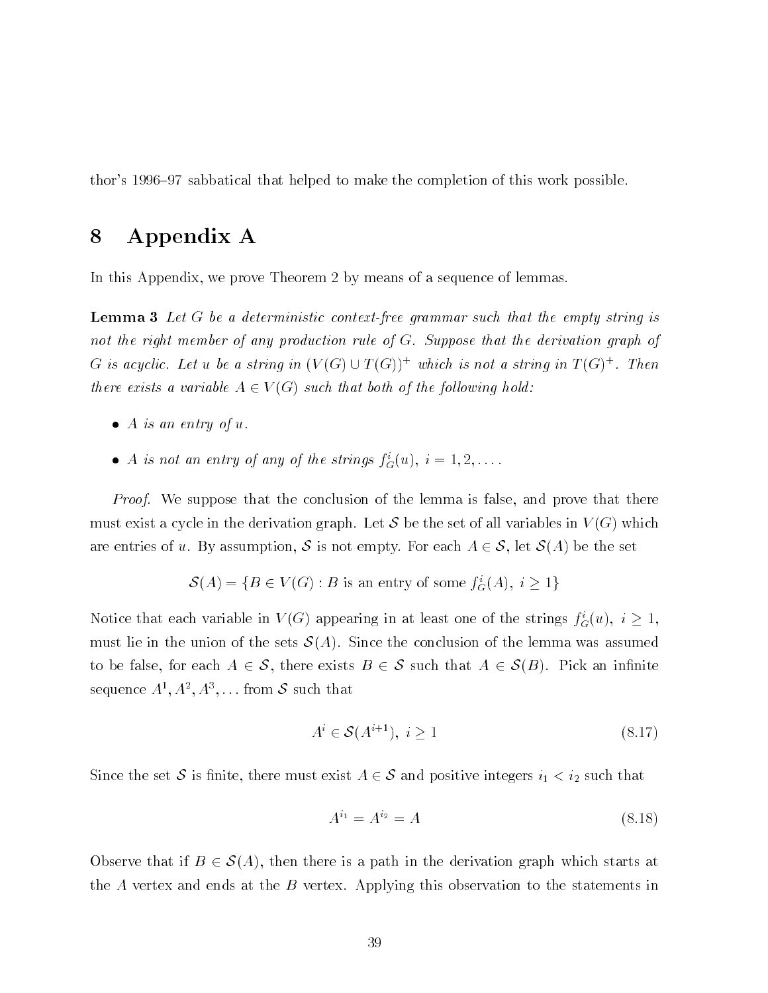thor's 1996–97 sabbatical that helped to make the completion of this work possible.

# Appendix A

In this Appendix, we prove Theorem 2 by means of a sequence of lemmas.

**Lemma 3** Let G be a deterministic context-free grammar such that the empty string is not the right member of any production rule of  $G$ . Suppose that the derivation graph of G is acycuc. Let u be a string in  $(V(G) \cup I(G))^\perp$  which is not a string in  $I(G)^\perp$ . Then there exists a variable  $A \in V(G)$  such that both of the following hold:

- $\bullet$  A is an entry of u.
- A is not an entry of any of the strings  $f_G(u)$ ,  $i = 1, 2, \ldots$ .

*Proof.* We suppose that the conclusion of the lemma is false, and prove that there must exist a cycle in the derivation graph. Let S be the set of all variables in  $V(G)$  which are entries of u. By assumption, S is not empty. For each  $A \in S$ , let  $S(A)$  be the set

$$
\mathcal{S}(A) = \{ B \in V(G) : B \text{ is an entry of some } f_G^*(A), i \ge 1 \}
$$

Notice that each variable in  $V(G)$  appearing in at least one of the strings  $J_G(u)$ ,  $i \geq 1$ , must lie in the union of the sets  $\mathcal{S}(A)$ . Since the conclusion of the lemma was assumed to be false, for each  $A \in \mathcal{S}$ , there exists  $B \in \mathcal{S}$  such that  $A \in \mathcal{S}(B)$ . Pick an infinite sequence  $A_-, A_-, A_+, \ldots$  from  $\phi$  such that

$$
A^i \in \mathcal{S}(A^{i+1}), \ i \ge 1 \tag{8.17}
$$

Since the set  $\bullet$  is nimited that a must exist at  $\in \bullet$  and positive integers  $\cup$  ,  $\cup$  and  $\cup$ 

$$
A^{i_1} = A^{i_2} = A \tag{8.18}
$$

Observe that if  $B \in \mathcal{S}(A)$ , then there is a path in the derivation graph which starts at the A vertex and ends at the B vertex. Applying this observation to the statements in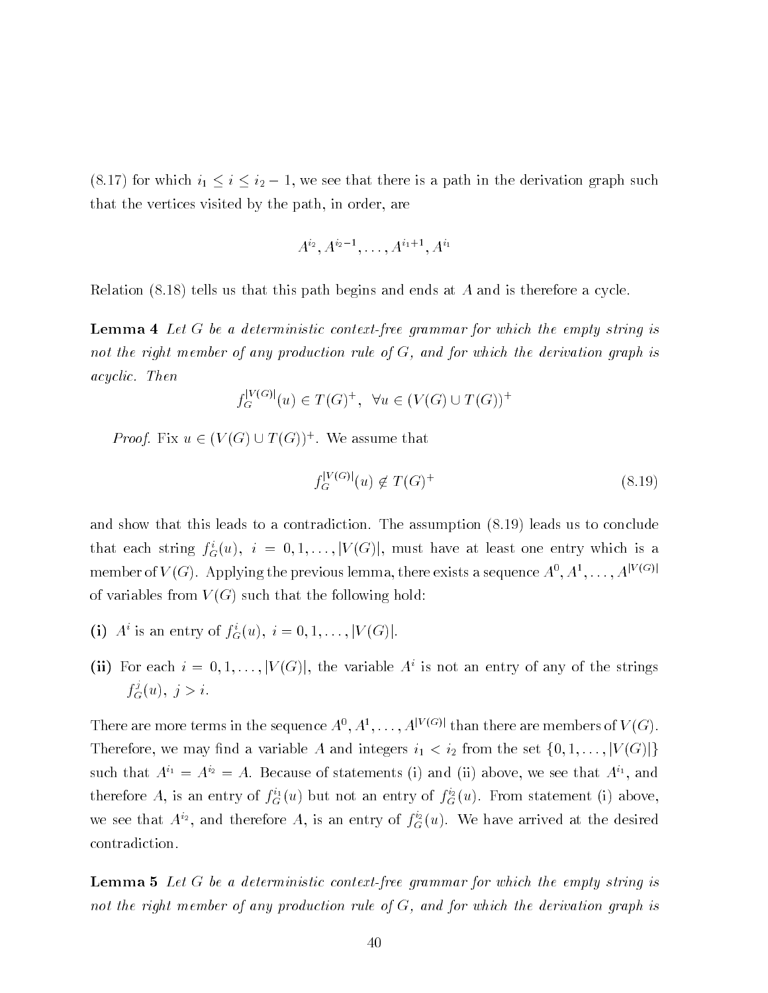, i.e., i.e., which is a path in the derivation  $\alpha$  and the derivation  $\alpha$  and  $\alpha$  and  $\alpha$  and  $\alpha$ that the vertices visited by the path, in order, are

$$
A^{i_2}, A^{i_2-1}, \ldots, A^{i_1+1}, A^{i_1}
$$

Relation  $(8.18)$  tells us that this path begins and ends at A and is therefore a cycle.

**Lemma 4** Let G be a deterministic context-free grammar for which the empty string is not the right member of any production rule of  $G$ , and for which the derivation graph is acyclic. Then

$$
f_G^{|V(G)|}(u) \in T(G)^+, \ \forall u \in (V(G) \cup T(G))^+
$$

*Proof.* Fix  $u \in (V(G) \cup I(G))$ . We assume that

$$
f_G^{|V(G)|}(u) \notin T(G)^+
$$
\n
$$
(8.19)
$$

and show that this leads to a contradiction. The assumption  $(8.19)$  leads us to conclude that each string  $j_{G}(u), \; i = 0, 1, \ldots, |V(G)|$ , must have at least one entry which is a member of V (G). Applying the previous lemma, there exists a sequence  $A^+, A^+, \ldots, A^{(n+1)}$ of variables from  $V(G)$  such that the following hold:

- (1) A is an entry of  $J_G(u)$ ,  $i = 0, 1, \ldots, |V(G)|$ .
- (ii) for each  $i = 0, 1, \ldots, |V(G)|$ , the variable  $A$  is not an entry of any of the strings  $f_G(u),\ j\geq i.$

There are more terms in the sequence  $A^+, A^-, \ldots, A^{(n-1)}$  than there are members of  $V(G)$ . Therefore we may not a variable  $\Omega$  and integers integers integers in the set for  $\Omega$ such that  $A^+ = A^* = A$ . Decause of statements (i) and (ii) above, we see that  $A^+,$  and therefore A, is an entry of  $J_G^{\perp}(u)$  but not an entry of  $J_G^{\perp}(u)$ . From statement (1) above, we see that  $A^{*2}$ , and therefore  $A$ , is an entry of  $f_{G}^{*}(u)$ . We have arrived at the desired contradiction

**Lemma 5** Let G be a deterministic context-free grammar for which the empty string is not the right member of any production rule of  $G$ , and for which the derivation graph is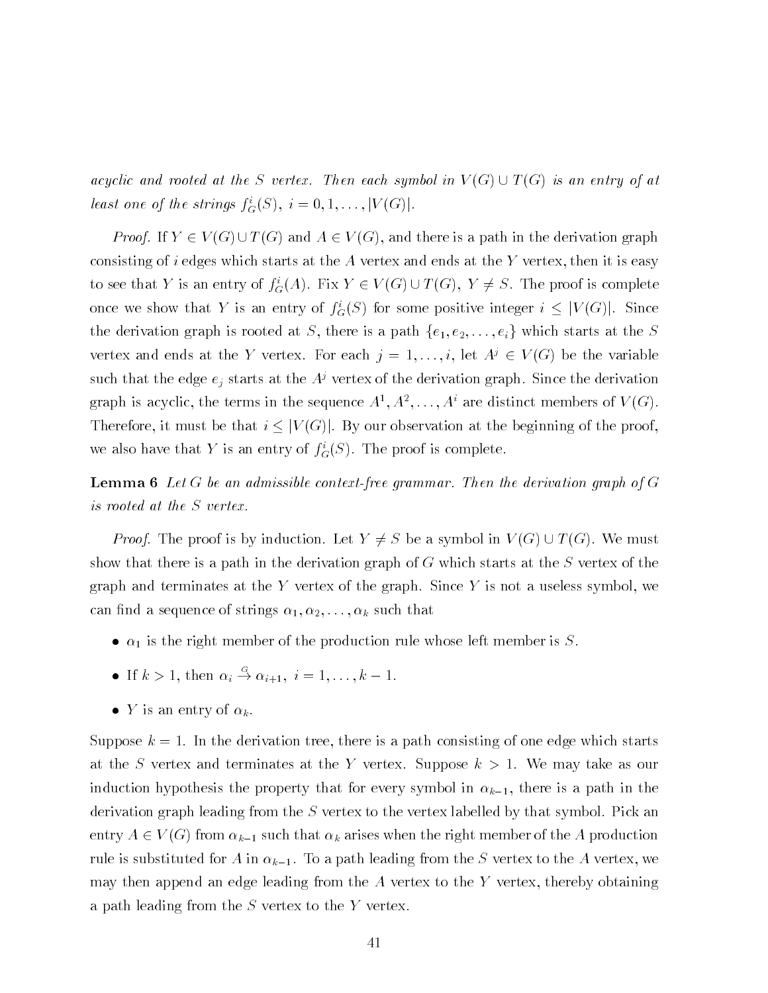acyclic and rooted at the S vertex. Then each symbol in  $V(G) \cup T(G)$  is an entry of at least one of the strings  $f_G(\mathcal{S})$ ,  $i = 0, 1, \ldots, |V(G)|$ .

*Proof.* If  $Y \in V(G) \cup T(G)$  and  $A \in V(G)$ , and there is a path in the derivation graph consisting of i edges which starts at the  $A$  vertex and ends at the  $Y$  vertex, then it is easy to see that Y is an entry of  $f_G(A)$ . Fix  $Y \in V(G) \cup I(G)$ ,  $Y \neq S$ . The proof is complete once we show that Y is an entry of  $f_G(S)$  for some positive integer  $i \leq |V(G)|$ . Since the derivation graph is rooted at  $\mathbf{I}$  the S theorem is a path fe e-set of e-set of e-set of e-set of e-set of e-set of e-set of e-set of e-set of e-set of e-set of e-set of e-set of e-set of e-set of e-set of e-set o vertex and ends at the Y vertex. For each  $\gamma = 1, \ldots, i$ , let  $A^* \in V(G)$  be the variable such that the edge  $e_j$  starts at the  $A^j$  vertex of the derivation graph. Since the derivation graph is acyclic, the terms in the sequence  $A^*,A^*,\ldots,A^*$  are distinct members of  $V(G)$ . Therefore, it must be that  $i \leq |V(G)|$ . By our observation at the beginning of the proof, we also have that Y is an entry of  $f_{\tilde{G}}(S)$ . The proof is complete.

**Lemma 6** Let G be an admissible context-free grammar. Then the derivation graph of G is rooted at the S vertex

*Proof.* The proof is by induction. Let  $Y \neq S$  be a symbol in  $V(G) \cup T(G)$ . We must show that there is a path in the derivation graph of  $G$  which starts at the  $S$  vertex of the graph and terminates at the Y vertex of the graph. Since Y is not a useless symbol, we can not strings in the sequence of strings in the sequence of strings in the sequence of the sequence of the s

- $\bullet$   $\alpha_1$  is the right member of the production rule whose left member is S.
- If  $k > 1$ , then  $\alpha_i \to \alpha_{i+1}, i = 1, \ldots, k-1$ .
- Y is an entry of  $\alpha_k$ .

Suppose  $k = 1$ . In the derivation tree, there is a path consisting of one edge which starts at the S vertex and terminates at the Y vertex. Suppose  $k > 1$ . We may take as our induction hypothesis the property that for every symbol in k- there is a path in the derivation graph leading from the  $S$  vertex to the vertex labelled by that symbol. Pick an entry A  $\sim$  from the right member of the right member of the right member of the  $\sim$  100  $\,$ rule is substituted for A in the S vertex to the A in the A vertex to the A vertex to the A vertex to the A ver may then append an edge leading from the  $A$  vertex to the  $Y$  vertex, thereby obtaining a path leading from the  $S$  vertex to the Y vertex.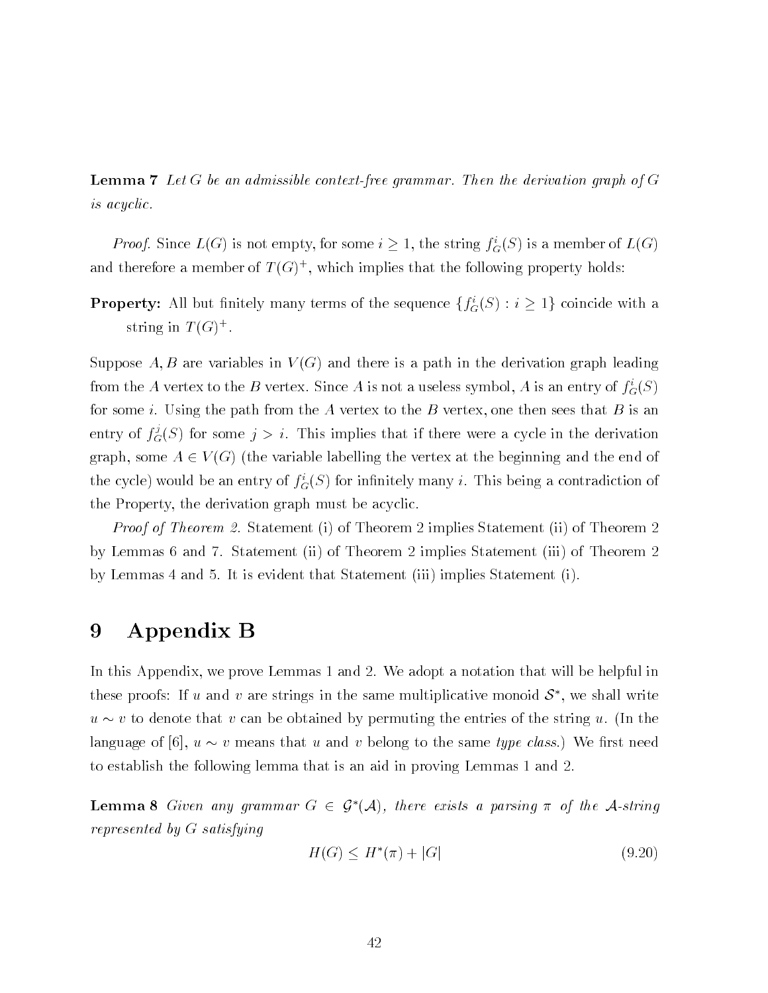**Lemma 7** Let G be an admissible context-free grammar. Then the derivation graph of  $G$ is acyclic

*Proof.* Since  $L(G)$  is not empty, for some  $i \geq 1$ , the string  $J_G(S)$  is a member of  $L(G)$ and therefore a member of  $T(G)$  , which implies that the following property holds:

**Property:** All but limitely many terms of the sequence  $\{f_G(\beta): i \geq 1\}$  coincide with a string in  $I$  (G).

Suppose A, B are variables in  $V(G)$  and there is a path in the derivation graph leading from the A vertex to the B vertex. Since A is not a useless symbol, A is an entry of  $f_{\tilde{G}}(S)$ for some *i*. Using the path from the A vertex to the B vertex, one then sees that B is an entry of  $f_G^{\omega}(S)$  for some  $j>i$ . This implies that if there were a cycle in the derivation graph, some  $A \in V(G)$  (the variable labelling the vertex at the beginning and the end of the cycle) would be an entry of  $f_G(s)$  for infinitely many  $i$ . This being a contradiction of the Property, the derivation graph must be acyclic.

*Proof of Theorem 2.* Statement (i) of Theorem 2 implies Statement (ii) of Theorem 2 by Lemmas 6 and 7. Statement (ii) of Theorem 2 implies Statement (iii) of Theorem 2 by Lemmas  $4$  and  $5$ . It is evident that Statement (iii) implies Statement (i).

## Appendix B 9

In this Appendix, we prove Lemmas 1 and 2. We adopt a notation that will be helpful in these proofs: If  $u$  and  $v$  are strings in the same multiplicative monoid  $\delta$  , we shall write  $u \sim v$  to denote that v can be obtained by permuting the entries of the string u. (In the represented that use the same that use the same that we recovered the same type class to the same that the same to establish the following lemma that is an aid in proving Lemmas 1 and 2.

**Lemma 8** Given any grammar  $G \in \mathcal{G}^*(\mathcal{A})$ , there exists a parsing  $\pi$  of the A-string represented by G satisfying

$$
H(G) \le H^*(\pi) + |G| \tag{9.20}
$$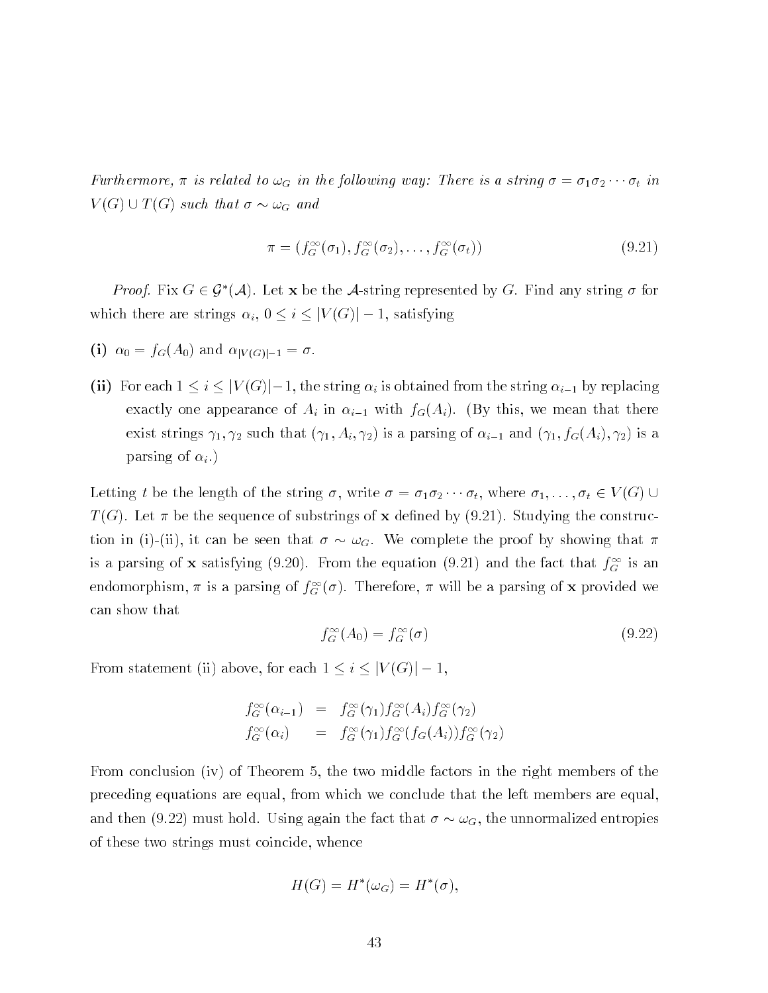Furthermore  $\gamma$  in the following the following way There is a string  $\gamma$  -string  $\gamma$  $V(G) \cup T(G)$  such that  $\sigma \sim \omega_G$  and

$$
\pi = (f_G^{\infty}(\sigma_1), f_G^{\infty}(\sigma_2), \dots, f_G^{\infty}(\sigma_t))
$$
\n(9.21)

*Proof.* Fix  $G \in \mathcal{G}^*(\mathcal{A})$ . Let x be the A-string represented by G. Find any string  $\sigma$  for where it is a string in the strings in the strings in the strings in the strings in the strings in the strings in the strings in the strings in the strings in the strings in the strings in the strings in the strings in th

- -i fGA and jV Gj-
- ii for each  $i=1,2, \ldots$  in the string is obtained from the string intervals in  $\alpha$ exactly one appearance of Ai in in  $\mu$  is well in its wealth for  $\mu$  in the second that there are the second exist strings - such that Ai - is a parsing of i- and fGAi - is a parsing of  $\alpha_i$ .)

Letting t be the length of the string write - --- t where ---t <sup>V</sup> G  $T(G)$ . Let  $\pi$  be the sequence of substrings of **x** defined by (9.21). Studying the construction in (i)-(ii), it can be seen that  $\sigma \sim \omega_G$ . We complete the proof by showing that  $\pi$ is a parsing of **x** satisfying  $(9.20)$ . From the equation  $(9.21)$  and the fact that  $f_G$  is an endomorphism,  $\pi$  is a parsing of  $J_G(\sigma)$ . Therefore,  $\pi$  will be a parsing of **x** provided we can show that

$$
f_G^{\infty}(A_0) = f_G^{\infty}(\sigma) \tag{9.22}
$$

From statement in the statement in the state for each  $\sim$ 

$$
f_G^{\infty}(\alpha_{i-1}) = f_G^{\infty}(\gamma_1) f_G^{\infty}(A_i) f_G^{\infty}(\gamma_2)
$$
  

$$
f_G^{\infty}(\alpha_i) = f_G^{\infty}(\gamma_1) f_G^{\infty}(f_G(A_i)) f_G^{\infty}(\gamma_2)
$$

From conclusion (iv) of Theorem 5, the two middle factors in the right members of the preceding equations are equal, from which we conclude that the left members are equal, and then (9.22) must hold. Using again the fact that  $\sigma \sim \omega_G$ , the unnormalized entropies of these two strings must coincide, whence

$$
H(G) = H^*(\omega_G) = H^*(\sigma),
$$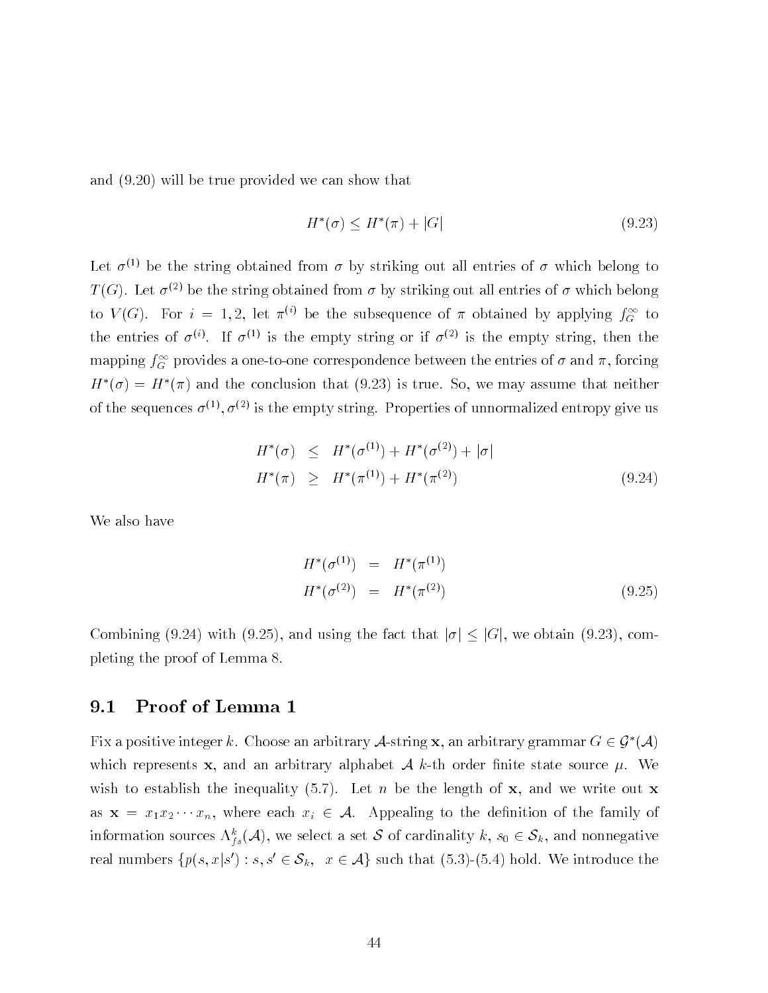and  $(9.20)$  will be true provided we can show that

$$
H^*(\sigma) \le H^*(\pi) + |G| \tag{9.23}
$$

Let  $\sigma^{(1)}$  be the string obtained from  $\sigma$  by striking out all entries of  $\sigma$  which belong to  $T$  (G). Let  $\sigma^{<\omega}$  be the string obtained from  $\sigma$  by striking out all entries of  $\sigma$  which belong to  $V(G)$ . For  $i = 1, 2$ , let  $\pi^{(i)}$  be the subsequence of  $\pi$  obtained by applying  $f_{G}^{(i)}$  to the entries of  $\sigma^{(1)}$ . If  $\sigma^{(2)}$  is the empty string or if  $\sigma^{(2)}$  is the empty string, then the mapping  $f_{\tilde{G}}$  provides a one-to-one correspondence between the entries of  $\sigma$  and  $\pi$ , forcing  $H^*(\sigma) = H^*(\pi)$  and the conclusion that (9.23) is true. So, we may assume that neither of the sequences  $\sigma^{(2)}, \sigma^{(2)}$  is the empty string. Properties of unnormalized entropy give us

$$
H^*(\sigma) \le H^*(\sigma^{(1)}) + H^*(\sigma^{(2)}) + |\sigma|
$$
  

$$
H^*(\pi) \ge H^*(\pi^{(1)}) + H^*(\pi^{(2)})
$$
(9.24)

We also have

$$
H^*(\sigma^{(1)}) = H^*(\pi^{(1)})
$$
  

$$
H^*(\sigma^{(2)}) = H^*(\pi^{(2)})
$$
 (9.25)

Combining (9.24) with (9.25), and using the fact that  $|\sigma| \leq |G|$ , we obtain (9.23), completing the proof of Lemma

#### $9.1$ Proof of Lemma

Fix a positive integer k. Choose an arbitrary A-string x, an arbitrary grammar  $G \in \mathcal{G}^*(\mathcal{A})$ which represents and an arbitrary alphabet A kth order nite state source alphabet A kth order nite source source source source source and an arbitrary alphabet A kth order nite source in the source source in the source of wish to establish the inequality  $(5.7)$ . Let n be the length of x, and we write out x as as a  $x_1 \cdots x_n$  , which we can also to the denition of the family of the family of the family of the family of information sources  $\Lambda_{fs}({\cal A}),$  we select a set  ${\cal S}$  of cardinality  $\kappa,\,s_0\in{\cal S}_k,$  and nonnegative real numbers  $\{p(s,x|s) : s,s \in \mathcal{O}_k, \; x \in \mathcal{A}\}$  such that (0.0)–(0.4) noid. We introduce the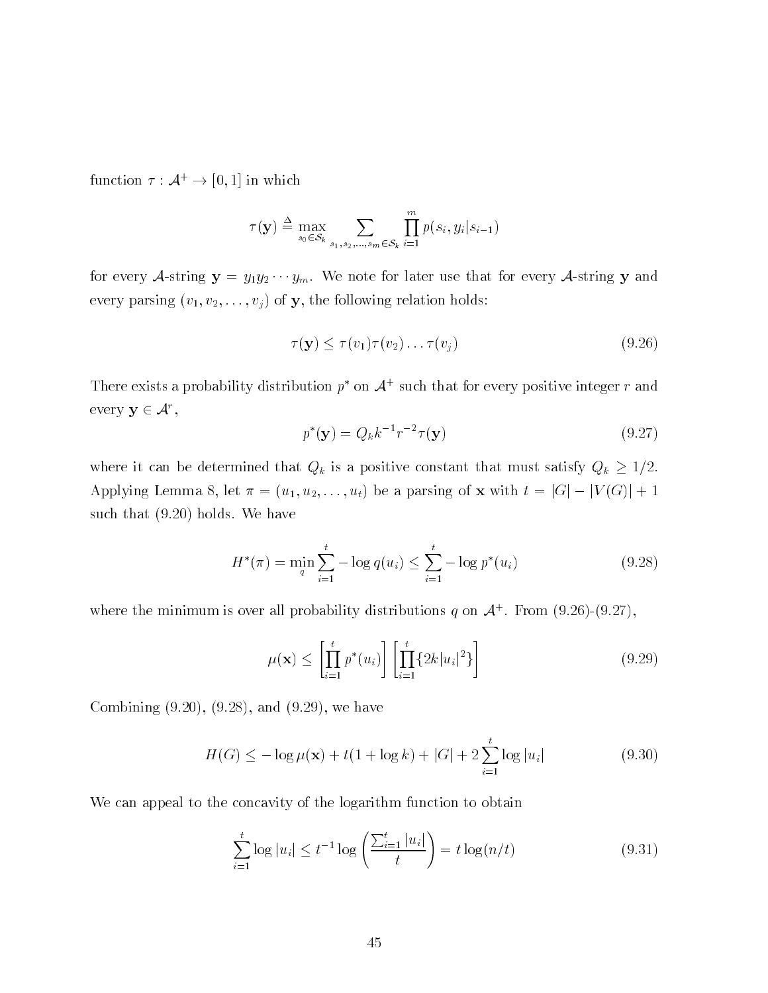function  $\tau : \mathcal{A}^+ \to |0,1|$  in which

$$
\tau(\mathbf{y}) \triangleq \max_{s_0 \in \mathcal{S}_k} \sum_{s_1, s_2, \dots, s_m \in \mathcal{S}_k} \prod_{i=1}^m p(s_i, y_i | s_{i-1})
$$

for every Astring y yy- --- ym We note for later use that for every Astring y and every parameter video of your comment of the following relationship and the following relation of the following  $\sim$ 

$$
\tau(\mathbf{y}) \le \tau(v_1)\tau(v_2)\dots\tau(v_j) \tag{9.26}
$$

There exists a probability distribution  $p$  fon  $\mathcal{A}$  such that for every positive integer r and every  $y \in \mathcal{A}$  .

$$
p^*(y) = Q_k k^{-1} r^{-2} \tau(y)
$$
\n(9.27)

where it can be determined that  $Q_k$  is a positive constant that must satisfy  $Q_k \geq 1/2$ . a particle let  $\sim$  and the contract of the anti-structure of the contract of the contract of the contract of the contract of the contract of the contract of the contract of the contract of the contract of the contract of such that  $(9.20)$  holds. We have

$$
H^*(\pi) = \min_{q} \sum_{i=1}^t -\log q(u_i) \le \sum_{i=1}^t -\log p^*(u_i)
$$
 (9.28)

where the minimum is over all probability distributions q on  $\mathcal{A}^+$ . From (9.20)–(9.27),

$$
\mu(\mathbf{x}) \le \left[ \prod_{i=1}^{t} p^*(u_i) \right] \left[ \prod_{i=1}^{t} \{2k |u_i|^2\} \right] \tag{9.29}
$$

Combining  $(9.20)$ ,  $(9.28)$ , and  $(9.29)$ , we have

$$
H(G) \le -\log \mu(\mathbf{x}) + t(1 + \log k) + |G| + 2\sum_{i=1}^{t} \log |u_i|
$$
\n(9.30)

We can appeal to the concavity of the logarithm function to obtain

$$
\sum_{i=1}^{t} \log |u_i| \le t^{-1} \log \left( \frac{\sum_{i=1}^{t} |u_i|}{t} \right) = t \log(n/t)
$$
 (9.31)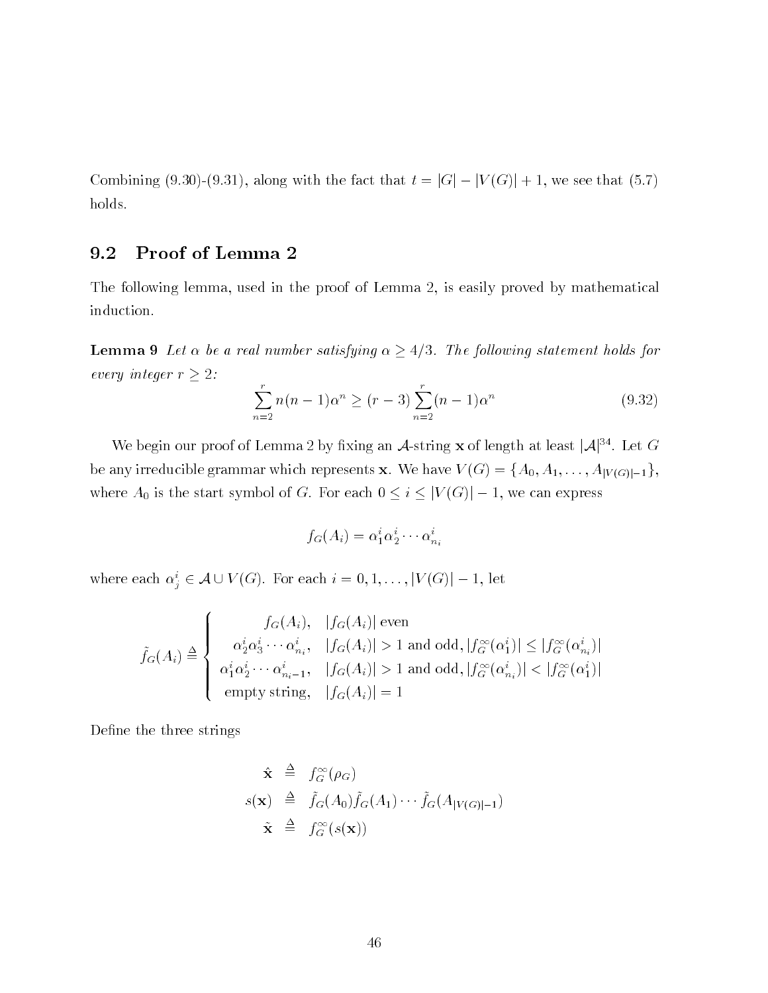<u>Combining (along it the fact that the fact that the fact that the fact that the fact that the fact that the fact</u> holds

## 9.2 Proof of Lemma

The following lemma, used in the proof of Lemma 2, is easily proved by mathematical induction

**Lemma 9** Let  $\alpha$  be a real number satisfying  $\alpha \geq 4/3$ . The following statement holds for every integer  $r \geq 2$ :

$$
\sum_{n=2}^{r} n(n-1)\alpha^{n} \ge (r-3) \sum_{n=2}^{r} (n-1)\alpha^{n}
$$
 (9.32)

We begin our proof of Lemma 2 by fixing an  $A$ -string x of length at least  $|A|^{34}$ . Let G be any series and the contract represents and the contract represents and the contract of the contract of the c where A is the start symbol of G For each <sup>i</sup> jV G j we can express

$$
f_G(A_i) = \alpha_1^i \alpha_2^i \cdots \alpha_{n_i}^i
$$

where each  $\alpha_i \in \mathcal{A} \cup V(G)$ . For each  $i = 0, 1, \ldots, |V(G)| - 1$ , let

$$
\tilde{f}_G(A_i) \triangleq \begin{cases}\nf_G(A_i), & |f_G(A_i)| \text{ even} \\
\alpha_2^i \alpha_3^i \cdots \alpha_{n_i}^i, & |f_G(A_i)| > 1 \text{ and odd}, |f_G^{\infty}(\alpha_1^i)| \leq |f_G^{\infty}(\alpha_{n_i}^i)| \\
\alpha_1^i \alpha_2^i \cdots \alpha_{n_i-1}^i, & |f_G(A_i)| > 1 \text{ and odd}, |f_G^{\infty}(\alpha_{n_i}^i)| < |f_G^{\infty}(\alpha_1^i)| \\
\text{empty string}, & |f_G(A_i)| = 1\n\end{cases}
$$

Define the three strings

$$
\hat{\mathbf{x}} \triangleq f_G^{\infty}(\rho_G)
$$
\n
$$
s(\mathbf{x}) \triangleq \tilde{f}_G(A_0)\tilde{f}_G(A_1)\cdots\tilde{f}_G(A_{|V(G)|-1})
$$
\n
$$
\tilde{\mathbf{x}} \triangleq f_G^{\infty}(s(\mathbf{x}))
$$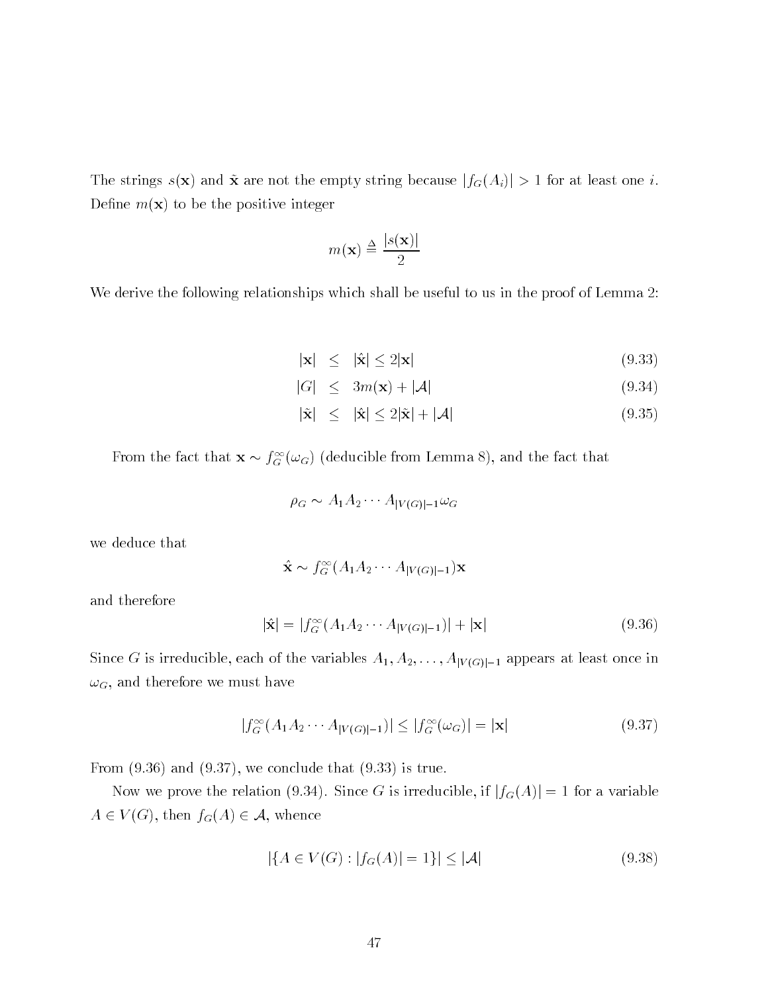The strings  $s(\mathbf{x})$  and  $\tilde{\mathbf{x}}$  are not the empty string because  $|f_G(A_i)| > 1$  for at least one *i*. Define  $m(\mathbf{x})$  to be the positive integer

$$
m(\mathbf{x}) \stackrel{\Delta}{=} \frac{|s(\mathbf{x})|}{2}
$$

We derive the following relationships which shall be useful to us in the proof of Lemma 2.

$$
|\mathbf{x}| \leq |\hat{\mathbf{x}}| \leq 2|\mathbf{x}| \tag{9.33}
$$

$$
|G| \le 3m(\mathbf{x}) + |\mathcal{A}| \tag{9.34}
$$

$$
|\tilde{\mathbf{x}}| \leq |\hat{\mathbf{x}}| \leq 2|\tilde{\mathbf{x}}| + |\mathcal{A}| \tag{9.35}
$$

From the fact that  $\mathbf{x} \sim f_G\left(\omega_G\right)$  (deducible from Lemma 8), and the fact that

$$
\rho_G \sim A_1 A_2 \cdots A_{|V(G)|-1} \omega_G
$$

we deduce that

$$
\hat{\mathbf{x}} \sim f_G^{\infty}(A_1 A_2 \cdots A_{|V(G)|-1}) \mathbf{x}
$$

and therefore

$$
|\hat{\mathbf{x}}| = |f_G^{\infty}(A_1 A_2 \cdots A_{|V(G)|-1})| + |\mathbf{x}| \tag{9.36}
$$

Since G is irreducible each of the variables A A----AjV Gj- appears at least once in  $\omega_G$ , and therefore we must have

$$
|f_G^{\infty}(A_1 A_2 \cdots A_{|V(G)|-1})| \le |f_G^{\infty}(\omega_G)| = |\mathbf{x}| \tag{9.37}
$$

From  $(9.36)$  and  $(9.37)$ , we conclude that  $(9.33)$  is true.

Now we prove the relation (9.34). Since G is irreducible, if  $|f_G(A)| = 1$  for a variable  $A \in V(G)$ , then  $f_G(A) \in \mathcal{A}$ , whence

$$
|\{A \in V(G) : |f_G(A)| = 1\}| \le |\mathcal{A}| \tag{9.38}
$$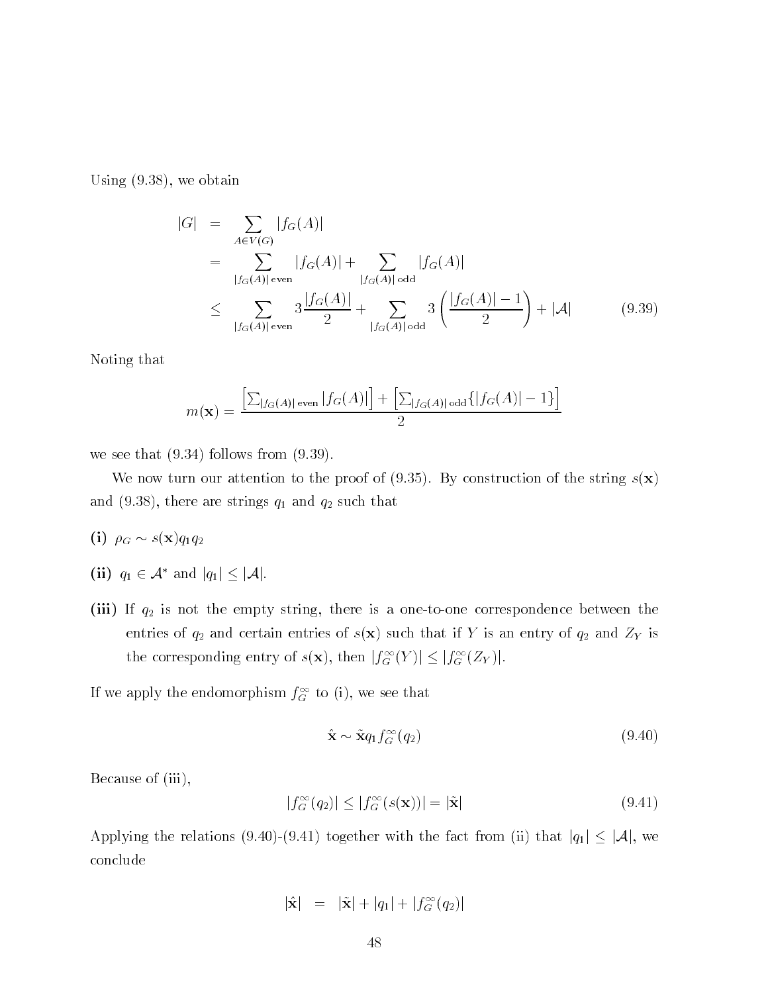Using  $(9.38)$ , we obtain

$$
|G| = \sum_{A \in V(G)} |f_G(A)|
$$
  
= 
$$
\sum_{|f_G(A)| \text{ even}} |f_G(A)| + \sum_{|f_G(A)| \text{ odd}} |f_G(A)|
$$
  

$$
\leq \sum_{|f_G(A)| \text{ even}} 3 \frac{|f_G(A)|}{2} + \sum_{|f_G(A)| \text{ odd}} 3 \left( \frac{|f_G(A)| - 1}{2} \right) + |\mathcal{A}| \qquad (9.39)
$$

Noting that

$$
m(\mathbf{x}) = \frac{\left[\sum_{|f_G(A)| \text{ even}} |f_G(A)|\right] + \left[\sum_{|f_G(A)| \text{ odd}} \{|f_G(A)| - 1\}\right]}{2}
$$

we see that  $(9.34)$  follows from  $(9.39)$ .

We now turn our attention to the proof of (9.35). By construction of the string  $s(\mathbf{x})$ and the strings  $\alpha$  are strings  $\alpha$  and  $\alpha$  and  $\alpha$  and  $\alpha$ 

- $\cdots$  in  $\cdots$
- (ii)  $q_1 \in \mathcal{A}$  and  $|q_1| \leq |\mathcal{A}|$ .
- $i$  is not the empty string the empty string the empty string the empty string the empty string the empty string the empty string the empty string the empty string the empty string the empty string the empty string the em entries of and certain entries of systems of the state is and ZY is an entries of the state is an entries of t the corresponding entry of  $s(\mathbf{x})$ , then  $|J_G^-(Y)| \leq |J_G^-(ZY)|$ .

If we apply the endomorphism  $J_{G}^{+}$  to (1), we see that

$$
\hat{\mathbf{x}} \sim \tilde{\mathbf{x}} q_1 f_G^{\infty}(q_2) \tag{9.40}
$$

Because of (iii),

$$
|f_G^{\infty}(q_2)| \le |f_G^{\infty}(s(\mathbf{x}))| = |\tilde{\mathbf{x}}| \tag{9.41}
$$

Applying the relations (9.40)-(9.41) together with the fact from (ii) that  $|q_1| \leq |\mathcal{A}|$ , we conclude

$$
|\hat{\mathbf{x}}| = |\tilde{\mathbf{x}}| + |q_1| + |f_G^{\infty}(q_2)|
$$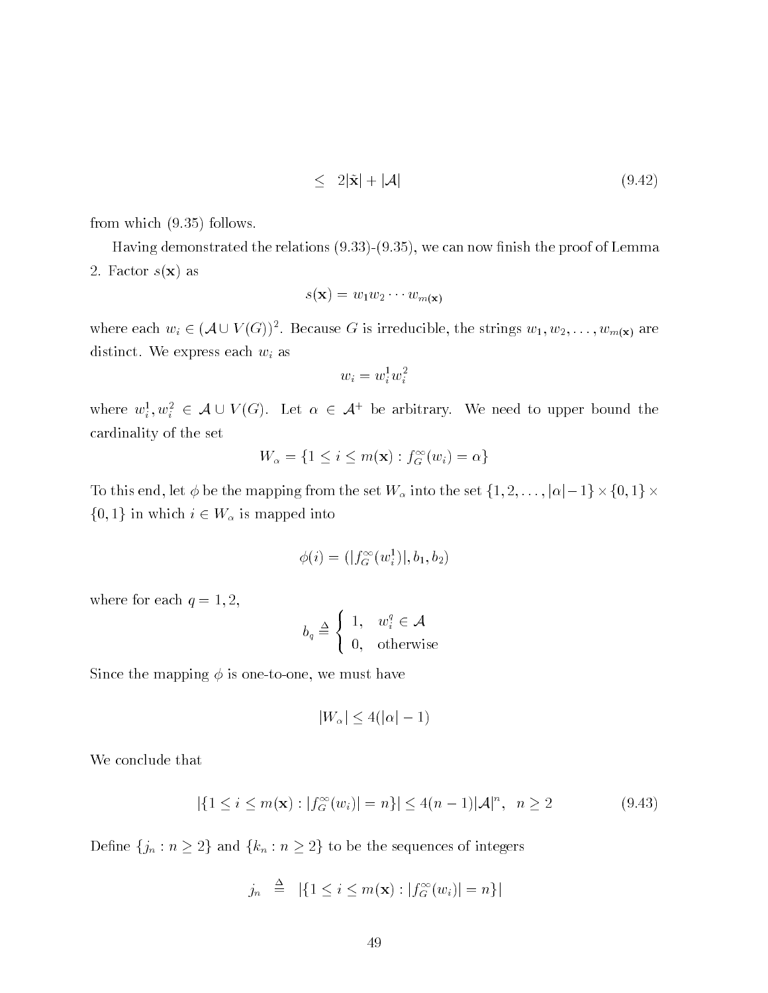$$
\leq 2|\tilde{\mathbf{x}}| + |\mathcal{A}| \tag{9.42}
$$

from which  $(9.35)$  follows.

Having demonstrated the relations  $(9.33)$ - $(9.35)$ , we can now finish the proof of Lemma 2. Factor  $s(\mathbf{x})$  as

$$
s(\mathbf{x}) = w_1 w_2 \cdots w_{m(\mathbf{x})}
$$

where each  $w_i \in (A \cup V(G))$ . Because G is irreducible, the strings  $w_1, w_2, \ldots, w_{m(\mathbf{x})}$  are distinct. We express each  $w_i$  as

$$
w_i = w_i^1 w_i^2
$$

where  $w_i^-, w_i^- \in A \cup V(G)$ . Let  $\alpha \in A^+$  be arbitrary. We need to upper bound the cardinality of the set

$$
W_{\alpha} = \{1 \leq i \leq m(\mathbf{x}) : f_G^{\infty}(w_i) = \alpha\}
$$

To the map is the set of the mapping from the set of the sets the set for the set for the set  $\mathcal{L}_1$  is the set  $\{0,1\}$  in which  $i \in W_{\alpha}$  is mapped into

$$
\phi(i) = (|f_G^{\infty}(w_i^1)|, b_1, b_2)
$$

where for each  $q = 1, 2$ ,

$$
b_q \stackrel{\Delta}{=} \left\{ \begin{array}{ll} 1, & w_i^q \in \mathcal{A} \\ 0, & \text{otherwise} \end{array} \right.
$$

Since the mapping  $\phi$  is one-to-one, we must have

$$
|W_{\alpha}| \le 4(|\alpha|-1)
$$

We conclude that

$$
|\{1 \le i \le m(\mathbf{x}) : |f_G^{\infty}(w_i)| = n\}| \le 4(n-1)|\mathcal{A}|^n, \ \ n \ge 2
$$
\n(9.43)

Define  $\{j_n : n \geq 2\}$  and  $\{k_n : n \geq 2\}$  to be the sequences of integers

$$
j_n \triangleq |\{1 \leq i \leq m(\mathbf{x}) : |f_G^{\infty}(w_i)| = n\}|
$$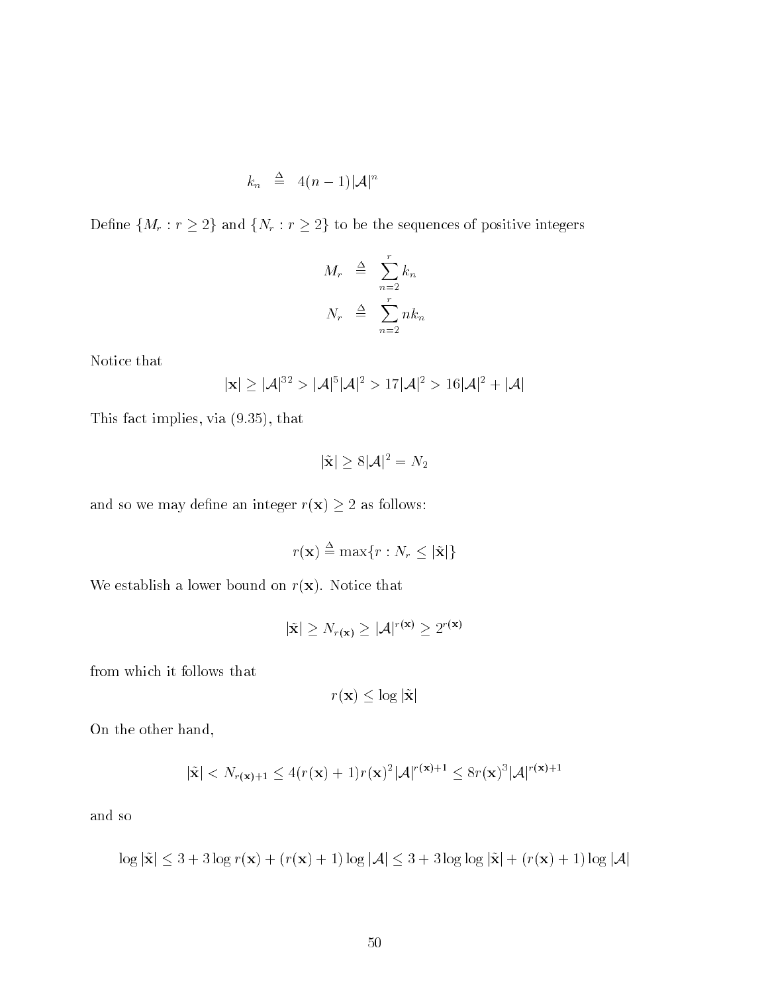$$
k_n \triangleq 4(n-1)|A|^n
$$

Define  $\{M_r : r \geq 2\}$  and  $\{N_r : r \geq 2\}$  to be the sequences of positive integers

$$
M_r \triangleq \sum_{n=2}^r k_n
$$
  

$$
N_r \triangleq \sum_{n=2}^r n k_n
$$

Notice that

$$
|\mathbf{x}| \geq |\mathcal{A}|^{32} > |\mathcal{A}|^{5} |\mathcal{A}|^{2} > 17 |\mathcal{A}|^{2} > 16 |\mathcal{A}|^{2} + |\mathcal{A}|
$$

This fact implies, via  $(9.35)$ , that

$$
|\tilde{\mathbf{x}}| \ge 8|\mathcal{A}|^2 = N_2
$$

and so we may define an integer  $r(\mathbf{x}) \ge 2$  as follows:

$$
r(\mathbf{x}) \stackrel{\Delta}{=} \max\{r : N_r \leq |\tilde{\mathbf{x}}|\}
$$

We establish a lower bound on  $r(\mathbf{x})$ . Notice that

$$
|\tilde{\mathbf{x}}| \ge N_{r(\mathbf{x})} \ge |\mathcal{A}|^{r(\mathbf{x})} \ge 2^{r(\mathbf{x})}
$$

from which it follows that

$$
r(\mathbf{x}) \le \log |\tilde{\mathbf{x}}|
$$

On the other hand

$$
|\tilde{\mathbf{x}}| < N_{r(\mathbf{x})+1} \le 4(r(\mathbf{x})+1)r(\mathbf{x})^2 |\mathcal{A}|^{r(\mathbf{x})+1} \le 8r(\mathbf{x})^3 |\mathcal{A}|^{r(\mathbf{x})+1}
$$

and so

$$
\log |\tilde{\mathbf{x}}| \le 3 + 3\log r(\mathbf{x}) + (r(\mathbf{x}) + 1)\log |\mathcal{A}| \le 3 + 3\log \log |\tilde{\mathbf{x}}| + (r(\mathbf{x}) + 1)\log |\mathcal{A}|
$$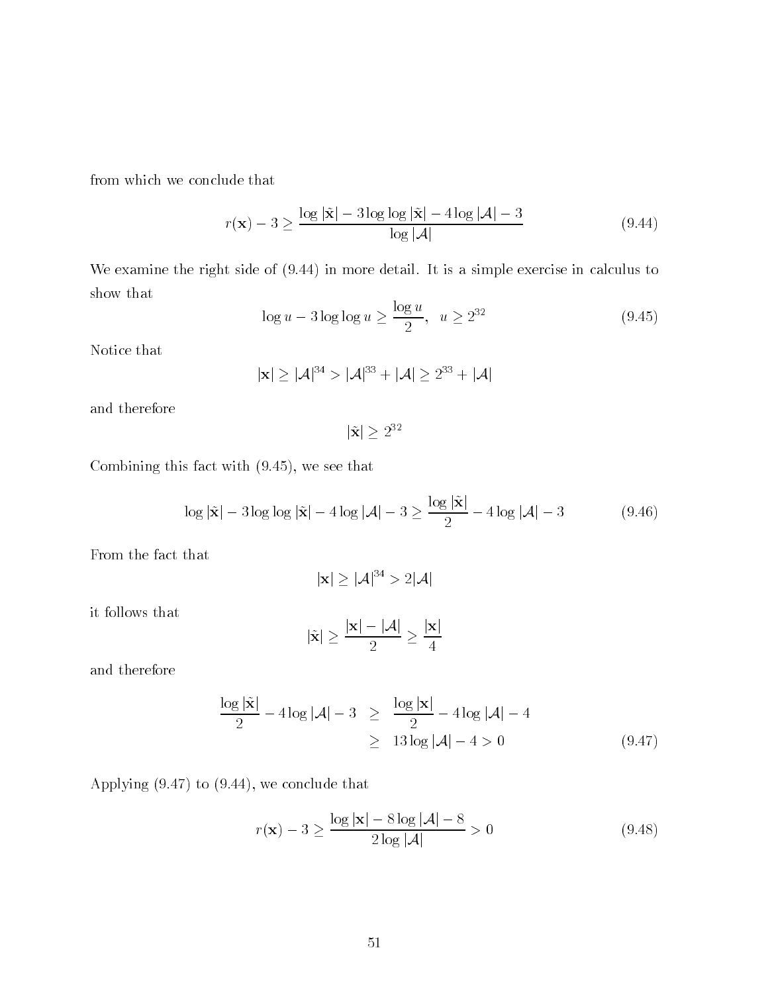from which we conclude that

$$
r(\mathbf{x}) - 3 \ge \frac{\log |\tilde{\mathbf{x}}| - 3 \log \log |\tilde{\mathbf{x}}| - 4 \log |\mathcal{A}| - 3}{\log |\mathcal{A}|} \tag{9.44}
$$

We examine the right side of  $(9.44)$  in more detail. It is a simple exercise in calculus to show that

$$
\log u - 3 \log \log u \ge \frac{\log u}{2}, \ \ u \ge 2^{32} \tag{9.45}
$$

Notice that

$$
|\mathbf{x}| \geq |\mathcal{A}|^{34} > |\mathcal{A}|^{33} + |\mathcal{A}| \geq 2^{33} + |\mathcal{A}|
$$

and therefore

 $|X| \geq 2^{-1}$ 

Combining this fact with  $(9.45)$ , we see that

$$
\log|\tilde{\mathbf{x}}| - 3\log\log|\tilde{\mathbf{x}}| - 4\log|\mathcal{A}| - 3 \ge \frac{\log|\tilde{\mathbf{x}}|}{2} - 4\log|\mathcal{A}| - 3 \tag{9.46}
$$

From the fact that

$$
|\mathbf{x}| \geq |\mathcal{A}|^{34} > 2|\mathcal{A}|
$$

it follows that

$$
|\tilde{\mathbf{x}}| \geq \frac{|\mathbf{x}| - |\mathcal{A}|}{2} \geq \frac{|\mathbf{x}|}{4}
$$

and therefore

$$
\frac{\log |\tilde{\mathbf{x}}|}{2} - 4\log |\mathcal{A}| - 3 \ge \frac{\log |\mathbf{x}|}{2} - 4\log |\mathcal{A}| - 4
$$
  
 
$$
\ge 13\log |\mathcal{A}| - 4 > 0
$$
 (9.47)

Applying  $(9.47)$  to  $(9.44)$ , we conclude that

$$
r(\mathbf{x}) - 3 \ge \frac{\log |\mathbf{x}| - 8 \log |\mathcal{A}| - 8}{2 \log |\mathcal{A}|} > 0
$$
\n(9.48)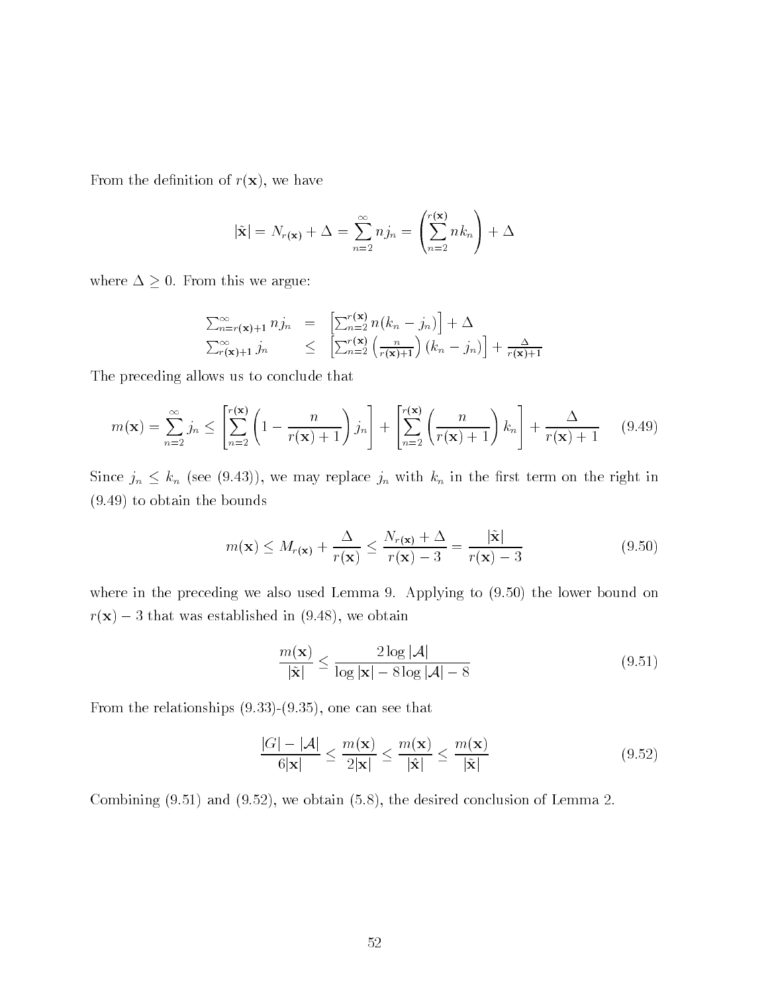From the definition of  $r(\mathbf{x})$ , we have

$$
|\tilde{\mathbf{x}}| = N_{r(\mathbf{x})} + \Delta = \sum_{n=2}^{\infty} n j_n = \left(\sum_{n=2}^{r(\mathbf{x})} n k_n\right) + \Delta
$$

where  $\Delta \geq 0$ . From this we argue:

$$
\sum_{n=r(\mathbf{x})+1}^{\infty} n j_n = \left[ \sum_{n=2}^{r(\mathbf{x})} n (k_n - j_n) \right] + \Delta
$$
  

$$
\sum_{r(\mathbf{x})+1}^{\infty} j_n \le \left[ \sum_{n=2}^{r(\mathbf{x})} \left( \frac{n}{r(\mathbf{x})+1} \right) (k_n - j_n) \right] + \frac{\Delta}{r(\mathbf{x})+1}
$$

The preceding allows us to conclude that

$$
m(\mathbf{x}) = \sum_{n=2}^{\infty} j_n \le \left[ \sum_{n=2}^{r(\mathbf{x})} \left( 1 - \frac{n}{r(\mathbf{x}) + 1} \right) j_n \right] + \left[ \sum_{n=2}^{r(\mathbf{x})} \left( \frac{n}{r(\mathbf{x}) + 1} \right) k_n \right] + \frac{\Delta}{r(\mathbf{x}) + 1} \tag{9.49}
$$

Since  $j_n \n\t\leq k_n$  (see (9.43)), we may replace  $j_n$  with  $k_n$  in the first term on the right in  $(9.49)$  to obtain the bounds

$$
m(\mathbf{x}) \le M_{r(\mathbf{x})} + \frac{\Delta}{r(\mathbf{x})} \le \frac{N_{r(\mathbf{x})} + \Delta}{r(\mathbf{x}) - 3} = \frac{|\tilde{\mathbf{x}}|}{r(\mathbf{x}) - 3}
$$
(9.50)

where in the preceding we also used Lemma 9. Applying to  $(9.50)$  the lower bound on  $\mathcal{L}$ rix established in  $\mathcal{L}$  . The was established in  $\mathcal{L}$  and  $\mathcal{L}$ 

$$
\frac{m(\mathbf{x})}{|\tilde{\mathbf{x}}|} \le \frac{2\log|\mathcal{A}|}{\log|\mathbf{x}| - 8\log|\mathcal{A}| - 8}
$$
(9.51)

From the relationships  $(9.33)$ - $(9.35)$ , one can see that

$$
\frac{|G| - |\mathcal{A}|}{6|\mathbf{x}|} \le \frac{m(\mathbf{x})}{2|\mathbf{x}|} \le \frac{m(\mathbf{x})}{|\hat{\mathbf{x}}|} \le \frac{m(\mathbf{x})}{|\tilde{\mathbf{x}}|} \tag{9.52}
$$

Combining  $(9.51)$  and  $(9.52)$ , we obtain  $(5.8)$ , the desired conclusion of Lemma 2.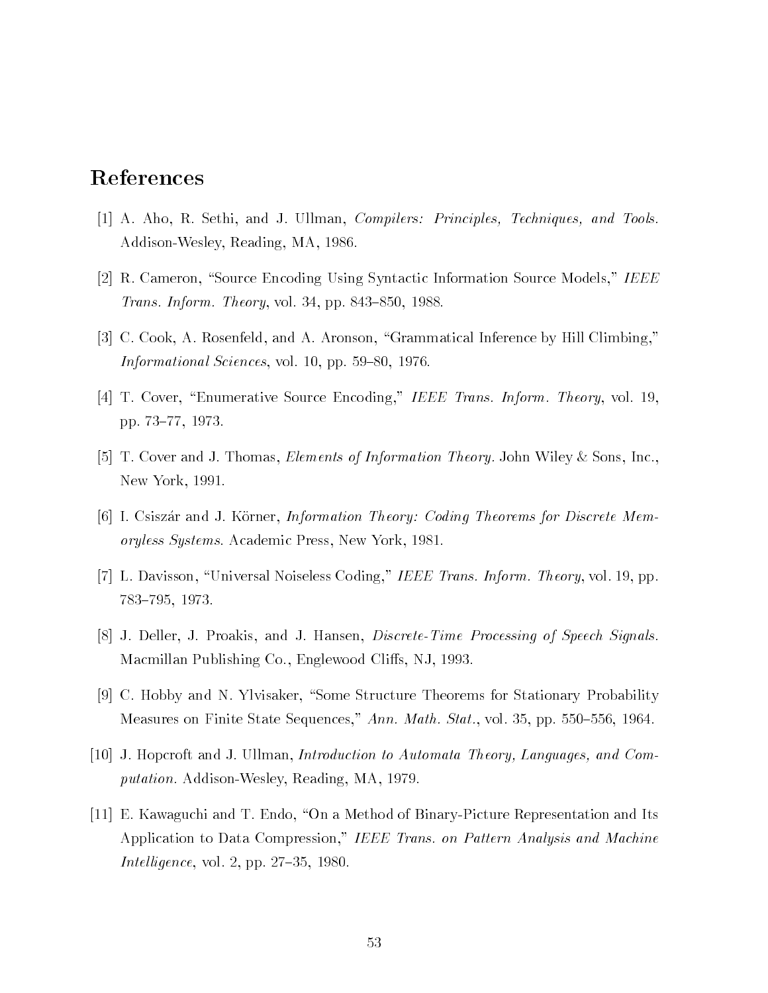# References

- A Aho R Sethi and J Ullman Compilers Principles Techniques and Tools Addison-Wesley, Reading, MA, 1986.
- $R$  Cameron Syntactic Information Syntactic Information Syntactic Information Syntactic Information Syntactic Information Syntactic Information Syntactic Information Syntactic Information Syntactic Information Syntactic I *Trans. Inform. Theory*, vol. 34, pp. 843–850, 1988.
- C Cook A Rosenfeld and A Aronson Grammatical Inference by Hill Climbing Informational Sciences, vol. 10, pp.  $59-80$ , 1976.
- T Cover Enter Entertainment is the Source Entertainment Information Information Information Information Inform pp. 73–77, 1973.
- The Letter and John Steam Elements of Information Theory John Wiley Inc. In the Letter Inc. Inc. Inc. Inc. Inc. New York, 1991.
- [6] I. Csiszár and J. Körner, *Information Theory: Coding Theorems for Discrete Mem*oryless Systems. Academic Press, New York, 1981.
- L Davisson Universal Noiseless Coding IEEE Trans Inform Theory vol pp 783-795, 1973.
- J Deller J Proakis and J Hansen DiscreteTime Processing of Speech Signals machine Publishing Co Englewood Co Engles Co Engles Co Engles Co Engles Co Engles Co Engles Co Engles Co Engl
- C Hobby and N Ylvisaker Some Structure Theorems for Stationary Probability Measures on Finite State Sequences," Ann. Math. Stat., vol. 35, pp. 550–556, 1964.
- J Hopcroft and J Ullman Introduction to Automata Theory Languages and Com putation. Addison-Wesley, Reading, MA, 1979.
- E Kawaguchi and T Endo On a Method of BinaryPicture Representation and Its Application to Data Compression," IEEE Trans. on Pattern Analysis and Machine *Intelligence*, vol. 2, pp.  $27-35$ , 1980.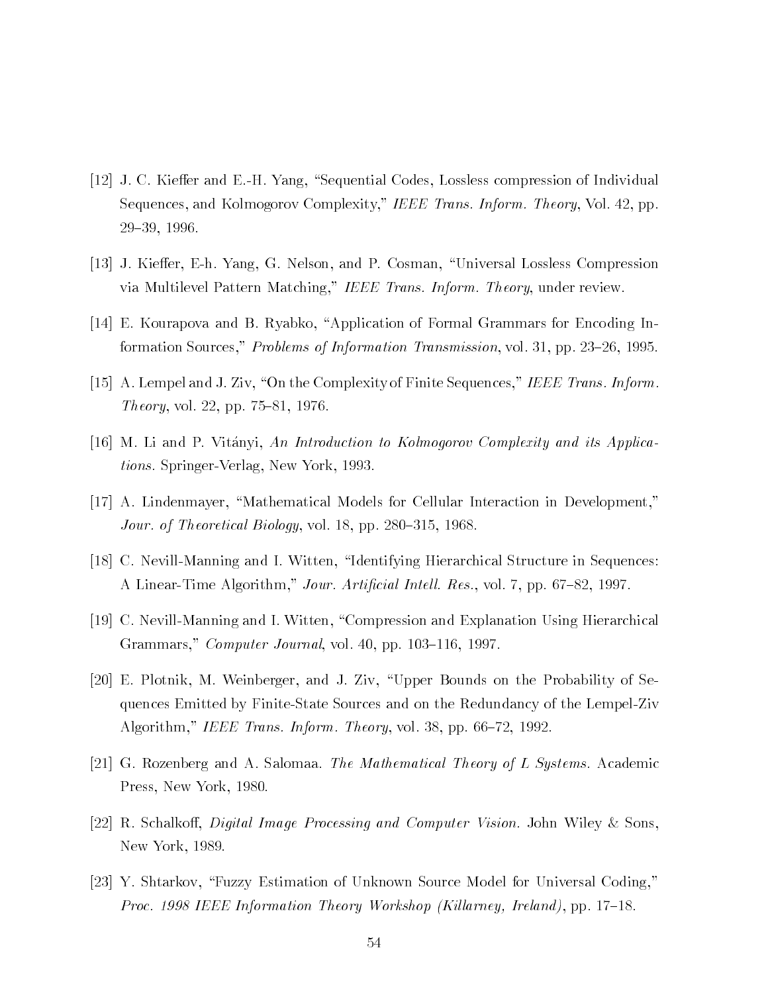- J C Kie-er and EH Yang Sequential Codes Lossless compression of Individual Sequences, and Kolmogorov Complexity," IEEE Trans. Inform. Theory, Vol. 42, pp. 29-39, 1996.
- J Kie-er Eh Yang G Nelson and P Cosman Universal Lossless Compression via Multilevel Pattern Matching," IEEE Trans. Inform. Theory, under review.
- E Kourapova and B Ryabko Application of Formal Grammars for Encoding In formation Sources," *Problems of Information Transmission*, vol. 31, pp. 23–26, 1995.
- a lempel and the Complexity of Trans International International International International International International *Theory*, vol. 22, pp.  $75-81$ , 1976.
- [16] M. Li and P. Vitányi, An Introduction to Kolmogorov Complexity and its Applica*tions.* Springer-Verlag, New York, 1993.
- A Lindenmayer Mathematical Models for Cellular Interaction in Development Jour. of Theoretical Biology, vol. 18, pp. 280–315, 1968.
- $\blacksquare$  Nevilland  $\blacksquare$ A Linear-Time Algorithm," Jour. Artificial Intell. Res., vol. 7, pp. 67-82, 1997.
- C NevillManning and I Witten Compression and Explanation Using Hierarchical Grammars," *Computer Journal*, vol.  $40$ , pp.  $103-116$ , 1997.
- E Plotnik M Weinberger and J Ziv Upper Bounds on the Probability of Se quences Emitted by Finite-State Sources and on the Redundancy of the Lempel-Ziv Algorithm," IEEE Trans. Inform. Theory, vol. 38, pp. 66–72, 1992.
- $G$  and  $A$  salon  $A$  salon  $A$  salon  $A$  salon  $A$ Press, New York, 1980.
- R Schalko- Digital Image Processing and Computer Vision John Wiley Sons New York, 1989.
- $Y$  shtarkov Fuzzy Estimation of Universal Coding for Universal Coding for Universal Coding for Universal Coding for Universal Coding for Universal Coding for Universal Coding for Universal Coding for Universal Coding for Proc - IEEE Information Theory Workshop Kil larney Ireland pp "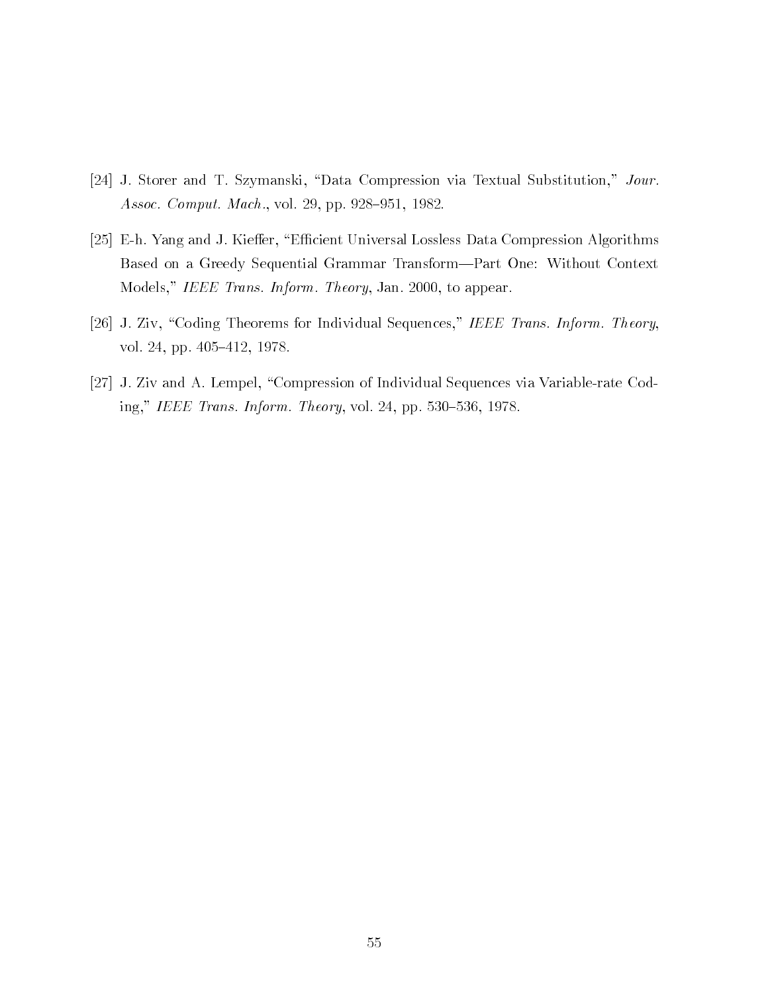- j storer and The Store Substitution of Substitution and Textual Substitution of the Substitution Journal Substitu Assoc. Comput. Mach., vol. 29, pp. 928-951, 1982.
- Eh Yang and J Kie-er Ecient Universal Lossless Data Compression Algorithms Based on a Greedy Sequential Grammar Transform—Part One: Without Context Models," IEEE Trans. Inform. Theory, Jan. 2000, to appear.
- J Ziv Coding Theorems for Individual Section Individual Section Theorems Information Theorems Information Theor vol. 24, pp. 405-412, 1978.
- J Ziv and A Lempel Compression of Individual Sequences via Variablerate Cod ing," IEEE Trans. Inform. Theory, vol. 24, pp. 530-536, 1978.